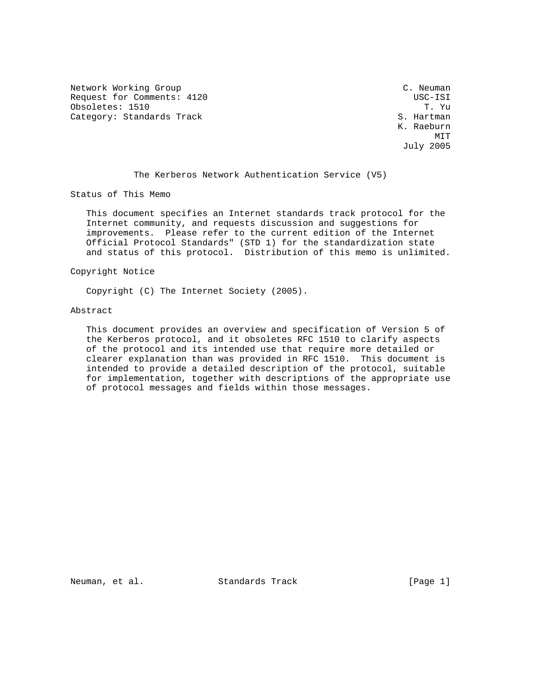Network Working Group C. Neuman C. Neuman Request for Comments: 4120 USC-ISI<br>
Obsoletes: 1510 T. Yu Obsoletes: 1510 T. Yu Category: Standards Track

 K. Raeburn MIT **MIT** July 2005

### The Kerberos Network Authentication Service (V5)

Status of This Memo

 This document specifies an Internet standards track protocol for the Internet community, and requests discussion and suggestions for improvements. Please refer to the current edition of the Internet Official Protocol Standards" (STD 1) for the standardization state and status of this protocol. Distribution of this memo is unlimited.

### Copyright Notice

Copyright (C) The Internet Society (2005).

#### Abstract

 This document provides an overview and specification of Version 5 of the Kerberos protocol, and it obsoletes RFC 1510 to clarify aspects of the protocol and its intended use that require more detailed or clearer explanation than was provided in RFC 1510. This document is intended to provide a detailed description of the protocol, suitable for implementation, together with descriptions of the appropriate use of protocol messages and fields within those messages.

Neuman, et al. Standards Track [Page 1]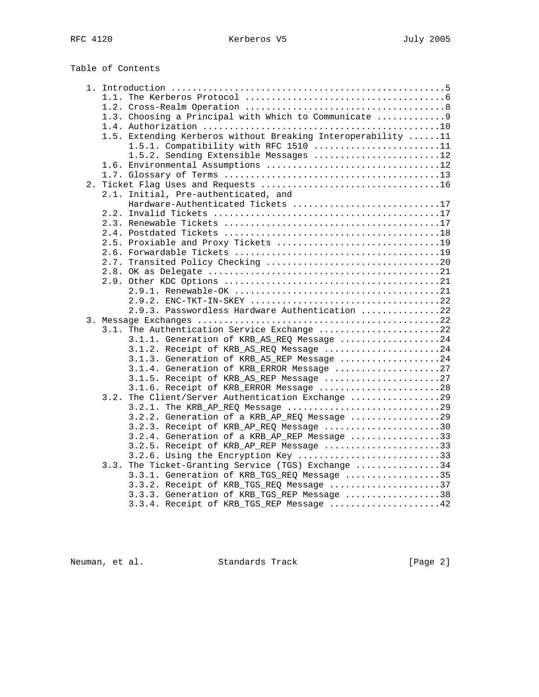Table of Contents

|  | 1.5. Extending Kerberos without Breaking Interoperability 11 |
|--|--------------------------------------------------------------|
|  | 1.5.1. Compatibility with RFC 1510 11                        |
|  | 1.5.2. Sending Extensible Messages 12                        |
|  |                                                              |
|  |                                                              |
|  |                                                              |
|  |                                                              |
|  | 2.1. Initial, Pre-authenticated, and                         |
|  | Hardware-Authenticated Tickets 17                            |
|  |                                                              |
|  |                                                              |
|  |                                                              |
|  |                                                              |
|  |                                                              |
|  |                                                              |
|  |                                                              |
|  |                                                              |
|  |                                                              |
|  |                                                              |
|  |                                                              |
|  | 2.9.3. Passwordless Hardware Authentication 22               |

# 3.1. The Authentication Service Exchange .........................22 3.1.1. Generation of KRB\_AS\_REQ Message ...................24 3.1.2. Receipt of KRB\_AS\_REQ Message ......................24 3.1.3. Generation of KRB\_AS\_REP Message ...................24 3.1.4. Generation of KRB\_ERROR Message ....................27 3.1.5. Receipt of KRB\_AS\_REP Message ......................27 3.1.6. Receipt of KRB\_ERROR Message .......................28 3.2. The Client/Server Authentication Exchange .................29 3.2.1. The KRB\_AP\_REQ Message .............................29 3.2.2. Generation of a KRB\_AP\_REQ Message .................29 3.2.3. Receipt of KRB\_AP\_REQ Message ......................30 3.2.4. Generation of a KRB\_AP\_REP Message .................33

3. Message Exchanges ..............................................22

|  |  | 3.2.5. Receipt of KRB_AP_REP Message 33            |  |  |
|--|--|----------------------------------------------------|--|--|
|  |  | 3.2.6. Using the Encryption Key 33                 |  |  |
|  |  | 3.3. The Ticket-Granting Service (TGS) Exchange 34 |  |  |
|  |  | 3.3.1. Generation of KRB_TGS_REQ Message 35        |  |  |
|  |  | 3.3.2. Receipt of KRB_TGS_REQ Message 37           |  |  |
|  |  | 3.3.3. Generation of KRB_TGS_REP Message 38        |  |  |
|  |  | 3.3.4. Receipt of KRB_TGS_REP Message 42           |  |  |
|  |  |                                                    |  |  |

Neuman, et al. Standards Track [Page 2]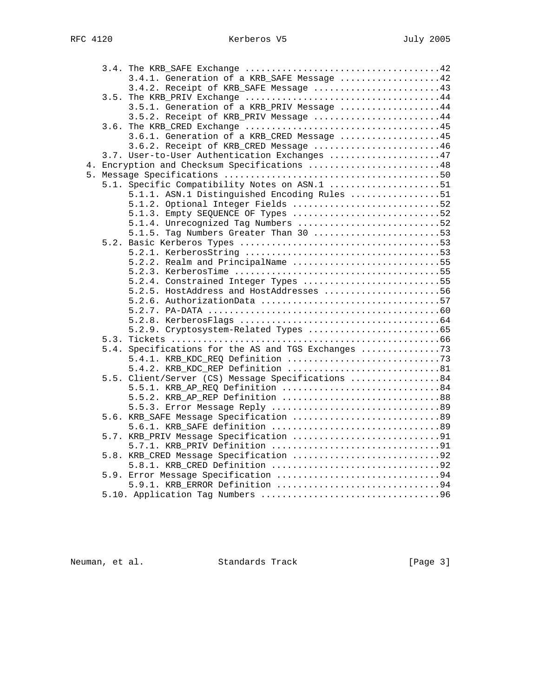|  | 3.4.1. Generation of a KRB_SAFE Message 42                                            |  |
|--|---------------------------------------------------------------------------------------|--|
|  | 3.4.2. Receipt of KRB_SAFE Message 43                                                 |  |
|  |                                                                                       |  |
|  | 3.5.1. Generation of a KRB_PRIV Message 44                                            |  |
|  | 3.5.2. Receipt of KRB_PRIV Message 44                                                 |  |
|  |                                                                                       |  |
|  | 3.6.1. Generation of a KRB CRED Message 45                                            |  |
|  | 3.6.2. Receipt of KRB_CRED Message 46                                                 |  |
|  | 3.7. User-to-User Authentication Exchanges 47                                         |  |
|  | 4. Encryption and Checksum Specifications 48                                          |  |
|  |                                                                                       |  |
|  | 5.1. Specific Compatibility Notes on ASN.1 51                                         |  |
|  | 5.1.1. ASN.1 Distinguished Encoding Rules 51                                          |  |
|  | 5.1.2. Optional Integer Fields 52                                                     |  |
|  | 5.1.3. Empty SEQUENCE OF Types 52                                                     |  |
|  | 5.1.4. Unrecognized Tag Numbers 52                                                    |  |
|  | 5.1.5. Tag Numbers Greater Than 30 53                                                 |  |
|  |                                                                                       |  |
|  |                                                                                       |  |
|  | 5.2.2. Realm and PrincipalName 55                                                     |  |
|  |                                                                                       |  |
|  | 5.2.4. Constrained Integer Types 55                                                   |  |
|  | 5.2.5. HostAddress and HostAddresses 56                                               |  |
|  |                                                                                       |  |
|  |                                                                                       |  |
|  |                                                                                       |  |
|  |                                                                                       |  |
|  |                                                                                       |  |
|  | 5.4. Specifications for the AS and TGS Exchanges                                      |  |
|  |                                                                                       |  |
|  | 5.4.2. KRB_KDC_REP Definition 81<br>5.5. Client/Server (CS) Message Specifications 84 |  |
|  | 5.5.1. KRB AP REQ Definition 84                                                       |  |
|  | 5.5.2. KRB_AP_REP Definition 88                                                       |  |
|  | 5.5.3. Error Message Reply 89                                                         |  |
|  | 5.6. KRB_SAFE Message Specification 89                                                |  |
|  |                                                                                       |  |
|  | 5.7. KRB_PRIV Message Specification 91                                                |  |
|  |                                                                                       |  |
|  | 5.8. KRB_CRED Message Specification 92                                                |  |
|  |                                                                                       |  |
|  |                                                                                       |  |
|  |                                                                                       |  |
|  |                                                                                       |  |
|  |                                                                                       |  |

Neuman, et al. Standards Track (Page 3)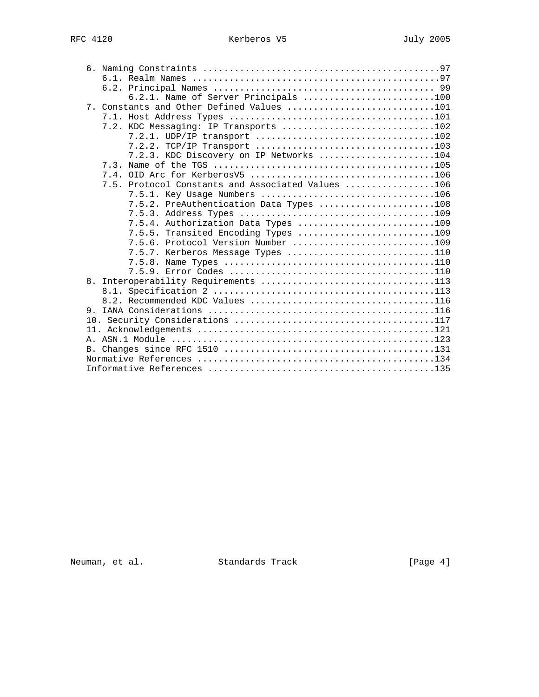| 6.2.1. Name of Server Principals 100              |  |
|---------------------------------------------------|--|
| 7. Constants and Other Defined Values 101         |  |
|                                                   |  |
| 7.2. KDC Messaging: IP Transports 102             |  |
|                                                   |  |
|                                                   |  |
| 7.2.3. KDC Discovery on IP Networks 104           |  |
|                                                   |  |
|                                                   |  |
| 7.5. Protocol Constants and Associated Values 106 |  |
|                                                   |  |
| 7.5.2. PreAuthentication Data Types 108           |  |
|                                                   |  |
| 7.5.4. Authorization Data Types 109               |  |
| 7.5.5. Transited Encoding Types 109               |  |
| 7.5.6. Protocol Version Number 109                |  |
| 7.5.7. Kerberos Message Types 110                 |  |
|                                                   |  |
|                                                   |  |
|                                                   |  |
|                                                   |  |
|                                                   |  |
|                                                   |  |
|                                                   |  |
|                                                   |  |
|                                                   |  |
|                                                   |  |
|                                                   |  |
|                                                   |  |

Neuman, et al. Standards Track (Page 4)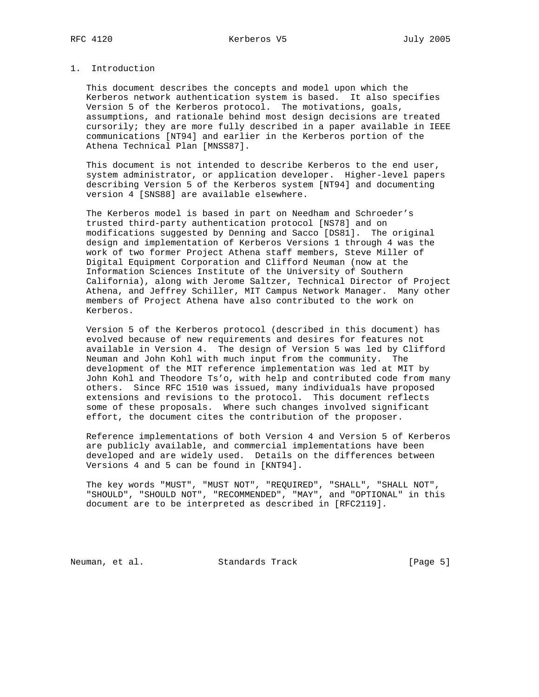# 1. Introduction

 This document describes the concepts and model upon which the Kerberos network authentication system is based. It also specifies Version 5 of the Kerberos protocol. The motivations, goals, assumptions, and rationale behind most design decisions are treated cursorily; they are more fully described in a paper available in IEEE communications [NT94] and earlier in the Kerberos portion of the Athena Technical Plan [MNSS87].

 This document is not intended to describe Kerberos to the end user, system administrator, or application developer. Higher-level papers describing Version 5 of the Kerberos system [NT94] and documenting version 4 [SNS88] are available elsewhere.

 The Kerberos model is based in part on Needham and Schroeder's trusted third-party authentication protocol [NS78] and on modifications suggested by Denning and Sacco [DS81]. The original design and implementation of Kerberos Versions 1 through 4 was the work of two former Project Athena staff members, Steve Miller of Digital Equipment Corporation and Clifford Neuman (now at the Information Sciences Institute of the University of Southern California), along with Jerome Saltzer, Technical Director of Project Athena, and Jeffrey Schiller, MIT Campus Network Manager. Many other members of Project Athena have also contributed to the work on Kerberos.

 Version 5 of the Kerberos protocol (described in this document) has evolved because of new requirements and desires for features not available in Version 4. The design of Version 5 was led by Clifford Neuman and John Kohl with much input from the community. The development of the MIT reference implementation was led at MIT by John Kohl and Theodore Ts'o, with help and contributed code from many others. Since RFC 1510 was issued, many individuals have proposed extensions and revisions to the protocol. This document reflects some of these proposals. Where such changes involved significant effort, the document cites the contribution of the proposer.

 Reference implementations of both Version 4 and Version 5 of Kerberos are publicly available, and commercial implementations have been developed and are widely used. Details on the differences between Versions 4 and 5 can be found in [KNT94].

 The key words "MUST", "MUST NOT", "REQUIRED", "SHALL", "SHALL NOT", "SHOULD", "SHOULD NOT", "RECOMMENDED", "MAY", and "OPTIONAL" in this document are to be interpreted as described in [RFC2119].

Neuman, et al. Standards Track (Page 5)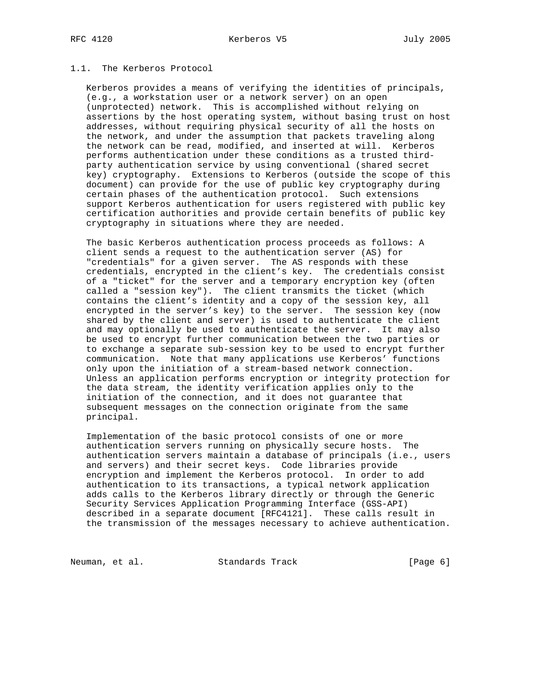### RFC 4120 Kerberos V5 July 2005

## 1.1. The Kerberos Protocol

 Kerberos provides a means of verifying the identities of principals, (e.g., a workstation user or a network server) on an open (unprotected) network. This is accomplished without relying on assertions by the host operating system, without basing trust on host addresses, without requiring physical security of all the hosts on the network, and under the assumption that packets traveling along the network can be read, modified, and inserted at will. Kerberos performs authentication under these conditions as a trusted third party authentication service by using conventional (shared secret key) cryptography. Extensions to Kerberos (outside the scope of this document) can provide for the use of public key cryptography during certain phases of the authentication protocol. Such extensions support Kerberos authentication for users registered with public key certification authorities and provide certain benefits of public key cryptography in situations where they are needed.

 The basic Kerberos authentication process proceeds as follows: A client sends a request to the authentication server (AS) for "credentials" for a given server. The AS responds with these credentials, encrypted in the client's key. The credentials consist of a "ticket" for the server and a temporary encryption key (often called a "session key"). The client transmits the ticket (which contains the client's identity and a copy of the session key, all encrypted in the server's key) to the server. The session key (now shared by the client and server) is used to authenticate the client and may optionally be used to authenticate the server. It may also be used to encrypt further communication between the two parties or to exchange a separate sub-session key to be used to encrypt further communication. Note that many applications use Kerberos' functions only upon the initiation of a stream-based network connection. Unless an application performs encryption or integrity protection for the data stream, the identity verification applies only to the initiation of the connection, and it does not guarantee that subsequent messages on the connection originate from the same principal.

 Implementation of the basic protocol consists of one or more authentication servers running on physically secure hosts. The authentication servers maintain a database of principals (i.e., users and servers) and their secret keys. Code libraries provide encryption and implement the Kerberos protocol. In order to add authentication to its transactions, a typical network application adds calls to the Kerberos library directly or through the Generic Security Services Application Programming Interface (GSS-API) described in a separate document [RFC4121]. These calls result in the transmission of the messages necessary to achieve authentication.

Neuman, et al. Standards Track (Page 6)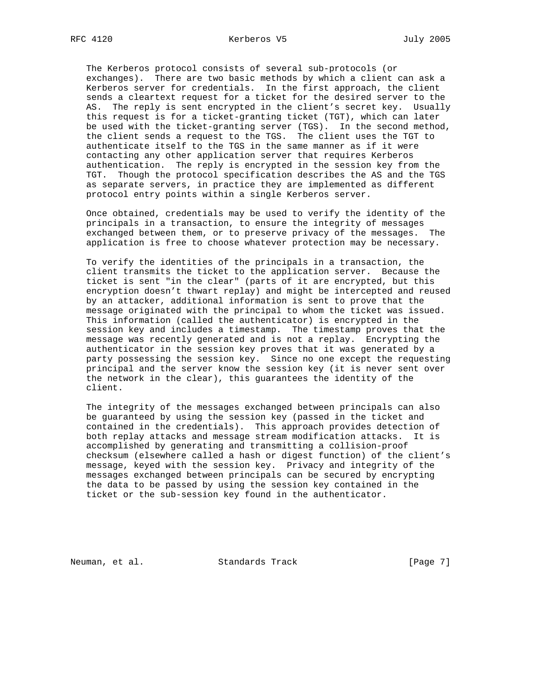The Kerberos protocol consists of several sub-protocols (or exchanges). There are two basic methods by which a client can ask a Kerberos server for credentials. In the first approach, the client sends a cleartext request for a ticket for the desired server to the AS. The reply is sent encrypted in the client's secret key. Usually this request is for a ticket-granting ticket (TGT), which can later be used with the ticket-granting server (TGS). In the second method, the client sends a request to the TGS. The client uses the TGT to authenticate itself to the TGS in the same manner as if it were contacting any other application server that requires Kerberos authentication. The reply is encrypted in the session key from the TGT. Though the protocol specification describes the AS and the TGS as separate servers, in practice they are implemented as different protocol entry points within a single Kerberos server.

 Once obtained, credentials may be used to verify the identity of the principals in a transaction, to ensure the integrity of messages exchanged between them, or to preserve privacy of the messages. The application is free to choose whatever protection may be necessary.

 To verify the identities of the principals in a transaction, the client transmits the ticket to the application server. Because the ticket is sent "in the clear" (parts of it are encrypted, but this encryption doesn't thwart replay) and might be intercepted and reused by an attacker, additional information is sent to prove that the message originated with the principal to whom the ticket was issued. This information (called the authenticator) is encrypted in the session key and includes a timestamp. The timestamp proves that the message was recently generated and is not a replay. Encrypting the authenticator in the session key proves that it was generated by a party possessing the session key. Since no one except the requesting principal and the server know the session key (it is never sent over the network in the clear), this guarantees the identity of the client.

 The integrity of the messages exchanged between principals can also be guaranteed by using the session key (passed in the ticket and contained in the credentials). This approach provides detection of both replay attacks and message stream modification attacks. It is accomplished by generating and transmitting a collision-proof checksum (elsewhere called a hash or digest function) of the client's message, keyed with the session key. Privacy and integrity of the messages exchanged between principals can be secured by encrypting the data to be passed by using the session key contained in the ticket or the sub-session key found in the authenticator.

Neuman, et al. Standards Track (Page 7)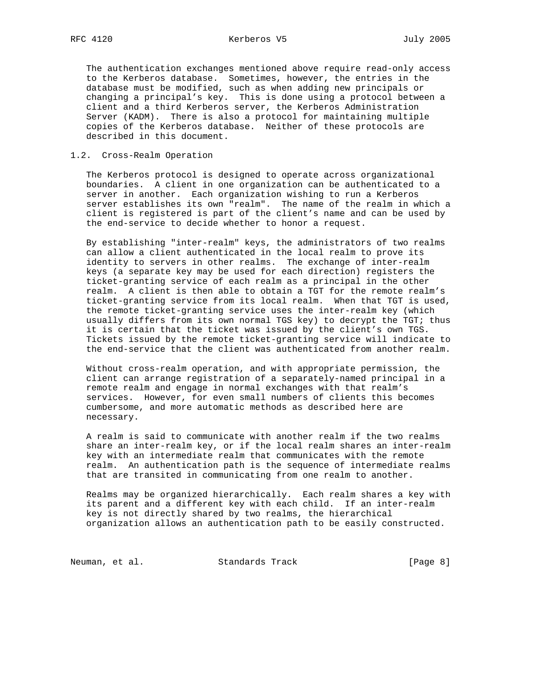The authentication exchanges mentioned above require read-only access to the Kerberos database. Sometimes, however, the entries in the database must be modified, such as when adding new principals or changing a principal's key. This is done using a protocol between a client and a third Kerberos server, the Kerberos Administration Server (KADM). There is also a protocol for maintaining multiple copies of the Kerberos database. Neither of these protocols are described in this document.

### 1.2. Cross-Realm Operation

 The Kerberos protocol is designed to operate across organizational boundaries. A client in one organization can be authenticated to a server in another. Each organization wishing to run a Kerberos server establishes its own "realm". The name of the realm in which a client is registered is part of the client's name and can be used by the end-service to decide whether to honor a request.

 By establishing "inter-realm" keys, the administrators of two realms can allow a client authenticated in the local realm to prove its identity to servers in other realms. The exchange of inter-realm keys (a separate key may be used for each direction) registers the ticket-granting service of each realm as a principal in the other realm. A client is then able to obtain a TGT for the remote realm's ticket-granting service from its local realm. When that TGT is used, the remote ticket-granting service uses the inter-realm key (which usually differs from its own normal TGS key) to decrypt the TGT; thus it is certain that the ticket was issued by the client's own TGS. Tickets issued by the remote ticket-granting service will indicate to the end-service that the client was authenticated from another realm.

 Without cross-realm operation, and with appropriate permission, the client can arrange registration of a separately-named principal in a remote realm and engage in normal exchanges with that realm's services. However, for even small numbers of clients this becomes cumbersome, and more automatic methods as described here are necessary.

 A realm is said to communicate with another realm if the two realms share an inter-realm key, or if the local realm shares an inter-realm key with an intermediate realm that communicates with the remote realm. An authentication path is the sequence of intermediate realms that are transited in communicating from one realm to another.

 Realms may be organized hierarchically. Each realm shares a key with its parent and a different key with each child. If an inter-realm key is not directly shared by two realms, the hierarchical organization allows an authentication path to be easily constructed.

Neuman, et al. Standards Track (Page 8)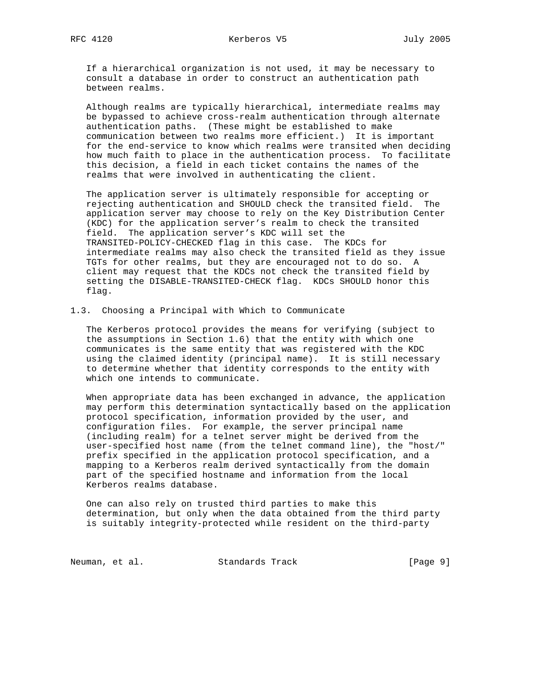If a hierarchical organization is not used, it may be necessary to consult a database in order to construct an authentication path between realms.

 Although realms are typically hierarchical, intermediate realms may be bypassed to achieve cross-realm authentication through alternate authentication paths. (These might be established to make communication between two realms more efficient.) It is important for the end-service to know which realms were transited when deciding how much faith to place in the authentication process. To facilitate this decision, a field in each ticket contains the names of the realms that were involved in authenticating the client.

 The application server is ultimately responsible for accepting or rejecting authentication and SHOULD check the transited field. The application server may choose to rely on the Key Distribution Center (KDC) for the application server's realm to check the transited field. The application server's KDC will set the TRANSITED-POLICY-CHECKED flag in this case. The KDCs for intermediate realms may also check the transited field as they issue TGTs for other realms, but they are encouraged not to do so. A client may request that the KDCs not check the transited field by setting the DISABLE-TRANSITED-CHECK flag. KDCs SHOULD honor this flag.

### 1.3. Choosing a Principal with Which to Communicate

 The Kerberos protocol provides the means for verifying (subject to the assumptions in Section 1.6) that the entity with which one communicates is the same entity that was registered with the KDC using the claimed identity (principal name). It is still necessary to determine whether that identity corresponds to the entity with which one intends to communicate.

 When appropriate data has been exchanged in advance, the application may perform this determination syntactically based on the application protocol specification, information provided by the user, and configuration files. For example, the server principal name (including realm) for a telnet server might be derived from the user-specified host name (from the telnet command line), the "host/" prefix specified in the application protocol specification, and a mapping to a Kerberos realm derived syntactically from the domain part of the specified hostname and information from the local Kerberos realms database.

 One can also rely on trusted third parties to make this determination, but only when the data obtained from the third party is suitably integrity-protected while resident on the third-party

Neuman, et al. Standards Track [Page 9]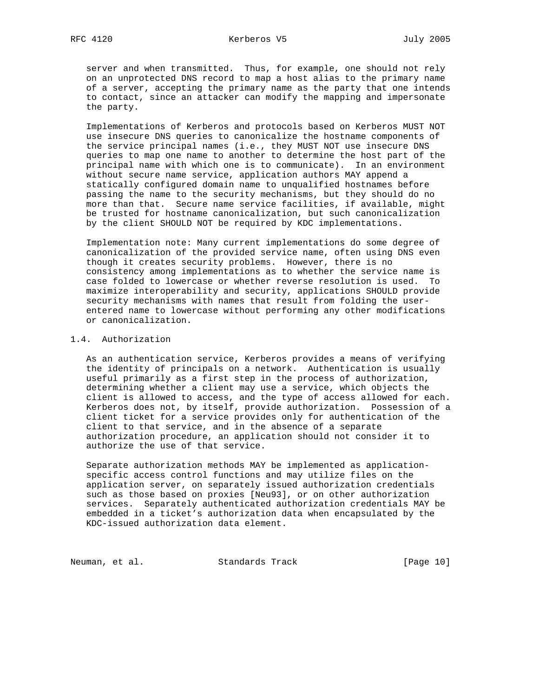server and when transmitted. Thus, for example, one should not rely on an unprotected DNS record to map a host alias to the primary name of a server, accepting the primary name as the party that one intends to contact, since an attacker can modify the mapping and impersonate the party.

 Implementations of Kerberos and protocols based on Kerberos MUST NOT use insecure DNS queries to canonicalize the hostname components of the service principal names (i.e., they MUST NOT use insecure DNS queries to map one name to another to determine the host part of the principal name with which one is to communicate). In an environment without secure name service, application authors MAY append a statically configured domain name to unqualified hostnames before passing the name to the security mechanisms, but they should do no more than that. Secure name service facilities, if available, might be trusted for hostname canonicalization, but such canonicalization by the client SHOULD NOT be required by KDC implementations.

 Implementation note: Many current implementations do some degree of canonicalization of the provided service name, often using DNS even though it creates security problems. However, there is no consistency among implementations as to whether the service name is case folded to lowercase or whether reverse resolution is used. To maximize interoperability and security, applications SHOULD provide security mechanisms with names that result from folding the user entered name to lowercase without performing any other modifications or canonicalization.

# 1.4. Authorization

 As an authentication service, Kerberos provides a means of verifying the identity of principals on a network. Authentication is usually useful primarily as a first step in the process of authorization, determining whether a client may use a service, which objects the client is allowed to access, and the type of access allowed for each. Kerberos does not, by itself, provide authorization. Possession of a client ticket for a service provides only for authentication of the client to that service, and in the absence of a separate authorization procedure, an application should not consider it to authorize the use of that service.

 Separate authorization methods MAY be implemented as application specific access control functions and may utilize files on the application server, on separately issued authorization credentials such as those based on proxies [Neu93], or on other authorization services. Separately authenticated authorization credentials MAY be embedded in a ticket's authorization data when encapsulated by the KDC-issued authorization data element.

Neuman, et al. Standards Track [Page 10]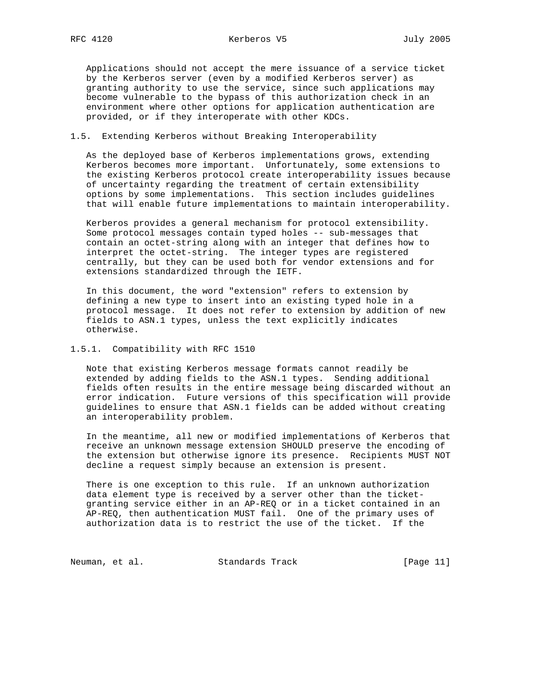Applications should not accept the mere issuance of a service ticket by the Kerberos server (even by a modified Kerberos server) as granting authority to use the service, since such applications may become vulnerable to the bypass of this authorization check in an environment where other options for application authentication are provided, or if they interoperate with other KDCs.

## 1.5. Extending Kerberos without Breaking Interoperability

 As the deployed base of Kerberos implementations grows, extending Kerberos becomes more important. Unfortunately, some extensions to the existing Kerberos protocol create interoperability issues because of uncertainty regarding the treatment of certain extensibility options by some implementations. This section includes guidelines that will enable future implementations to maintain interoperability.

 Kerberos provides a general mechanism for protocol extensibility. Some protocol messages contain typed holes -- sub-messages that contain an octet-string along with an integer that defines how to interpret the octet-string. The integer types are registered centrally, but they can be used both for vendor extensions and for extensions standardized through the IETF.

 In this document, the word "extension" refers to extension by defining a new type to insert into an existing typed hole in a protocol message. It does not refer to extension by addition of new fields to ASN.1 types, unless the text explicitly indicates otherwise.

## 1.5.1. Compatibility with RFC 1510

 Note that existing Kerberos message formats cannot readily be extended by adding fields to the ASN.1 types. Sending additional fields often results in the entire message being discarded without an error indication. Future versions of this specification will provide guidelines to ensure that ASN.1 fields can be added without creating an interoperability problem.

 In the meantime, all new or modified implementations of Kerberos that receive an unknown message extension SHOULD preserve the encoding of the extension but otherwise ignore its presence. Recipients MUST NOT decline a request simply because an extension is present.

 There is one exception to this rule. If an unknown authorization data element type is received by a server other than the ticket granting service either in an AP-REQ or in a ticket contained in an AP-REQ, then authentication MUST fail. One of the primary uses of authorization data is to restrict the use of the ticket. If the

Neuman, et al. Standards Track [Page 11]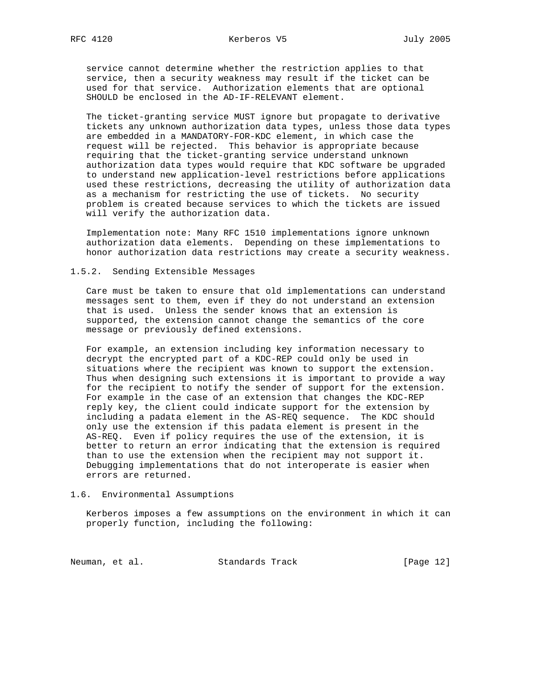service cannot determine whether the restriction applies to that service, then a security weakness may result if the ticket can be used for that service. Authorization elements that are optional SHOULD be enclosed in the AD-IF-RELEVANT element.

 The ticket-granting service MUST ignore but propagate to derivative tickets any unknown authorization data types, unless those data types are embedded in a MANDATORY-FOR-KDC element, in which case the request will be rejected. This behavior is appropriate because requiring that the ticket-granting service understand unknown authorization data types would require that KDC software be upgraded to understand new application-level restrictions before applications used these restrictions, decreasing the utility of authorization data as a mechanism for restricting the use of tickets. No security problem is created because services to which the tickets are issued will verify the authorization data.

 Implementation note: Many RFC 1510 implementations ignore unknown authorization data elements. Depending on these implementations to honor authorization data restrictions may create a security weakness.

## 1.5.2. Sending Extensible Messages

 Care must be taken to ensure that old implementations can understand messages sent to them, even if they do not understand an extension that is used. Unless the sender knows that an extension is supported, the extension cannot change the semantics of the core message or previously defined extensions.

 For example, an extension including key information necessary to decrypt the encrypted part of a KDC-REP could only be used in situations where the recipient was known to support the extension. Thus when designing such extensions it is important to provide a way for the recipient to notify the sender of support for the extension. For example in the case of an extension that changes the KDC-REP reply key, the client could indicate support for the extension by including a padata element in the AS-REQ sequence. The KDC should only use the extension if this padata element is present in the AS-REQ. Even if policy requires the use of the extension, it is better to return an error indicating that the extension is required than to use the extension when the recipient may not support it. Debugging implementations that do not interoperate is easier when errors are returned.

#### 1.6. Environmental Assumptions

 Kerberos imposes a few assumptions on the environment in which it can properly function, including the following:

Neuman, et al. Standards Track [Page 12]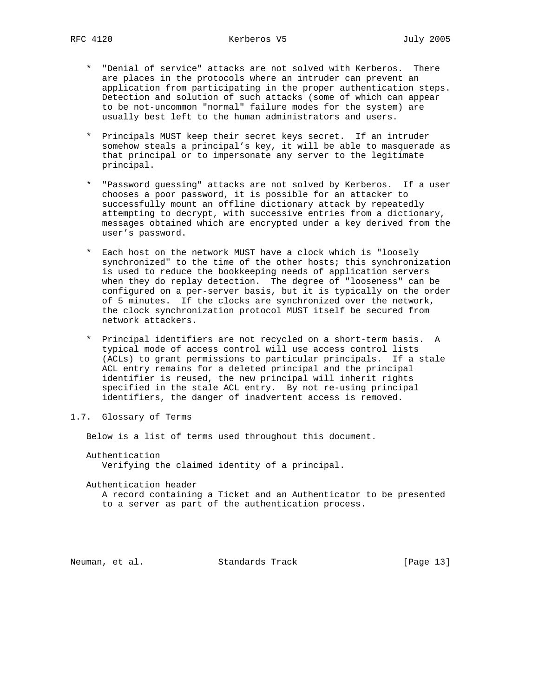- \* "Denial of service" attacks are not solved with Kerberos. There are places in the protocols where an intruder can prevent an application from participating in the proper authentication steps. Detection and solution of such attacks (some of which can appear to be not-uncommon "normal" failure modes for the system) are usually best left to the human administrators and users.
- \* Principals MUST keep their secret keys secret. If an intruder somehow steals a principal's key, it will be able to masquerade as that principal or to impersonate any server to the legitimate principal.
- \* "Password guessing" attacks are not solved by Kerberos. If a user chooses a poor password, it is possible for an attacker to successfully mount an offline dictionary attack by repeatedly attempting to decrypt, with successive entries from a dictionary, messages obtained which are encrypted under a key derived from the user's password.
- \* Each host on the network MUST have a clock which is "loosely synchronized" to the time of the other hosts; this synchronization is used to reduce the bookkeeping needs of application servers when they do replay detection. The degree of "looseness" can be configured on a per-server basis, but it is typically on the order of 5 minutes. If the clocks are synchronized over the network, the clock synchronization protocol MUST itself be secured from network attackers.
- \* Principal identifiers are not recycled on a short-term basis. A typical mode of access control will use access control lists (ACLs) to grant permissions to particular principals. If a stale ACL entry remains for a deleted principal and the principal identifier is reused, the new principal will inherit rights specified in the stale ACL entry. By not re-using principal identifiers, the danger of inadvertent access is removed.
- 1.7. Glossary of Terms

Below is a list of terms used throughout this document.

 Authentication Verifying the claimed identity of a principal.

 Authentication header A record containing a Ticket and an Authenticator to be presented to a server as part of the authentication process.

Neuman, et al. Standards Track [Page 13]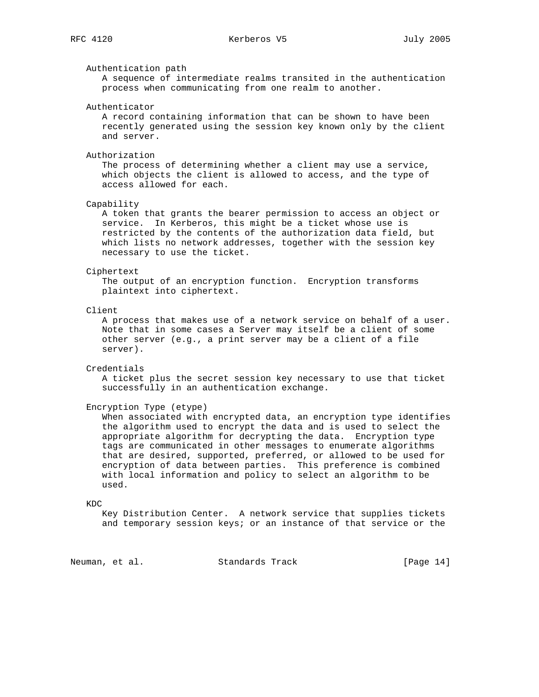#### Authentication path

 A sequence of intermediate realms transited in the authentication process when communicating from one realm to another.

Authenticator

 A record containing information that can be shown to have been recently generated using the session key known only by the client and server.

## Authorization

 The process of determining whether a client may use a service, which objects the client is allowed to access, and the type of access allowed for each.

#### Capability

 A token that grants the bearer permission to access an object or service. In Kerberos, this might be a ticket whose use is restricted by the contents of the authorization data field, but which lists no network addresses, together with the session key necessary to use the ticket.

### Ciphertext

 The output of an encryption function. Encryption transforms plaintext into ciphertext.

#### Client

 A process that makes use of a network service on behalf of a user. Note that in some cases a Server may itself be a client of some other server (e.g., a print server may be a client of a file server).

#### Credentials

 A ticket plus the secret session key necessary to use that ticket successfully in an authentication exchange.

#### Encryption Type (etype)

 When associated with encrypted data, an encryption type identifies the algorithm used to encrypt the data and is used to select the appropriate algorithm for decrypting the data. Encryption type tags are communicated in other messages to enumerate algorithms that are desired, supported, preferred, or allowed to be used for encryption of data between parties. This preference is combined with local information and policy to select an algorithm to be used.

#### KDC

 Key Distribution Center. A network service that supplies tickets and temporary session keys; or an instance of that service or the

Neuman, et al. Standards Track [Page 14]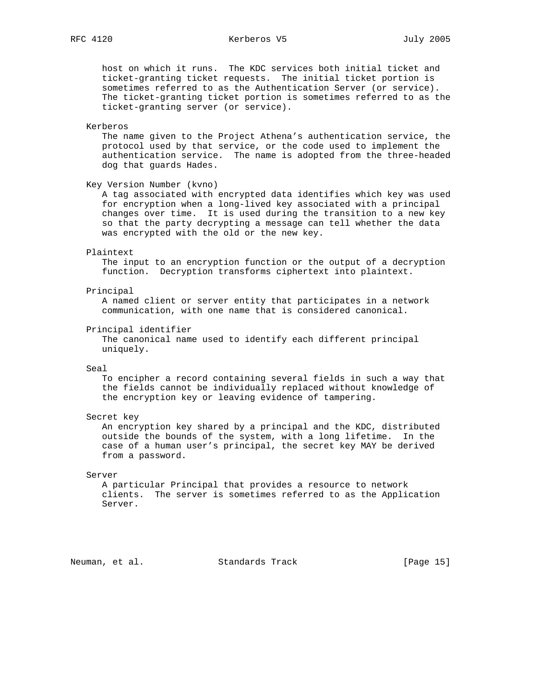### RFC 4120 Kerberos V5 July 2005

 host on which it runs. The KDC services both initial ticket and ticket-granting ticket requests. The initial ticket portion is sometimes referred to as the Authentication Server (or service). The ticket-granting ticket portion is sometimes referred to as the ticket-granting server (or service).

### Kerberos

 The name given to the Project Athena's authentication service, the protocol used by that service, or the code used to implement the authentication service. The name is adopted from the three-headed dog that guards Hades.

Key Version Number (kvno)

 A tag associated with encrypted data identifies which key was used for encryption when a long-lived key associated with a principal changes over time. It is used during the transition to a new key so that the party decrypting a message can tell whether the data was encrypted with the old or the new key.

#### Plaintext

 The input to an encryption function or the output of a decryption function. Decryption transforms ciphertext into plaintext.

Principal

 A named client or server entity that participates in a network communication, with one name that is considered canonical.

Principal identifier

 The canonical name used to identify each different principal uniquely.

Seal

 To encipher a record containing several fields in such a way that the fields cannot be individually replaced without knowledge of the encryption key or leaving evidence of tampering.

Secret key

 An encryption key shared by a principal and the KDC, distributed outside the bounds of the system, with a long lifetime. In the case of a human user's principal, the secret key MAY be derived from a password.

### Server

 A particular Principal that provides a resource to network clients. The server is sometimes referred to as the Application Server.

Neuman, et al. Standards Track [Page 15]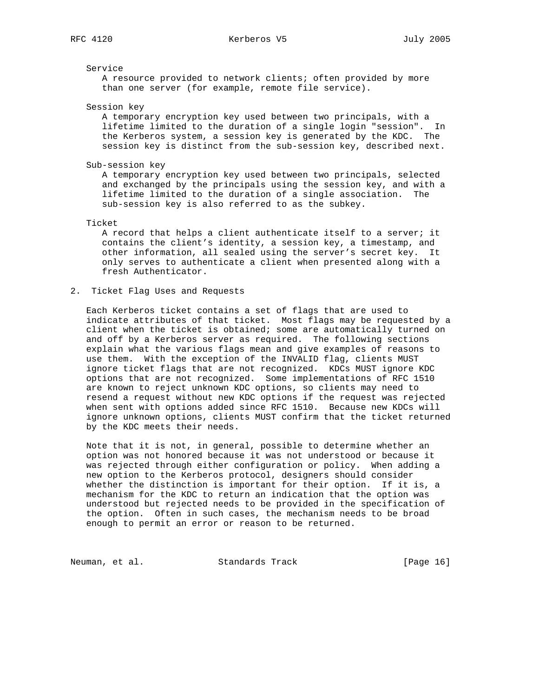### Service

 A resource provided to network clients; often provided by more than one server (for example, remote file service).

Session key

 A temporary encryption key used between two principals, with a lifetime limited to the duration of a single login "session". In the Kerberos system, a session key is generated by the KDC. The session key is distinct from the sub-session key, described next.

Sub-session key

 A temporary encryption key used between two principals, selected and exchanged by the principals using the session key, and with a lifetime limited to the duration of a single association. The sub-session key is also referred to as the subkey.

Ticket

 A record that helps a client authenticate itself to a server; it contains the client's identity, a session key, a timestamp, and other information, all sealed using the server's secret key. It only serves to authenticate a client when presented along with a fresh Authenticator.

## 2. Ticket Flag Uses and Requests

 Each Kerberos ticket contains a set of flags that are used to indicate attributes of that ticket. Most flags may be requested by a client when the ticket is obtained; some are automatically turned on and off by a Kerberos server as required. The following sections explain what the various flags mean and give examples of reasons to use them. With the exception of the INVALID flag, clients MUST ignore ticket flags that are not recognized. KDCs MUST ignore KDC options that are not recognized. Some implementations of RFC 1510 are known to reject unknown KDC options, so clients may need to resend a request without new KDC options if the request was rejected when sent with options added since RFC 1510. Because new KDCs will ignore unknown options, clients MUST confirm that the ticket returned by the KDC meets their needs.

 Note that it is not, in general, possible to determine whether an option was not honored because it was not understood or because it was rejected through either configuration or policy. When adding a new option to the Kerberos protocol, designers should consider whether the distinction is important for their option. If it is, a mechanism for the KDC to return an indication that the option was understood but rejected needs to be provided in the specification of the option. Often in such cases, the mechanism needs to be broad enough to permit an error or reason to be returned.

Neuman, et al. Standards Track [Page 16]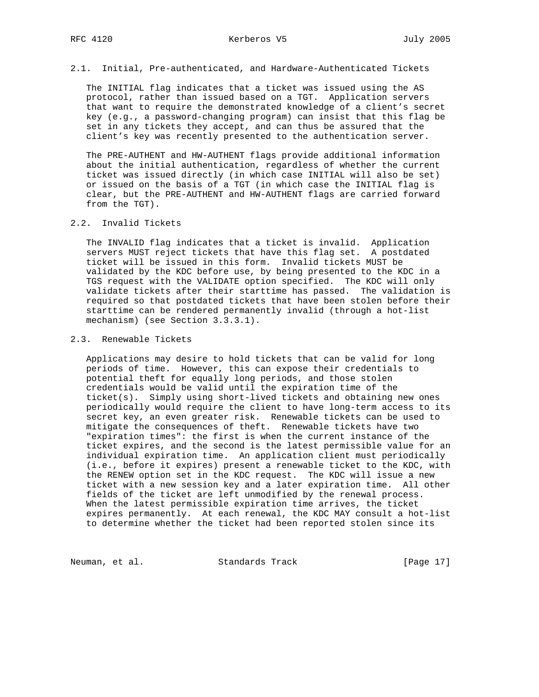2.1. Initial, Pre-authenticated, and Hardware-Authenticated Tickets

 The INITIAL flag indicates that a ticket was issued using the AS protocol, rather than issued based on a TGT. Application servers that want to require the demonstrated knowledge of a client's secret key (e.g., a password-changing program) can insist that this flag be set in any tickets they accept, and can thus be assured that the client's key was recently presented to the authentication server.

 The PRE-AUTHENT and HW-AUTHENT flags provide additional information about the initial authentication, regardless of whether the current ticket was issued directly (in which case INITIAL will also be set) or issued on the basis of a TGT (in which case the INITIAL flag is clear, but the PRE-AUTHENT and HW-AUTHENT flags are carried forward from the TGT).

2.2. Invalid Tickets

 The INVALID flag indicates that a ticket is invalid. Application servers MUST reject tickets that have this flag set. A postdated ticket will be issued in this form. Invalid tickets MUST be validated by the KDC before use, by being presented to the KDC in a TGS request with the VALIDATE option specified. The KDC will only validate tickets after their starttime has passed. The validation is required so that postdated tickets that have been stolen before their starttime can be rendered permanently invalid (through a hot-list mechanism) (see Section 3.3.3.1).

## 2.3. Renewable Tickets

 Applications may desire to hold tickets that can be valid for long periods of time. However, this can expose their credentials to potential theft for equally long periods, and those stolen credentials would be valid until the expiration time of the ticket(s). Simply using short-lived tickets and obtaining new ones periodically would require the client to have long-term access to its secret key, an even greater risk. Renewable tickets can be used to mitigate the consequences of theft. Renewable tickets have two "expiration times": the first is when the current instance of the ticket expires, and the second is the latest permissible value for an individual expiration time. An application client must periodically (i.e., before it expires) present a renewable ticket to the KDC, with the RENEW option set in the KDC request. The KDC will issue a new ticket with a new session key and a later expiration time. All other fields of the ticket are left unmodified by the renewal process. When the latest permissible expiration time arrives, the ticket expires permanently. At each renewal, the KDC MAY consult a hot-list to determine whether the ticket had been reported stolen since its

Neuman, et al. Standards Track [Page 17]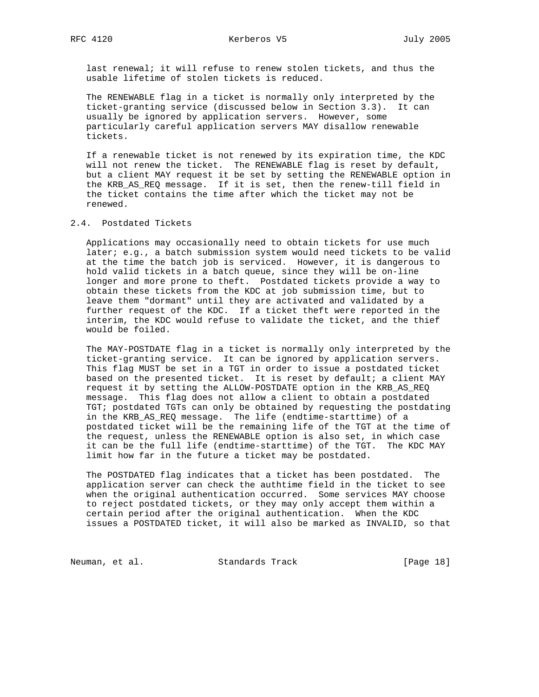last renewal; it will refuse to renew stolen tickets, and thus the usable lifetime of stolen tickets is reduced.

 The RENEWABLE flag in a ticket is normally only interpreted by the ticket-granting service (discussed below in Section 3.3). It can usually be ignored by application servers. However, some particularly careful application servers MAY disallow renewable tickets.

 If a renewable ticket is not renewed by its expiration time, the KDC will not renew the ticket. The RENEWABLE flag is reset by default, but a client MAY request it be set by setting the RENEWABLE option in the KRB\_AS\_REQ message. If it is set, then the renew-till field in the ticket contains the time after which the ticket may not be renewed.

## 2.4. Postdated Tickets

 Applications may occasionally need to obtain tickets for use much later; e.g., a batch submission system would need tickets to be valid at the time the batch job is serviced. However, it is dangerous to hold valid tickets in a batch queue, since they will be on-line longer and more prone to theft. Postdated tickets provide a way to obtain these tickets from the KDC at job submission time, but to leave them "dormant" until they are activated and validated by a further request of the KDC. If a ticket theft were reported in the interim, the KDC would refuse to validate the ticket, and the thief would be foiled.

 The MAY-POSTDATE flag in a ticket is normally only interpreted by the ticket-granting service. It can be ignored by application servers. This flag MUST be set in a TGT in order to issue a postdated ticket based on the presented ticket. It is reset by default; a client MAY request it by setting the ALLOW-POSTDATE option in the KRB\_AS\_REQ message. This flag does not allow a client to obtain a postdated TGT; postdated TGTs can only be obtained by requesting the postdating in the KRB\_AS\_REQ message. The life (endtime-starttime) of a postdated ticket will be the remaining life of the TGT at the time of the request, unless the RENEWABLE option is also set, in which case it can be the full life (endtime-starttime) of the TGT. The KDC MAY limit how far in the future a ticket may be postdated.

 The POSTDATED flag indicates that a ticket has been postdated. The application server can check the authtime field in the ticket to see when the original authentication occurred. Some services MAY choose to reject postdated tickets, or they may only accept them within a certain period after the original authentication. When the KDC issues a POSTDATED ticket, it will also be marked as INVALID, so that

Neuman, et al. Standards Track [Page 18]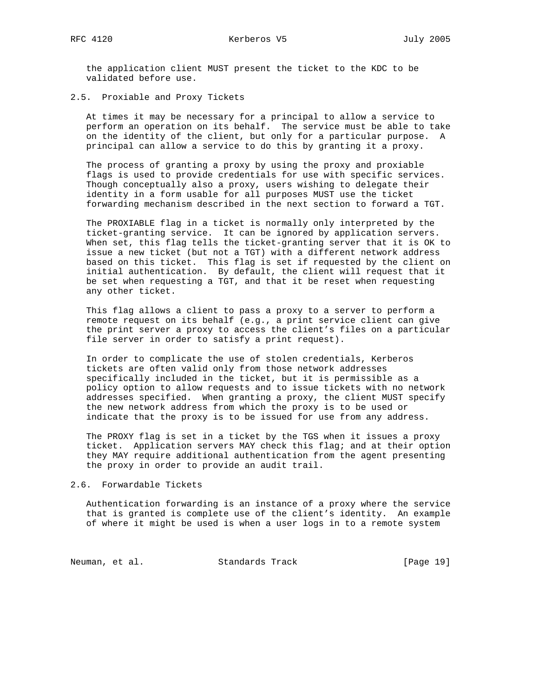the application client MUST present the ticket to the KDC to be validated before use.

2.5. Proxiable and Proxy Tickets

 At times it may be necessary for a principal to allow a service to perform an operation on its behalf. The service must be able to take on the identity of the client, but only for a particular purpose. A principal can allow a service to do this by granting it a proxy.

 The process of granting a proxy by using the proxy and proxiable flags is used to provide credentials for use with specific services. Though conceptually also a proxy, users wishing to delegate their identity in a form usable for all purposes MUST use the ticket forwarding mechanism described in the next section to forward a TGT.

 The PROXIABLE flag in a ticket is normally only interpreted by the ticket-granting service. It can be ignored by application servers. When set, this flag tells the ticket-granting server that it is OK to issue a new ticket (but not a TGT) with a different network address based on this ticket. This flag is set if requested by the client on initial authentication. By default, the client will request that it be set when requesting a TGT, and that it be reset when requesting any other ticket.

 This flag allows a client to pass a proxy to a server to perform a remote request on its behalf (e.g., a print service client can give the print server a proxy to access the client's files on a particular file server in order to satisfy a print request).

 In order to complicate the use of stolen credentials, Kerberos tickets are often valid only from those network addresses specifically included in the ticket, but it is permissible as a policy option to allow requests and to issue tickets with no network addresses specified. When granting a proxy, the client MUST specify the new network address from which the proxy is to be used or indicate that the proxy is to be issued for use from any address.

 The PROXY flag is set in a ticket by the TGS when it issues a proxy ticket. Application servers MAY check this flag; and at their option they MAY require additional authentication from the agent presenting the proxy in order to provide an audit trail.

#### 2.6. Forwardable Tickets

 Authentication forwarding is an instance of a proxy where the service that is granted is complete use of the client's identity. An example of where it might be used is when a user logs in to a remote system

Neuman, et al. Standards Track [Page 19]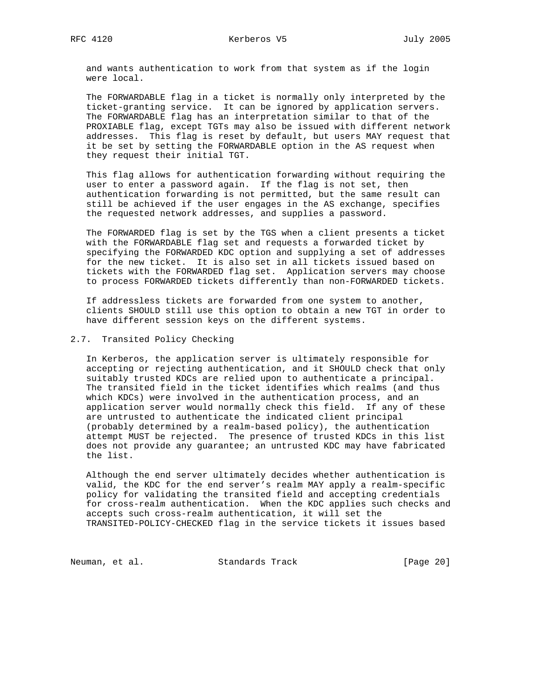and wants authentication to work from that system as if the login were local.

 The FORWARDABLE flag in a ticket is normally only interpreted by the ticket-granting service. It can be ignored by application servers. The FORWARDABLE flag has an interpretation similar to that of the PROXIABLE flag, except TGTs may also be issued with different network addresses. This flag is reset by default, but users MAY request that it be set by setting the FORWARDABLE option in the AS request when they request their initial TGT.

 This flag allows for authentication forwarding without requiring the user to enter a password again. If the flag is not set, then authentication forwarding is not permitted, but the same result can still be achieved if the user engages in the AS exchange, specifies the requested network addresses, and supplies a password.

 The FORWARDED flag is set by the TGS when a client presents a ticket with the FORWARDABLE flag set and requests a forwarded ticket by specifying the FORWARDED KDC option and supplying a set of addresses for the new ticket. It is also set in all tickets issued based on tickets with the FORWARDED flag set. Application servers may choose to process FORWARDED tickets differently than non-FORWARDED tickets.

 If addressless tickets are forwarded from one system to another, clients SHOULD still use this option to obtain a new TGT in order to have different session keys on the different systems.

### 2.7. Transited Policy Checking

 In Kerberos, the application server is ultimately responsible for accepting or rejecting authentication, and it SHOULD check that only suitably trusted KDCs are relied upon to authenticate a principal. The transited field in the ticket identifies which realms (and thus which KDCs) were involved in the authentication process, and an application server would normally check this field. If any of these are untrusted to authenticate the indicated client principal (probably determined by a realm-based policy), the authentication attempt MUST be rejected. The presence of trusted KDCs in this list does not provide any guarantee; an untrusted KDC may have fabricated the list.

 Although the end server ultimately decides whether authentication is valid, the KDC for the end server's realm MAY apply a realm-specific policy for validating the transited field and accepting credentials for cross-realm authentication. When the KDC applies such checks and accepts such cross-realm authentication, it will set the TRANSITED-POLICY-CHECKED flag in the service tickets it issues based

Neuman, et al. Standards Track [Page 20]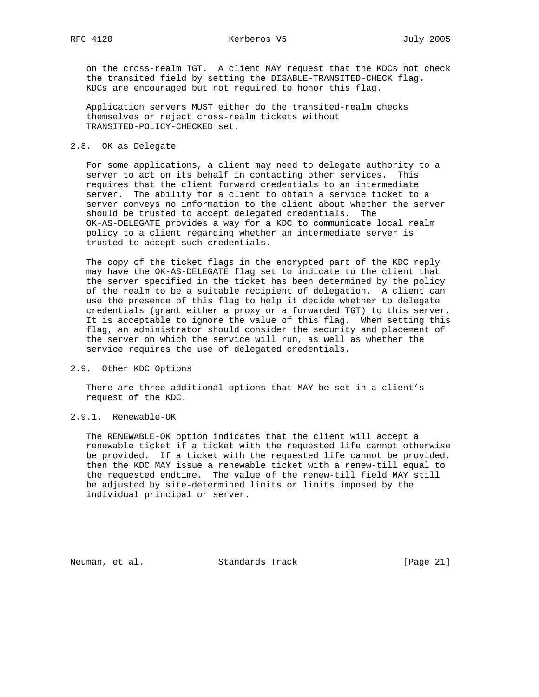RFC 4120 Kerberos V5 July 2005

 on the cross-realm TGT. A client MAY request that the KDCs not check the transited field by setting the DISABLE-TRANSITED-CHECK flag. KDCs are encouraged but not required to honor this flag.

 Application servers MUST either do the transited-realm checks themselves or reject cross-realm tickets without TRANSITED-POLICY-CHECKED set.

## 2.8. OK as Delegate

 For some applications, a client may need to delegate authority to a server to act on its behalf in contacting other services. This requires that the client forward credentials to an intermediate server. The ability for a client to obtain a service ticket to a server conveys no information to the client about whether the server should be trusted to accept delegated credentials. The OK-AS-DELEGATE provides a way for a KDC to communicate local realm policy to a client regarding whether an intermediate server is trusted to accept such credentials.

 The copy of the ticket flags in the encrypted part of the KDC reply may have the OK-AS-DELEGATE flag set to indicate to the client that the server specified in the ticket has been determined by the policy of the realm to be a suitable recipient of delegation. A client can use the presence of this flag to help it decide whether to delegate credentials (grant either a proxy or a forwarded TGT) to this server. It is acceptable to ignore the value of this flag. When setting this flag, an administrator should consider the security and placement of the server on which the service will run, as well as whether the service requires the use of delegated credentials.

#### 2.9. Other KDC Options

 There are three additional options that MAY be set in a client's request of the KDC.

## 2.9.1. Renewable-OK

 The RENEWABLE-OK option indicates that the client will accept a renewable ticket if a ticket with the requested life cannot otherwise be provided. If a ticket with the requested life cannot be provided, then the KDC MAY issue a renewable ticket with a renew-till equal to the requested endtime. The value of the renew-till field MAY still be adjusted by site-determined limits or limits imposed by the individual principal or server.

Neuman, et al. Standards Track [Page 21]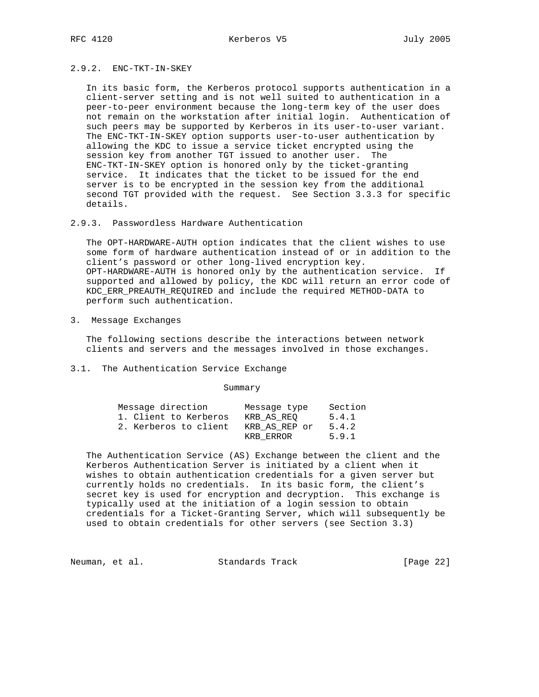In its basic form, the Kerberos protocol supports authentication in a client-server setting and is not well suited to authentication in a peer-to-peer environment because the long-term key of the user does not remain on the workstation after initial login. Authentication of such peers may be supported by Kerberos in its user-to-user variant. The ENC-TKT-IN-SKEY option supports user-to-user authentication by allowing the KDC to issue a service ticket encrypted using the session key from another TGT issued to another user. The ENC-TKT-IN-SKEY option is honored only by the ticket-granting service. It indicates that the ticket to be issued for the end server is to be encrypted in the session key from the additional second TGT provided with the request. See Section 3.3.3 for specific details.

2.9.3. Passwordless Hardware Authentication

 The OPT-HARDWARE-AUTH option indicates that the client wishes to use some form of hardware authentication instead of or in addition to the client's password or other long-lived encryption key. OPT-HARDWARE-AUTH is honored only by the authentication service. If supported and allowed by policy, the KDC will return an error code of KDC\_ERR\_PREAUTH\_REQUIRED and include the required METHOD-DATA to perform such authentication.

3. Message Exchanges

 The following sections describe the interactions between network clients and servers and the messages involved in those exchanges.

3.1. The Authentication Service Exchange

Summary

| Message direction     | Message type  | Section |
|-----------------------|---------------|---------|
| 1. Client to Kerberos | KRB AS REO    | 5.4.1   |
| 2. Kerberos to client | KRB AS REP or | 5.4.2   |
|                       | KRB ERROR     | 5.9.1   |

 The Authentication Service (AS) Exchange between the client and the Kerberos Authentication Server is initiated by a client when it wishes to obtain authentication credentials for a given server but currently holds no credentials. In its basic form, the client's secret key is used for encryption and decryption. This exchange is typically used at the initiation of a login session to obtain credentials for a Ticket-Granting Server, which will subsequently be used to obtain credentials for other servers (see Section 3.3)

Neuman, et al. Standards Track [Page 22]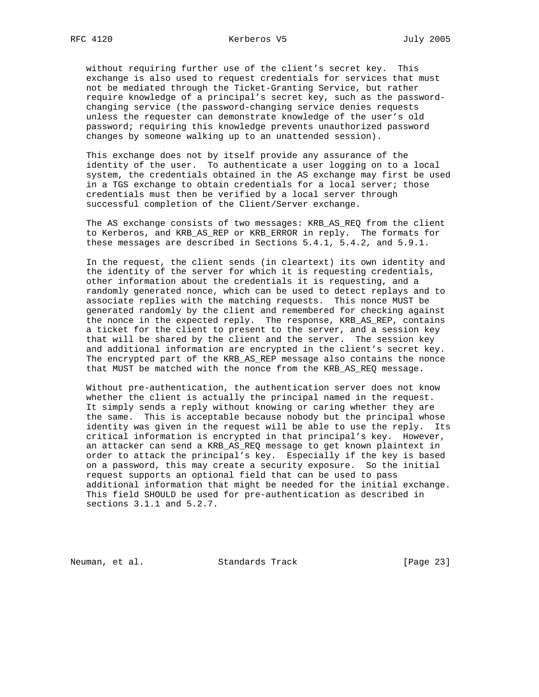without requiring further use of the client's secret key. This exchange is also used to request credentials for services that must not be mediated through the Ticket-Granting Service, but rather require knowledge of a principal's secret key, such as the password changing service (the password-changing service denies requests unless the requester can demonstrate knowledge of the user's old password; requiring this knowledge prevents unauthorized password changes by someone walking up to an unattended session).

 This exchange does not by itself provide any assurance of the identity of the user. To authenticate a user logging on to a local system, the credentials obtained in the AS exchange may first be used in a TGS exchange to obtain credentials for a local server; those credentials must then be verified by a local server through successful completion of the Client/Server exchange.

 The AS exchange consists of two messages: KRB\_AS\_REQ from the client to Kerberos, and KRB\_AS\_REP or KRB\_ERROR in reply. The formats for these messages are described in Sections 5.4.1, 5.4.2, and 5.9.1.

 In the request, the client sends (in cleartext) its own identity and the identity of the server for which it is requesting credentials, other information about the credentials it is requesting, and a randomly generated nonce, which can be used to detect replays and to associate replies with the matching requests. This nonce MUST be generated randomly by the client and remembered for checking against the nonce in the expected reply. The response, KRB\_AS\_REP, contains a ticket for the client to present to the server, and a session key that will be shared by the client and the server. The session key and additional information are encrypted in the client's secret key. The encrypted part of the KRB\_AS\_REP message also contains the nonce that MUST be matched with the nonce from the KRB\_AS\_REQ message.

 Without pre-authentication, the authentication server does not know whether the client is actually the principal named in the request. It simply sends a reply without knowing or caring whether they are the same. This is acceptable because nobody but the principal whose identity was given in the request will be able to use the reply. Its critical information is encrypted in that principal's key. However, an attacker can send a KRB\_AS\_REQ message to get known plaintext in order to attack the principal's key. Especially if the key is based on a password, this may create a security exposure. So the initial request supports an optional field that can be used to pass additional information that might be needed for the initial exchange. This field SHOULD be used for pre-authentication as described in sections 3.1.1 and 5.2.7.

Neuman, et al. Standards Track [Page 23]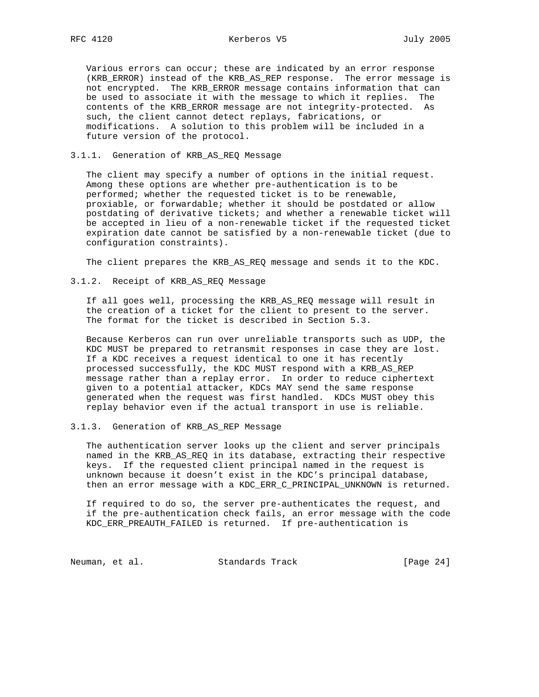Various errors can occur; these are indicated by an error response (KRB\_ERROR) instead of the KRB\_AS\_REP response. The error message is not encrypted. The KRB\_ERROR message contains information that can be used to associate it with the message to which it replies. The contents of the KRB\_ERROR message are not integrity-protected. As such, the client cannot detect replays, fabrications, or modifications. A solution to this problem will be included in a future version of the protocol.

## 3.1.1. Generation of KRB\_AS\_REQ Message

 The client may specify a number of options in the initial request. Among these options are whether pre-authentication is to be performed; whether the requested ticket is to be renewable, proxiable, or forwardable; whether it should be postdated or allow postdating of derivative tickets; and whether a renewable ticket will be accepted in lieu of a non-renewable ticket if the requested ticket expiration date cannot be satisfied by a non-renewable ticket (due to configuration constraints).

The client prepares the KRB\_AS\_REQ message and sends it to the KDC.

## 3.1.2. Receipt of KRB\_AS\_REQ Message

 If all goes well, processing the KRB\_AS\_REQ message will result in the creation of a ticket for the client to present to the server. The format for the ticket is described in Section 5.3.

 Because Kerberos can run over unreliable transports such as UDP, the KDC MUST be prepared to retransmit responses in case they are lost. If a KDC receives a request identical to one it has recently processed successfully, the KDC MUST respond with a KRB\_AS\_REP message rather than a replay error. In order to reduce ciphertext given to a potential attacker, KDCs MAY send the same response generated when the request was first handled. KDCs MUST obey this replay behavior even if the actual transport in use is reliable.

### 3.1.3. Generation of KRB\_AS\_REP Message

 The authentication server looks up the client and server principals named in the KRB\_AS\_REQ in its database, extracting their respective keys. If the requested client principal named in the request is unknown because it doesn't exist in the KDC's principal database, then an error message with a KDC\_ERR\_C\_PRINCIPAL\_UNKNOWN is returned.

 If required to do so, the server pre-authenticates the request, and if the pre-authentication check fails, an error message with the code KDC\_ERR\_PREAUTH\_FAILED is returned. If pre-authentication is

Neuman, et al. Standards Track [Page 24]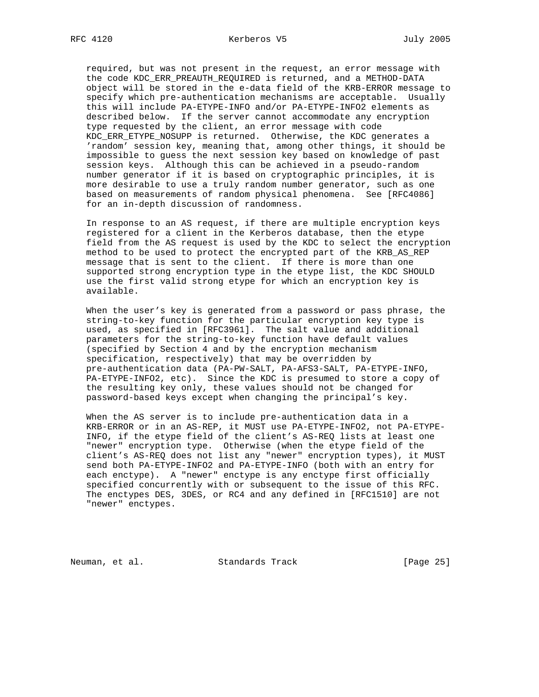required, but was not present in the request, an error message with the code KDC\_ERR\_PREAUTH\_REQUIRED is returned, and a METHOD-DATA object will be stored in the e-data field of the KRB-ERROR message to specify which pre-authentication mechanisms are acceptable. Usually this will include PA-ETYPE-INFO and/or PA-ETYPE-INFO2 elements as described below. If the server cannot accommodate any encryption type requested by the client, an error message with code KDC\_ERR\_ETYPE\_NOSUPP is returned. Otherwise, the KDC generates a 'random' session key, meaning that, among other things, it should be impossible to guess the next session key based on knowledge of past session keys. Although this can be achieved in a pseudo-random number generator if it is based on cryptographic principles, it is more desirable to use a truly random number generator, such as one based on measurements of random physical phenomena. See [RFC4086] for an in-depth discussion of randomness.

 In response to an AS request, if there are multiple encryption keys registered for a client in the Kerberos database, then the etype field from the AS request is used by the KDC to select the encryption method to be used to protect the encrypted part of the KRB\_AS\_REP message that is sent to the client. If there is more than one supported strong encryption type in the etype list, the KDC SHOULD use the first valid strong etype for which an encryption key is available.

 When the user's key is generated from a password or pass phrase, the string-to-key function for the particular encryption key type is used, as specified in [RFC3961]. The salt value and additional parameters for the string-to-key function have default values (specified by Section 4 and by the encryption mechanism specification, respectively) that may be overridden by pre-authentication data (PA-PW-SALT, PA-AFS3-SALT, PA-ETYPE-INFO, PA-ETYPE-INFO2, etc). Since the KDC is presumed to store a copy of the resulting key only, these values should not be changed for password-based keys except when changing the principal's key.

 When the AS server is to include pre-authentication data in a KRB-ERROR or in an AS-REP, it MUST use PA-ETYPE-INFO2, not PA-ETYPE- INFO, if the etype field of the client's AS-REQ lists at least one "newer" encryption type. Otherwise (when the etype field of the client's AS-REQ does not list any "newer" encryption types), it MUST send both PA-ETYPE-INFO2 and PA-ETYPE-INFO (both with an entry for each enctype). A "newer" enctype is any enctype first officially specified concurrently with or subsequent to the issue of this RFC. The enctypes DES, 3DES, or RC4 and any defined in [RFC1510] are not "newer" enctypes.

Neuman, et al. Standards Track [Page 25]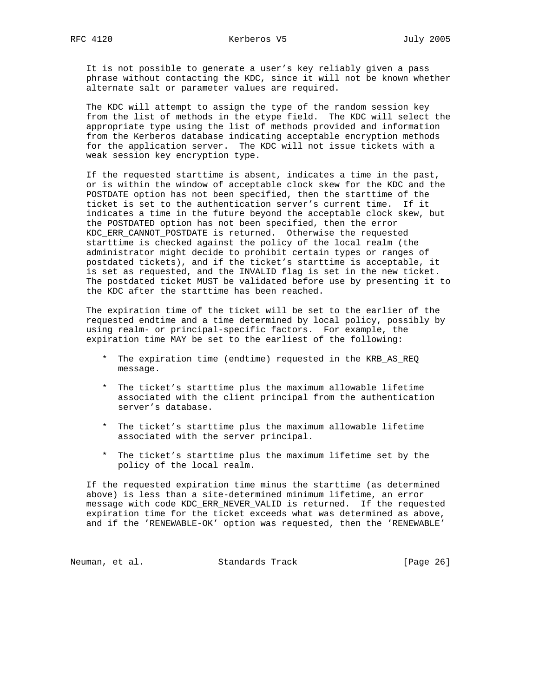It is not possible to generate a user's key reliably given a pass phrase without contacting the KDC, since it will not be known whether alternate salt or parameter values are required.

 The KDC will attempt to assign the type of the random session key from the list of methods in the etype field. The KDC will select the appropriate type using the list of methods provided and information from the Kerberos database indicating acceptable encryption methods for the application server. The KDC will not issue tickets with a weak session key encryption type.

 If the requested starttime is absent, indicates a time in the past, or is within the window of acceptable clock skew for the KDC and the POSTDATE option has not been specified, then the starttime of the ticket is set to the authentication server's current time. If it indicates a time in the future beyond the acceptable clock skew, but the POSTDATED option has not been specified, then the error KDC\_ERR\_CANNOT\_POSTDATE is returned. Otherwise the requested starttime is checked against the policy of the local realm (the administrator might decide to prohibit certain types or ranges of postdated tickets), and if the ticket's starttime is acceptable, it is set as requested, and the INVALID flag is set in the new ticket. The postdated ticket MUST be validated before use by presenting it to the KDC after the starttime has been reached.

 The expiration time of the ticket will be set to the earlier of the requested endtime and a time determined by local policy, possibly by using realm- or principal-specific factors. For example, the expiration time MAY be set to the earliest of the following:

- \* The expiration time (endtime) requested in the KRB\_AS\_REQ message.
- \* The ticket's starttime plus the maximum allowable lifetime associated with the client principal from the authentication server's database.
- \* The ticket's starttime plus the maximum allowable lifetime associated with the server principal.
- \* The ticket's starttime plus the maximum lifetime set by the policy of the local realm.

 If the requested expiration time minus the starttime (as determined above) is less than a site-determined minimum lifetime, an error message with code KDC\_ERR\_NEVER\_VALID is returned. If the requested expiration time for the ticket exceeds what was determined as above, and if the 'RENEWABLE-OK' option was requested, then the 'RENEWABLE'

Neuman, et al. Standards Track [Page 26]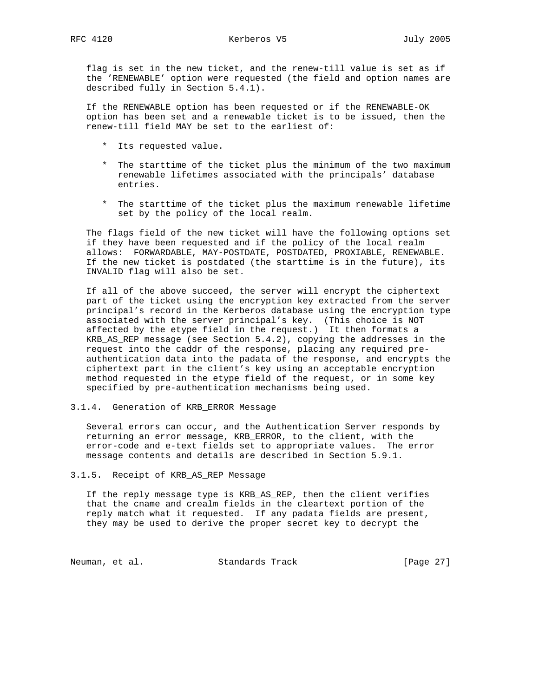flag is set in the new ticket, and the renew-till value is set as if the 'RENEWABLE' option were requested (the field and option names are described fully in Section 5.4.1).

 If the RENEWABLE option has been requested or if the RENEWABLE-OK option has been set and a renewable ticket is to be issued, then the renew-till field MAY be set to the earliest of:

- \* Its requested value.
- \* The starttime of the ticket plus the minimum of the two maximum renewable lifetimes associated with the principals' database entries.
- \* The starttime of the ticket plus the maximum renewable lifetime set by the policy of the local realm.

 The flags field of the new ticket will have the following options set if they have been requested and if the policy of the local realm allows: FORWARDABLE, MAY-POSTDATE, POSTDATED, PROXIABLE, RENEWABLE. If the new ticket is postdated (the starttime is in the future), its INVALID flag will also be set.

 If all of the above succeed, the server will encrypt the ciphertext part of the ticket using the encryption key extracted from the server principal's record in the Kerberos database using the encryption type associated with the server principal's key. (This choice is NOT affected by the etype field in the request.) It then formats a KRB\_AS\_REP message (see Section 5.4.2), copying the addresses in the request into the caddr of the response, placing any required pre authentication data into the padata of the response, and encrypts the ciphertext part in the client's key using an acceptable encryption method requested in the etype field of the request, or in some key specified by pre-authentication mechanisms being used.

3.1.4. Generation of KRB\_ERROR Message

 Several errors can occur, and the Authentication Server responds by returning an error message, KRB\_ERROR, to the client, with the error-code and e-text fields set to appropriate values. The error message contents and details are described in Section 5.9.1.

## 3.1.5. Receipt of KRB\_AS\_REP Message

 If the reply message type is KRB\_AS\_REP, then the client verifies that the cname and crealm fields in the cleartext portion of the reply match what it requested. If any padata fields are present, they may be used to derive the proper secret key to decrypt the

Neuman, et al. Standards Track [Page 27]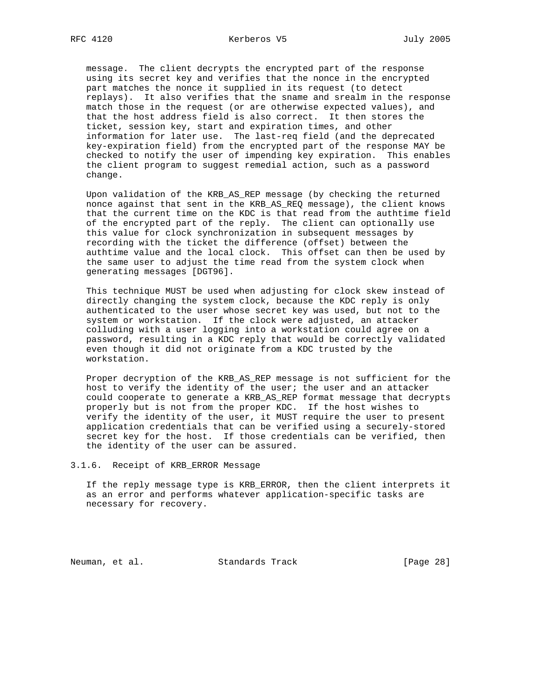message. The client decrypts the encrypted part of the response using its secret key and verifies that the nonce in the encrypted part matches the nonce it supplied in its request (to detect replays). It also verifies that the sname and srealm in the response match those in the request (or are otherwise expected values), and that the host address field is also correct. It then stores the ticket, session key, start and expiration times, and other information for later use. The last-req field (and the deprecated key-expiration field) from the encrypted part of the response MAY be checked to notify the user of impending key expiration. This enables the client program to suggest remedial action, such as a password change.

 Upon validation of the KRB\_AS\_REP message (by checking the returned nonce against that sent in the KRB\_AS\_REQ message), the client knows that the current time on the KDC is that read from the authtime field of the encrypted part of the reply. The client can optionally use this value for clock synchronization in subsequent messages by recording with the ticket the difference (offset) between the authtime value and the local clock. This offset can then be used by the same user to adjust the time read from the system clock when generating messages [DGT96].

 This technique MUST be used when adjusting for clock skew instead of directly changing the system clock, because the KDC reply is only authenticated to the user whose secret key was used, but not to the system or workstation. If the clock were adjusted, an attacker colluding with a user logging into a workstation could agree on a password, resulting in a KDC reply that would be correctly validated even though it did not originate from a KDC trusted by the workstation.

 Proper decryption of the KRB\_AS\_REP message is not sufficient for the host to verify the identity of the user; the user and an attacker could cooperate to generate a KRB\_AS\_REP format message that decrypts properly but is not from the proper KDC. If the host wishes to verify the identity of the user, it MUST require the user to present application credentials that can be verified using a securely-stored secret key for the host. If those credentials can be verified, then the identity of the user can be assured.

3.1.6. Receipt of KRB\_ERROR Message

 If the reply message type is KRB\_ERROR, then the client interprets it as an error and performs whatever application-specific tasks are necessary for recovery.

Neuman, et al. Standards Track [Page 28]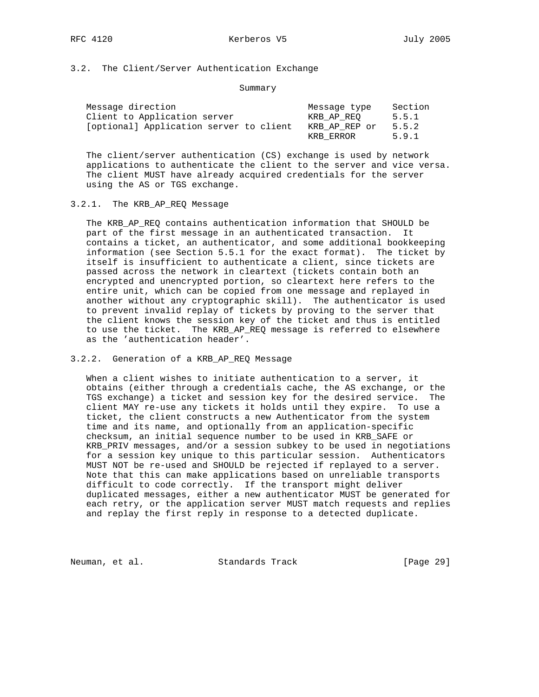3.2. The Client/Server Authentication Exchange

Summary

| Message direction                       | Message type  | Section |
|-----------------------------------------|---------------|---------|
| Client to Application server            | KRB AP REO    | 5.5.1   |
| [optional] Application server to client | KRB AP REP or | 5.5.2   |
|                                         | KRB ERROR     | 5.9.1   |

 The client/server authentication (CS) exchange is used by network applications to authenticate the client to the server and vice versa. The client MUST have already acquired credentials for the server using the AS or TGS exchange.

## 3.2.1. The KRB\_AP\_REQ Message

 The KRB\_AP\_REQ contains authentication information that SHOULD be part of the first message in an authenticated transaction. It contains a ticket, an authenticator, and some additional bookkeeping information (see Section 5.5.1 for the exact format). The ticket by itself is insufficient to authenticate a client, since tickets are passed across the network in cleartext (tickets contain both an encrypted and unencrypted portion, so cleartext here refers to the entire unit, which can be copied from one message and replayed in another without any cryptographic skill). The authenticator is used to prevent invalid replay of tickets by proving to the server that the client knows the session key of the ticket and thus is entitled to use the ticket. The KRB\_AP\_REQ message is referred to elsewhere as the 'authentication header'.

# 3.2.2. Generation of a KRB\_AP\_REQ Message

 When a client wishes to initiate authentication to a server, it obtains (either through a credentials cache, the AS exchange, or the TGS exchange) a ticket and session key for the desired service. The client MAY re-use any tickets it holds until they expire. To use a ticket, the client constructs a new Authenticator from the system time and its name, and optionally from an application-specific checksum, an initial sequence number to be used in KRB\_SAFE or KRB\_PRIV messages, and/or a session subkey to be used in negotiations for a session key unique to this particular session. Authenticators MUST NOT be re-used and SHOULD be rejected if replayed to a server. Note that this can make applications based on unreliable transports difficult to code correctly. If the transport might deliver duplicated messages, either a new authenticator MUST be generated for each retry, or the application server MUST match requests and replies and replay the first reply in response to a detected duplicate.

Neuman, et al. Standards Track [Page 29]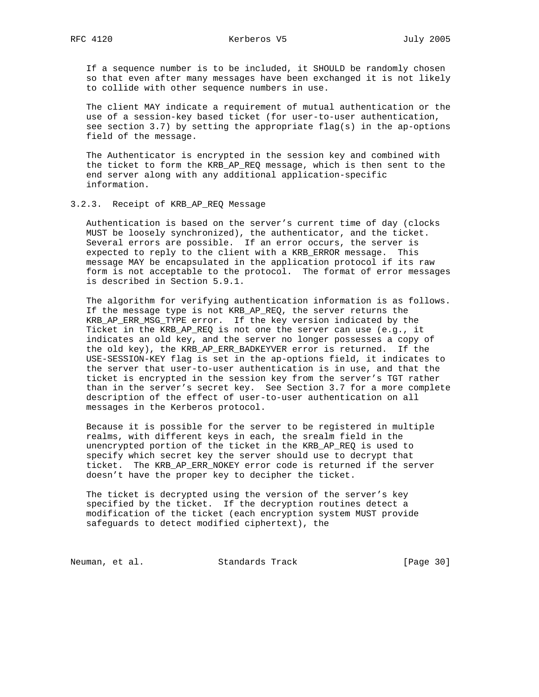If a sequence number is to be included, it SHOULD be randomly chosen so that even after many messages have been exchanged it is not likely to collide with other sequence numbers in use.

 The client MAY indicate a requirement of mutual authentication or the use of a session-key based ticket (for user-to-user authentication, see section 3.7) by setting the appropriate  $flag(s)$  in the ap-options field of the message.

 The Authenticator is encrypted in the session key and combined with the ticket to form the KRB\_AP\_REQ message, which is then sent to the end server along with any additional application-specific information.

# 3.2.3. Receipt of KRB\_AP\_REQ Message

 Authentication is based on the server's current time of day (clocks MUST be loosely synchronized), the authenticator, and the ticket. Several errors are possible. If an error occurs, the server is expected to reply to the client with a KRB\_ERROR message. This message MAY be encapsulated in the application protocol if its raw form is not acceptable to the protocol. The format of error messages is described in Section 5.9.1.

 The algorithm for verifying authentication information is as follows. If the message type is not KRB\_AP\_REQ, the server returns the KRB\_AP\_ERR\_MSG\_TYPE error. If the key version indicated by the Ticket in the KRB\_AP\_REQ is not one the server can use (e.g., it indicates an old key, and the server no longer possesses a copy of the old key), the KRB\_AP\_ERR\_BADKEYVER error is returned. If the USE-SESSION-KEY flag is set in the ap-options field, it indicates to the server that user-to-user authentication is in use, and that the ticket is encrypted in the session key from the server's TGT rather than in the server's secret key. See Section 3.7 for a more complete description of the effect of user-to-user authentication on all messages in the Kerberos protocol.

 Because it is possible for the server to be registered in multiple realms, with different keys in each, the srealm field in the unencrypted portion of the ticket in the KRB\_AP\_REQ is used to specify which secret key the server should use to decrypt that ticket. The KRB\_AP\_ERR\_NOKEY error code is returned if the server doesn't have the proper key to decipher the ticket.

 The ticket is decrypted using the version of the server's key specified by the ticket. If the decryption routines detect a modification of the ticket (each encryption system MUST provide safeguards to detect modified ciphertext), the

Neuman, et al. Standards Track [Page 30]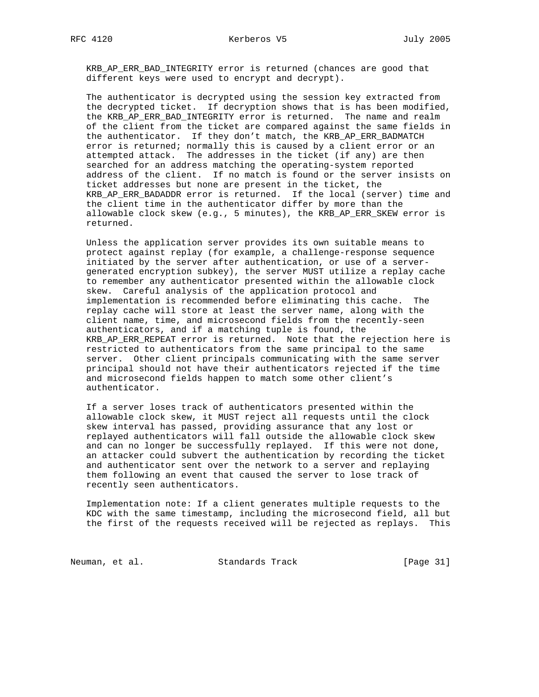KRB\_AP\_ERR\_BAD\_INTEGRITY error is returned (chances are good that different keys were used to encrypt and decrypt).

 The authenticator is decrypted using the session key extracted from the decrypted ticket. If decryption shows that is has been modified, the KRB\_AP\_ERR\_BAD\_INTEGRITY error is returned. The name and realm of the client from the ticket are compared against the same fields in the authenticator. If they don't match, the KRB\_AP\_ERR\_BADMATCH error is returned; normally this is caused by a client error or an attempted attack. The addresses in the ticket (if any) are then searched for an address matching the operating-system reported address of the client. If no match is found or the server insists on ticket addresses but none are present in the ticket, the KRB\_AP\_ERR\_BADADDR error is returned. If the local (server) time and the client time in the authenticator differ by more than the allowable clock skew (e.g., 5 minutes), the KRB\_AP\_ERR\_SKEW error is returned.

 Unless the application server provides its own suitable means to protect against replay (for example, a challenge-response sequence initiated by the server after authentication, or use of a server generated encryption subkey), the server MUST utilize a replay cache to remember any authenticator presented within the allowable clock skew. Careful analysis of the application protocol and implementation is recommended before eliminating this cache. The replay cache will store at least the server name, along with the client name, time, and microsecond fields from the recently-seen authenticators, and if a matching tuple is found, the KRB\_AP\_ERR\_REPEAT error is returned. Note that the rejection here is restricted to authenticators from the same principal to the same server. Other client principals communicating with the same server principal should not have their authenticators rejected if the time and microsecond fields happen to match some other client's authenticator.

 If a server loses track of authenticators presented within the allowable clock skew, it MUST reject all requests until the clock skew interval has passed, providing assurance that any lost or replayed authenticators will fall outside the allowable clock skew and can no longer be successfully replayed. If this were not done, an attacker could subvert the authentication by recording the ticket and authenticator sent over the network to a server and replaying them following an event that caused the server to lose track of recently seen authenticators.

 Implementation note: If a client generates multiple requests to the KDC with the same timestamp, including the microsecond field, all but the first of the requests received will be rejected as replays. This

Neuman, et al. Standards Track [Page 31]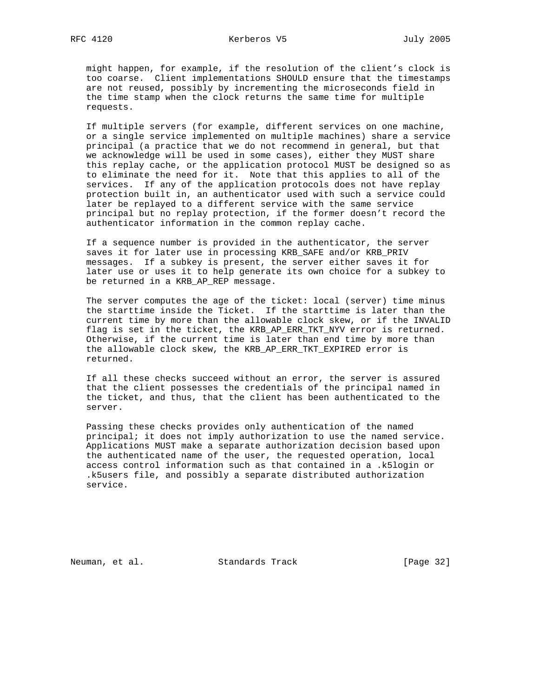might happen, for example, if the resolution of the client's clock is too coarse. Client implementations SHOULD ensure that the timestamps are not reused, possibly by incrementing the microseconds field in the time stamp when the clock returns the same time for multiple requests.

 If multiple servers (for example, different services on one machine, or a single service implemented on multiple machines) share a service principal (a practice that we do not recommend in general, but that we acknowledge will be used in some cases), either they MUST share this replay cache, or the application protocol MUST be designed so as to eliminate the need for it. Note that this applies to all of the services. If any of the application protocols does not have replay protection built in, an authenticator used with such a service could later be replayed to a different service with the same service principal but no replay protection, if the former doesn't record the authenticator information in the common replay cache.

 If a sequence number is provided in the authenticator, the server saves it for later use in processing KRB\_SAFE and/or KRB\_PRIV messages. If a subkey is present, the server either saves it for later use or uses it to help generate its own choice for a subkey to be returned in a KRB\_AP\_REP message.

 The server computes the age of the ticket: local (server) time minus the starttime inside the Ticket. If the starttime is later than the current time by more than the allowable clock skew, or if the INVALID flag is set in the ticket, the KRB\_AP\_ERR\_TKT\_NYV error is returned. Otherwise, if the current time is later than end time by more than the allowable clock skew, the KRB\_AP\_ERR\_TKT\_EXPIRED error is returned.

 If all these checks succeed without an error, the server is assured that the client possesses the credentials of the principal named in the ticket, and thus, that the client has been authenticated to the server.

 Passing these checks provides only authentication of the named principal; it does not imply authorization to use the named service. Applications MUST make a separate authorization decision based upon the authenticated name of the user, the requested operation, local access control information such as that contained in a .k5login or .k5users file, and possibly a separate distributed authorization service.

Neuman, et al. Standards Track [Page 32]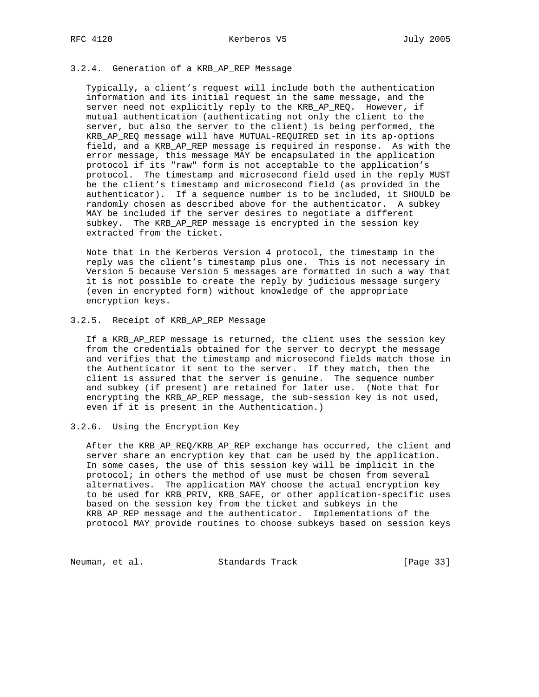## 3.2.4. Generation of a KRB\_AP\_REP Message

 Typically, a client's request will include both the authentication information and its initial request in the same message, and the server need not explicitly reply to the KRB\_AP\_REQ. However, if mutual authentication (authenticating not only the client to the server, but also the server to the client) is being performed, the KRB\_AP\_REQ message will have MUTUAL-REQUIRED set in its ap-options field, and a KRB\_AP\_REP message is required in response. As with the error message, this message MAY be encapsulated in the application protocol if its "raw" form is not acceptable to the application's protocol. The timestamp and microsecond field used in the reply MUST be the client's timestamp and microsecond field (as provided in the authenticator). If a sequence number is to be included, it SHOULD be randomly chosen as described above for the authenticator. A subkey MAY be included if the server desires to negotiate a different subkey. The KRB\_AP\_REP message is encrypted in the session key extracted from the ticket.

 Note that in the Kerberos Version 4 protocol, the timestamp in the reply was the client's timestamp plus one. This is not necessary in Version 5 because Version 5 messages are formatted in such a way that it is not possible to create the reply by judicious message surgery (even in encrypted form) without knowledge of the appropriate encryption keys.

## 3.2.5. Receipt of KRB\_AP\_REP Message

 If a KRB\_AP\_REP message is returned, the client uses the session key from the credentials obtained for the server to decrypt the message and verifies that the timestamp and microsecond fields match those in the Authenticator it sent to the server. If they match, then the client is assured that the server is genuine. The sequence number and subkey (if present) are retained for later use. (Note that for encrypting the KRB\_AP\_REP message, the sub-session key is not used, even if it is present in the Authentication.)

#### 3.2.6. Using the Encryption Key

 After the KRB\_AP\_REQ/KRB\_AP\_REP exchange has occurred, the client and server share an encryption key that can be used by the application. In some cases, the use of this session key will be implicit in the protocol; in others the method of use must be chosen from several alternatives. The application MAY choose the actual encryption key to be used for KRB\_PRIV, KRB\_SAFE, or other application-specific uses based on the session key from the ticket and subkeys in the KRB\_AP\_REP message and the authenticator. Implementations of the protocol MAY provide routines to choose subkeys based on session keys

Neuman, et al. Standards Track [Page 33]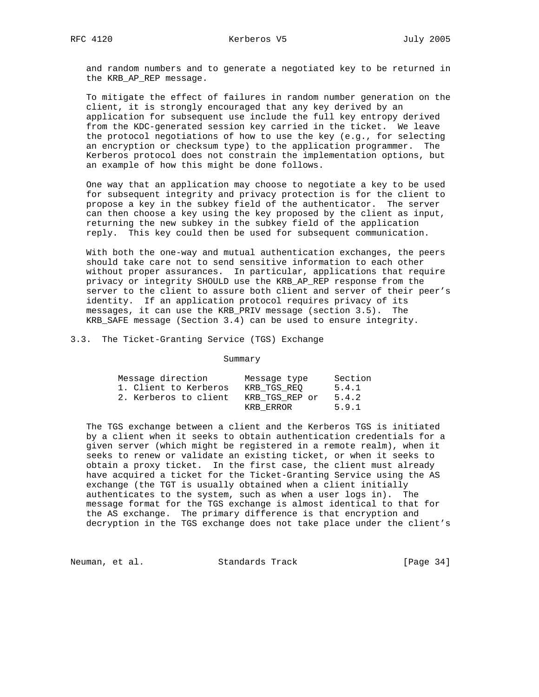and random numbers and to generate a negotiated key to be returned in the KRB\_AP\_REP message.

 To mitigate the effect of failures in random number generation on the client, it is strongly encouraged that any key derived by an application for subsequent use include the full key entropy derived from the KDC-generated session key carried in the ticket. We leave the protocol negotiations of how to use the key (e.g., for selecting an encryption or checksum type) to the application programmer. The Kerberos protocol does not constrain the implementation options, but an example of how this might be done follows.

 One way that an application may choose to negotiate a key to be used for subsequent integrity and privacy protection is for the client to propose a key in the subkey field of the authenticator. The server can then choose a key using the key proposed by the client as input, returning the new subkey in the subkey field of the application reply. This key could then be used for subsequent communication.

 With both the one-way and mutual authentication exchanges, the peers should take care not to send sensitive information to each other without proper assurances. In particular, applications that require privacy or integrity SHOULD use the KRB\_AP\_REP response from the server to the client to assure both client and server of their peer's identity. If an application protocol requires privacy of its messages, it can use the KRB\_PRIV message (section 3.5). The KRB\_SAFE message (Section 3.4) can be used to ensure integrity.

3.3. The Ticket-Granting Service (TGS) Exchange

Summary

| Message direction     | Message type   | Section |
|-----------------------|----------------|---------|
| 1. Client to Kerberos | KRB TGS REO    | 5.4.1   |
| 2. Kerberos to client | KRB TGS REP or | 5.4.2   |
|                       | KRB ERROR      | 5.9.1   |

 The TGS exchange between a client and the Kerberos TGS is initiated by a client when it seeks to obtain authentication credentials for a given server (which might be registered in a remote realm), when it seeks to renew or validate an existing ticket, or when it seeks to obtain a proxy ticket. In the first case, the client must already have acquired a ticket for the Ticket-Granting Service using the AS exchange (the TGT is usually obtained when a client initially authenticates to the system, such as when a user logs in). The message format for the TGS exchange is almost identical to that for the AS exchange. The primary difference is that encryption and decryption in the TGS exchange does not take place under the client's

Neuman, et al. Standards Track [Page 34]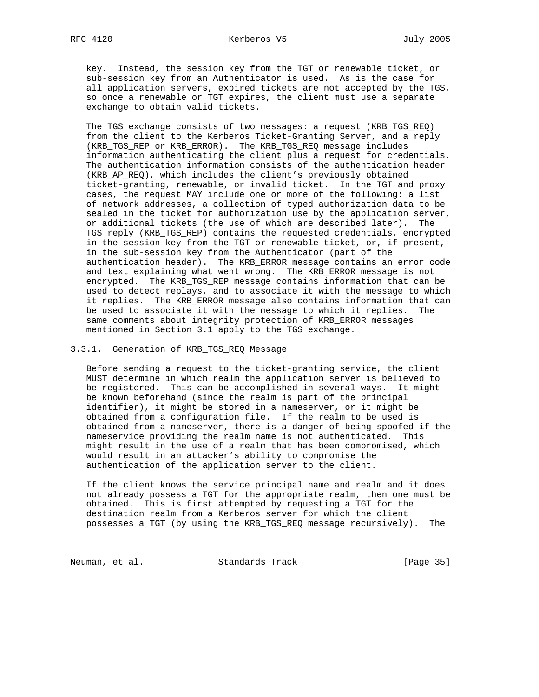key. Instead, the session key from the TGT or renewable ticket, or sub-session key from an Authenticator is used. As is the case for all application servers, expired tickets are not accepted by the TGS, so once a renewable or TGT expires, the client must use a separate exchange to obtain valid tickets.

 The TGS exchange consists of two messages: a request (KRB\_TGS\_REQ) from the client to the Kerberos Ticket-Granting Server, and a reply (KRB\_TGS\_REP or KRB\_ERROR). The KRB\_TGS\_REQ message includes information authenticating the client plus a request for credentials. The authentication information consists of the authentication header (KRB\_AP\_REQ), which includes the client's previously obtained ticket-granting, renewable, or invalid ticket. In the TGT and proxy cases, the request MAY include one or more of the following: a list of network addresses, a collection of typed authorization data to be sealed in the ticket for authorization use by the application server, or additional tickets (the use of which are described later). The TGS reply (KRB\_TGS\_REP) contains the requested credentials, encrypted in the session key from the TGT or renewable ticket, or, if present, in the sub-session key from the Authenticator (part of the authentication header). The KRB\_ERROR message contains an error code and text explaining what went wrong. The KRB\_ERROR message is not encrypted. The KRB\_TGS\_REP message contains information that can be used to detect replays, and to associate it with the message to which it replies. The KRB\_ERROR message also contains information that can be used to associate it with the message to which it replies. The same comments about integrity protection of KRB\_ERROR messages mentioned in Section 3.1 apply to the TGS exchange.

## 3.3.1. Generation of KRB\_TGS\_REQ Message

 Before sending a request to the ticket-granting service, the client MUST determine in which realm the application server is believed to be registered. This can be accomplished in several ways. It might be known beforehand (since the realm is part of the principal identifier), it might be stored in a nameserver, or it might be obtained from a configuration file. If the realm to be used is obtained from a nameserver, there is a danger of being spoofed if the nameservice providing the realm name is not authenticated. This might result in the use of a realm that has been compromised, which would result in an attacker's ability to compromise the authentication of the application server to the client.

 If the client knows the service principal name and realm and it does not already possess a TGT for the appropriate realm, then one must be obtained. This is first attempted by requesting a TGT for the destination realm from a Kerberos server for which the client possesses a TGT (by using the KRB\_TGS\_REQ message recursively). The

Neuman, et al. Standards Track [Page 35]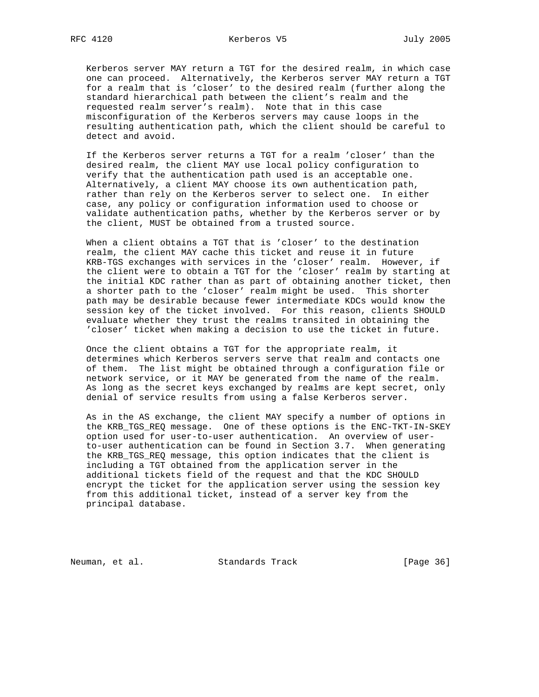Kerberos server MAY return a TGT for the desired realm, in which case one can proceed. Alternatively, the Kerberos server MAY return a TGT for a realm that is 'closer' to the desired realm (further along the standard hierarchical path between the client's realm and the requested realm server's realm). Note that in this case misconfiguration of the Kerberos servers may cause loops in the resulting authentication path, which the client should be careful to detect and avoid.

 If the Kerberos server returns a TGT for a realm 'closer' than the desired realm, the client MAY use local policy configuration to verify that the authentication path used is an acceptable one. Alternatively, a client MAY choose its own authentication path, rather than rely on the Kerberos server to select one. In either case, any policy or configuration information used to choose or validate authentication paths, whether by the Kerberos server or by the client, MUST be obtained from a trusted source.

 When a client obtains a TGT that is 'closer' to the destination realm, the client MAY cache this ticket and reuse it in future KRB-TGS exchanges with services in the 'closer' realm. However, if the client were to obtain a TGT for the 'closer' realm by starting at the initial KDC rather than as part of obtaining another ticket, then a shorter path to the 'closer' realm might be used. This shorter path may be desirable because fewer intermediate KDCs would know the session key of the ticket involved. For this reason, clients SHOULD evaluate whether they trust the realms transited in obtaining the 'closer' ticket when making a decision to use the ticket in future.

 Once the client obtains a TGT for the appropriate realm, it determines which Kerberos servers serve that realm and contacts one of them. The list might be obtained through a configuration file or network service, or it MAY be generated from the name of the realm. As long as the secret keys exchanged by realms are kept secret, only denial of service results from using a false Kerberos server.

 As in the AS exchange, the client MAY specify a number of options in the KRB\_TGS\_REQ message. One of these options is the ENC-TKT-IN-SKEY option used for user-to-user authentication. An overview of user to-user authentication can be found in Section 3.7. When generating the KRB\_TGS\_REQ message, this option indicates that the client is including a TGT obtained from the application server in the additional tickets field of the request and that the KDC SHOULD encrypt the ticket for the application server using the session key from this additional ticket, instead of a server key from the principal database.

Neuman, et al. Standards Track [Page 36]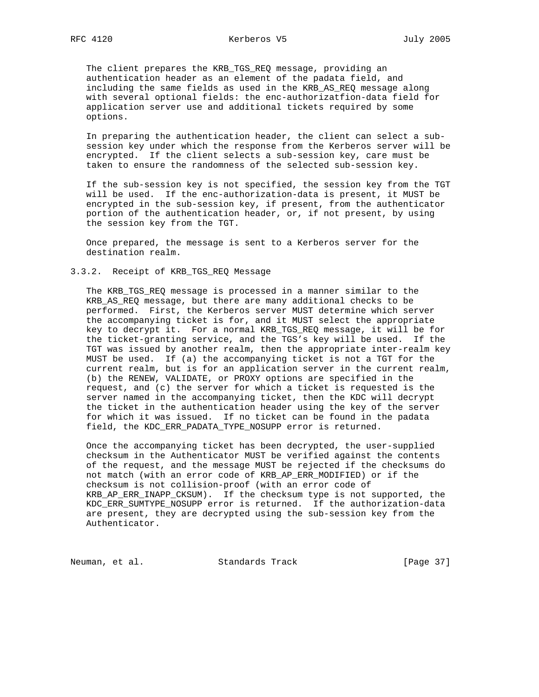The client prepares the KRB\_TGS\_REQ message, providing an authentication header as an element of the padata field, and including the same fields as used in the KRB\_AS\_REQ message along with several optional fields: the enc-authorizatfion-data field for application server use and additional tickets required by some options.

 In preparing the authentication header, the client can select a sub session key under which the response from the Kerberos server will be encrypted. If the client selects a sub-session key, care must be taken to ensure the randomness of the selected sub-session key.

 If the sub-session key is not specified, the session key from the TGT will be used. If the enc-authorization-data is present, it MUST be encrypted in the sub-session key, if present, from the authenticator portion of the authentication header, or, if not present, by using the session key from the TGT.

 Once prepared, the message is sent to a Kerberos server for the destination realm.

## 3.3.2. Receipt of KRB\_TGS\_REQ Message

 The KRB\_TGS\_REQ message is processed in a manner similar to the KRB\_AS\_REQ message, but there are many additional checks to be performed. First, the Kerberos server MUST determine which server the accompanying ticket is for, and it MUST select the appropriate key to decrypt it. For a normal KRB\_TGS\_REQ message, it will be for the ticket-granting service, and the TGS's key will be used. If the TGT was issued by another realm, then the appropriate inter-realm key MUST be used. If (a) the accompanying ticket is not a TGT for the current realm, but is for an application server in the current realm, (b) the RENEW, VALIDATE, or PROXY options are specified in the request, and (c) the server for which a ticket is requested is the server named in the accompanying ticket, then the KDC will decrypt the ticket in the authentication header using the key of the server for which it was issued. If no ticket can be found in the padata field, the KDC\_ERR\_PADATA\_TYPE\_NOSUPP error is returned.

 Once the accompanying ticket has been decrypted, the user-supplied checksum in the Authenticator MUST be verified against the contents of the request, and the message MUST be rejected if the checksums do not match (with an error code of KRB\_AP\_ERR\_MODIFIED) or if the checksum is not collision-proof (with an error code of KRB\_AP\_ERR\_INAPP\_CKSUM). If the checksum type is not supported, the KDC\_ERR\_SUMTYPE\_NOSUPP error is returned. If the authorization-data are present, they are decrypted using the sub-session key from the Authenticator.

Neuman, et al. Standards Track [Page 37]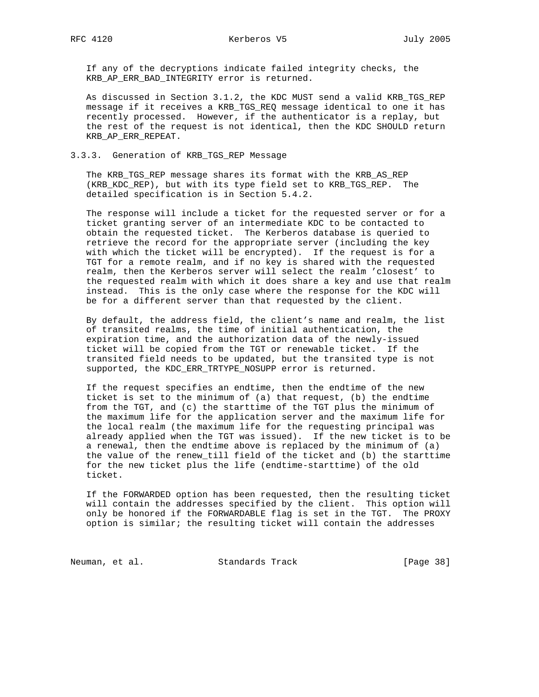If any of the decryptions indicate failed integrity checks, the KRB\_AP\_ERR\_BAD\_INTEGRITY error is returned.

 As discussed in Section 3.1.2, the KDC MUST send a valid KRB\_TGS\_REP message if it receives a KRB\_TGS\_REQ message identical to one it has recently processed. However, if the authenticator is a replay, but the rest of the request is not identical, then the KDC SHOULD return KRB\_AP\_ERR\_REPEAT.

# 3.3.3. Generation of KRB\_TGS\_REP Message

 The KRB\_TGS\_REP message shares its format with the KRB\_AS\_REP (KRB\_KDC\_REP), but with its type field set to KRB\_TGS\_REP. The detailed specification is in Section 5.4.2.

 The response will include a ticket for the requested server or for a ticket granting server of an intermediate KDC to be contacted to obtain the requested ticket. The Kerberos database is queried to retrieve the record for the appropriate server (including the key with which the ticket will be encrypted). If the request is for a TGT for a remote realm, and if no key is shared with the requested realm, then the Kerberos server will select the realm 'closest' to the requested realm with which it does share a key and use that realm instead. This is the only case where the response for the KDC will be for a different server than that requested by the client.

 By default, the address field, the client's name and realm, the list of transited realms, the time of initial authentication, the expiration time, and the authorization data of the newly-issued ticket will be copied from the TGT or renewable ticket. If the transited field needs to be updated, but the transited type is not supported, the KDC\_ERR\_TRTYPE\_NOSUPP error is returned.

 If the request specifies an endtime, then the endtime of the new ticket is set to the minimum of (a) that request, (b) the endtime from the TGT, and (c) the starttime of the TGT plus the minimum of the maximum life for the application server and the maximum life for the local realm (the maximum life for the requesting principal was already applied when the TGT was issued). If the new ticket is to be a renewal, then the endtime above is replaced by the minimum of (a) the value of the renew\_till field of the ticket and (b) the starttime for the new ticket plus the life (endtime-starttime) of the old ticket.

 If the FORWARDED option has been requested, then the resulting ticket will contain the addresses specified by the client. This option will only be honored if the FORWARDABLE flag is set in the TGT. The PROXY option is similar; the resulting ticket will contain the addresses

Neuman, et al. Standards Track [Page 38]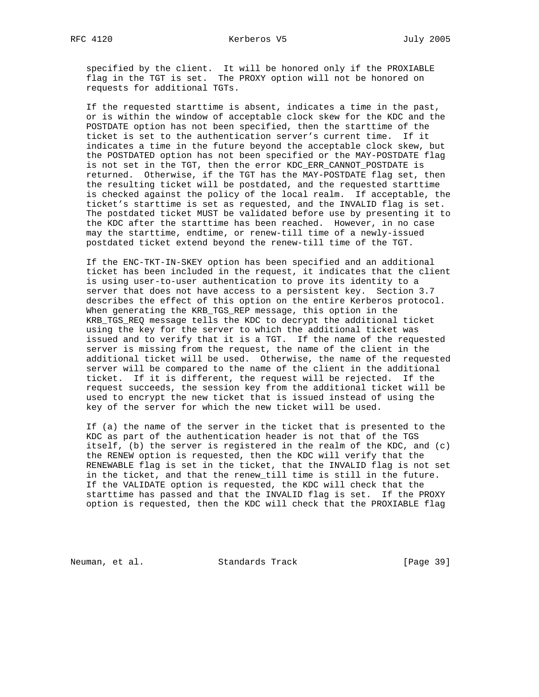specified by the client. It will be honored only if the PROXIABLE flag in the TGT is set. The PROXY option will not be honored on requests for additional TGTs.

 If the requested starttime is absent, indicates a time in the past, or is within the window of acceptable clock skew for the KDC and the POSTDATE option has not been specified, then the starttime of the ticket is set to the authentication server's current time. If it indicates a time in the future beyond the acceptable clock skew, but the POSTDATED option has not been specified or the MAY-POSTDATE flag is not set in the TGT, then the error KDC\_ERR\_CANNOT\_POSTDATE is returned. Otherwise, if the TGT has the MAY-POSTDATE flag set, then the resulting ticket will be postdated, and the requested starttime is checked against the policy of the local realm. If acceptable, the ticket's starttime is set as requested, and the INVALID flag is set. The postdated ticket MUST be validated before use by presenting it to the KDC after the starttime has been reached. However, in no case may the starttime, endtime, or renew-till time of a newly-issued postdated ticket extend beyond the renew-till time of the TGT.

 If the ENC-TKT-IN-SKEY option has been specified and an additional ticket has been included in the request, it indicates that the client is using user-to-user authentication to prove its identity to a server that does not have access to a persistent key. Section 3.7 describes the effect of this option on the entire Kerberos protocol. When generating the KRB\_TGS\_REP message, this option in the KRB\_TGS\_REQ message tells the KDC to decrypt the additional ticket using the key for the server to which the additional ticket was issued and to verify that it is a TGT. If the name of the requested server is missing from the request, the name of the client in the additional ticket will be used. Otherwise, the name of the requested server will be compared to the name of the client in the additional ticket. If it is different, the request will be rejected. If the request succeeds, the session key from the additional ticket will be used to encrypt the new ticket that is issued instead of using the key of the server for which the new ticket will be used.

 If (a) the name of the server in the ticket that is presented to the KDC as part of the authentication header is not that of the TGS itself, (b) the server is registered in the realm of the KDC, and (c) the RENEW option is requested, then the KDC will verify that the RENEWABLE flag is set in the ticket, that the INVALID flag is not set in the ticket, and that the renew\_till time is still in the future. If the VALIDATE option is requested, the KDC will check that the starttime has passed and that the INVALID flag is set. If the PROXY option is requested, then the KDC will check that the PROXIABLE flag

Neuman, et al. Standards Track [Page 39]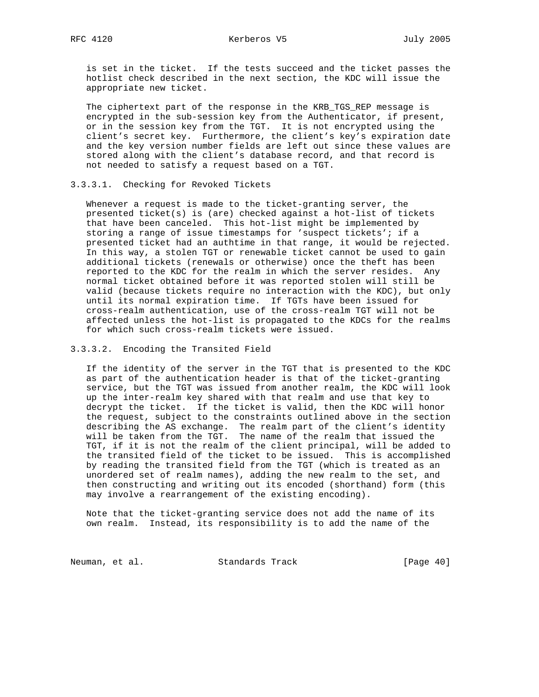is set in the ticket. If the tests succeed and the ticket passes the hotlist check described in the next section, the KDC will issue the appropriate new ticket.

 The ciphertext part of the response in the KRB\_TGS\_REP message is encrypted in the sub-session key from the Authenticator, if present, or in the session key from the TGT. It is not encrypted using the client's secret key. Furthermore, the client's key's expiration date and the key version number fields are left out since these values are stored along with the client's database record, and that record is not needed to satisfy a request based on a TGT.

### 3.3.3.1. Checking for Revoked Tickets

 Whenever a request is made to the ticket-granting server, the presented ticket(s) is (are) checked against a hot-list of tickets that have been canceled. This hot-list might be implemented by storing a range of issue timestamps for 'suspect tickets'; if a presented ticket had an authtime in that range, it would be rejected. In this way, a stolen TGT or renewable ticket cannot be used to gain additional tickets (renewals or otherwise) once the theft has been reported to the KDC for the realm in which the server resides. Any normal ticket obtained before it was reported stolen will still be valid (because tickets require no interaction with the KDC), but only until its normal expiration time. If TGTs have been issued for cross-realm authentication, use of the cross-realm TGT will not be affected unless the hot-list is propagated to the KDCs for the realms for which such cross-realm tickets were issued.

## 3.3.3.2. Encoding the Transited Field

 If the identity of the server in the TGT that is presented to the KDC as part of the authentication header is that of the ticket-granting service, but the TGT was issued from another realm, the KDC will look up the inter-realm key shared with that realm and use that key to decrypt the ticket. If the ticket is valid, then the KDC will honor the request, subject to the constraints outlined above in the section describing the AS exchange. The realm part of the client's identity will be taken from the TGT. The name of the realm that issued the TGT, if it is not the realm of the client principal, will be added to the transited field of the ticket to be issued. This is accomplished by reading the transited field from the TGT (which is treated as an unordered set of realm names), adding the new realm to the set, and then constructing and writing out its encoded (shorthand) form (this may involve a rearrangement of the existing encoding).

 Note that the ticket-granting service does not add the name of its own realm. Instead, its responsibility is to add the name of the

Neuman, et al. Standards Track [Page 40]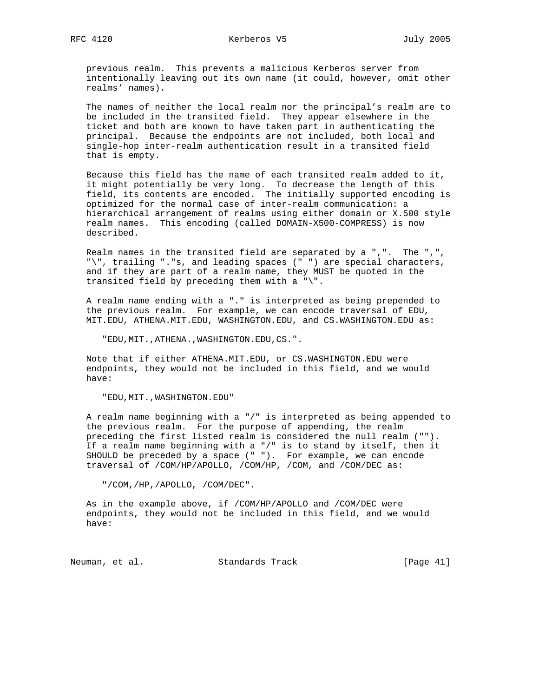previous realm. This prevents a malicious Kerberos server from intentionally leaving out its own name (it could, however, omit other realms' names).

 The names of neither the local realm nor the principal's realm are to be included in the transited field. They appear elsewhere in the ticket and both are known to have taken part in authenticating the principal. Because the endpoints are not included, both local and single-hop inter-realm authentication result in a transited field that is empty.

 Because this field has the name of each transited realm added to it, it might potentially be very long. To decrease the length of this field, its contents are encoded. The initially supported encoding is optimized for the normal case of inter-realm communication: a hierarchical arrangement of realms using either domain or X.500 style realm names. This encoding (called DOMAIN-X500-COMPRESS) is now described.

 Realm names in the transited field are separated by a ",". The ",", "\", trailing "."s, and leading spaces (" ") are special characters, and if they are part of a realm name, they MUST be quoted in the transited field by preceding them with a "\".

 A realm name ending with a "." is interpreted as being prepended to the previous realm. For example, we can encode traversal of EDU, MIT.EDU, ATHENA.MIT.EDU, WASHINGTON.EDU, and CS.WASHINGTON.EDU as:

"EDU,MIT.,ATHENA.,WASHINGTON.EDU,CS.".

 Note that if either ATHENA.MIT.EDU, or CS.WASHINGTON.EDU were endpoints, they would not be included in this field, and we would have:

"EDU,MIT.,WASHINGTON.EDU"

 A realm name beginning with a "/" is interpreted as being appended to the previous realm. For the purpose of appending, the realm preceding the first listed realm is considered the null realm (""). If a realm name beginning with a "/" is to stand by itself, then it SHOULD be preceded by a space (" "). For example, we can encode traversal of /COM/HP/APOLLO, /COM/HP, /COM, and /COM/DEC as:

"/COM,/HP,/APOLLO, /COM/DEC".

 As in the example above, if /COM/HP/APOLLO and /COM/DEC were endpoints, they would not be included in this field, and we would have:

Neuman, et al. Standards Track [Page 41]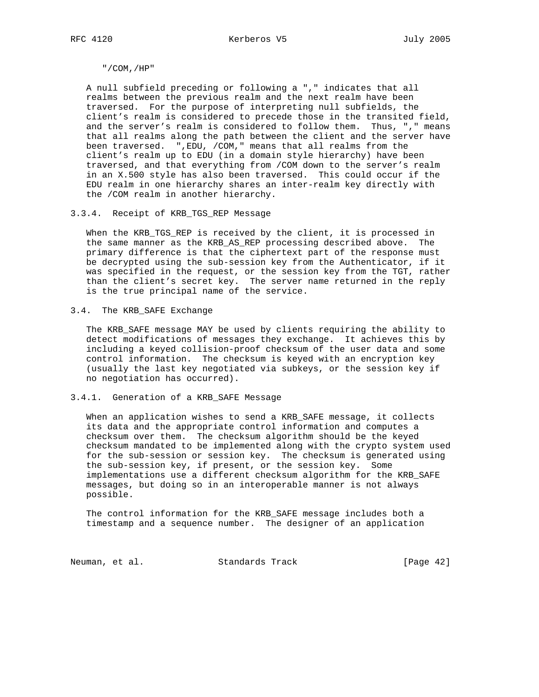"/COM,/HP"

 A null subfield preceding or following a "," indicates that all realms between the previous realm and the next realm have been traversed. For the purpose of interpreting null subfields, the client's realm is considered to precede those in the transited field, and the server's realm is considered to follow them. Thus, "," means that all realms along the path between the client and the server have been traversed. ",EDU, /COM," means that all realms from the client's realm up to EDU (in a domain style hierarchy) have been traversed, and that everything from /COM down to the server's realm in an X.500 style has also been traversed. This could occur if the EDU realm in one hierarchy shares an inter-realm key directly with the /COM realm in another hierarchy.

## 3.3.4. Receipt of KRB\_TGS\_REP Message

 When the KRB\_TGS\_REP is received by the client, it is processed in the same manner as the KRB\_AS\_REP processing described above. The primary difference is that the ciphertext part of the response must be decrypted using the sub-session key from the Authenticator, if it was specified in the request, or the session key from the TGT, rather than the client's secret key. The server name returned in the reply is the true principal name of the service.

3.4. The KRB\_SAFE Exchange

 The KRB\_SAFE message MAY be used by clients requiring the ability to detect modifications of messages they exchange. It achieves this by including a keyed collision-proof checksum of the user data and some control information. The checksum is keyed with an encryption key (usually the last key negotiated via subkeys, or the session key if no negotiation has occurred).

### 3.4.1. Generation of a KRB\_SAFE Message

 When an application wishes to send a KRB\_SAFE message, it collects its data and the appropriate control information and computes a checksum over them. The checksum algorithm should be the keyed checksum mandated to be implemented along with the crypto system used for the sub-session or session key. The checksum is generated using the sub-session key, if present, or the session key. Some implementations use a different checksum algorithm for the KRB\_SAFE messages, but doing so in an interoperable manner is not always possible.

 The control information for the KRB\_SAFE message includes both a timestamp and a sequence number. The designer of an application

Neuman, et al. Standards Track [Page 42]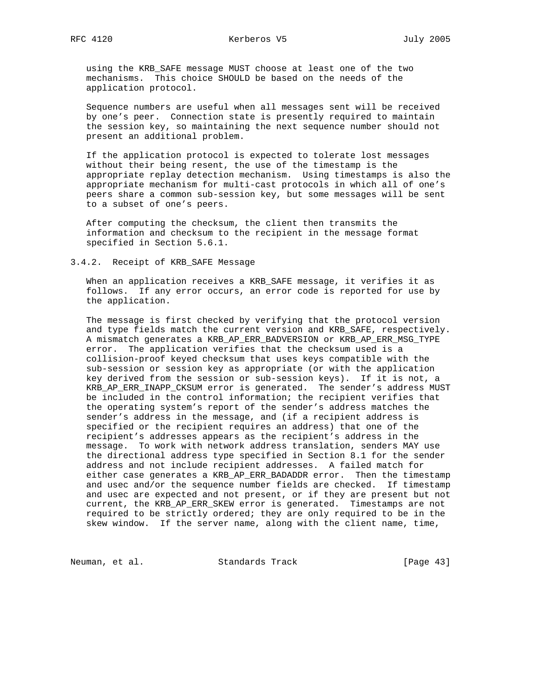using the KRB\_SAFE message MUST choose at least one of the two mechanisms. This choice SHOULD be based on the needs of the application protocol.

 Sequence numbers are useful when all messages sent will be received by one's peer. Connection state is presently required to maintain the session key, so maintaining the next sequence number should not present an additional problem.

 If the application protocol is expected to tolerate lost messages without their being resent, the use of the timestamp is the appropriate replay detection mechanism. Using timestamps is also the appropriate mechanism for multi-cast protocols in which all of one's peers share a common sub-session key, but some messages will be sent to a subset of one's peers.

 After computing the checksum, the client then transmits the information and checksum to the recipient in the message format specified in Section 5.6.1.

#### 3.4.2. Receipt of KRB\_SAFE Message

 When an application receives a KRB\_SAFE message, it verifies it as follows. If any error occurs, an error code is reported for use by the application.

 The message is first checked by verifying that the protocol version and type fields match the current version and KRB\_SAFE, respectively. A mismatch generates a KRB\_AP\_ERR\_BADVERSION or KRB\_AP\_ERR\_MSG\_TYPE error. The application verifies that the checksum used is a collision-proof keyed checksum that uses keys compatible with the sub-session or session key as appropriate (or with the application key derived from the session or sub-session keys). If it is not, a KRB\_AP\_ERR\_INAPP\_CKSUM error is generated. The sender's address MUST be included in the control information; the recipient verifies that the operating system's report of the sender's address matches the sender's address in the message, and (if a recipient address is specified or the recipient requires an address) that one of the recipient's addresses appears as the recipient's address in the message. To work with network address translation, senders MAY use the directional address type specified in Section 8.1 for the sender address and not include recipient addresses. A failed match for either case generates a KRB\_AP\_ERR\_BADADDR error. Then the timestamp and usec and/or the sequence number fields are checked. If timestamp and usec are expected and not present, or if they are present but not current, the KRB\_AP\_ERR\_SKEW error is generated. Timestamps are not required to be strictly ordered; they are only required to be in the skew window. If the server name, along with the client name, time,

Neuman, et al. Standards Track [Page 43]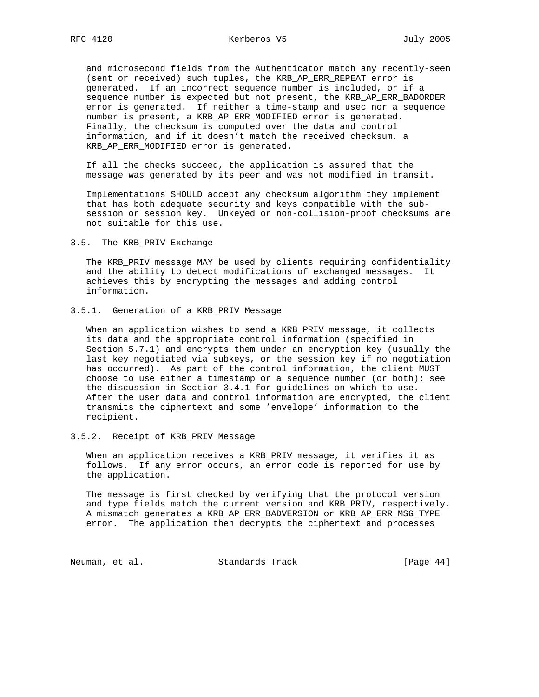and microsecond fields from the Authenticator match any recently-seen (sent or received) such tuples, the KRB\_AP\_ERR\_REPEAT error is generated. If an incorrect sequence number is included, or if a sequence number is expected but not present, the KRB\_AP\_ERR\_BADORDER error is generated. If neither a time-stamp and usec nor a sequence number is present, a KRB\_AP\_ERR\_MODIFIED error is generated. Finally, the checksum is computed over the data and control information, and if it doesn't match the received checksum, a KRB\_AP\_ERR\_MODIFIED error is generated.

 If all the checks succeed, the application is assured that the message was generated by its peer and was not modified in transit.

 Implementations SHOULD accept any checksum algorithm they implement that has both adequate security and keys compatible with the sub session or session key. Unkeyed or non-collision-proof checksums are not suitable for this use.

## 3.5. The KRB\_PRIV Exchange

 The KRB\_PRIV message MAY be used by clients requiring confidentiality and the ability to detect modifications of exchanged messages. It achieves this by encrypting the messages and adding control information.

# 3.5.1. Generation of a KRB\_PRIV Message

When an application wishes to send a KRB PRIV message, it collects its data and the appropriate control information (specified in Section 5.7.1) and encrypts them under an encryption key (usually the last key negotiated via subkeys, or the session key if no negotiation has occurred). As part of the control information, the client MUST choose to use either a timestamp or a sequence number (or both); see the discussion in Section 3.4.1 for guidelines on which to use. After the user data and control information are encrypted, the client transmits the ciphertext and some 'envelope' information to the recipient.

#### 3.5.2. Receipt of KRB\_PRIV Message

 When an application receives a KRB\_PRIV message, it verifies it as follows. If any error occurs, an error code is reported for use by the application.

 The message is first checked by verifying that the protocol version and type fields match the current version and KRB\_PRIV, respectively. A mismatch generates a KRB\_AP\_ERR\_BADVERSION or KRB\_AP\_ERR\_MSG\_TYPE error. The application then decrypts the ciphertext and processes

Neuman, et al. Standards Track [Page 44]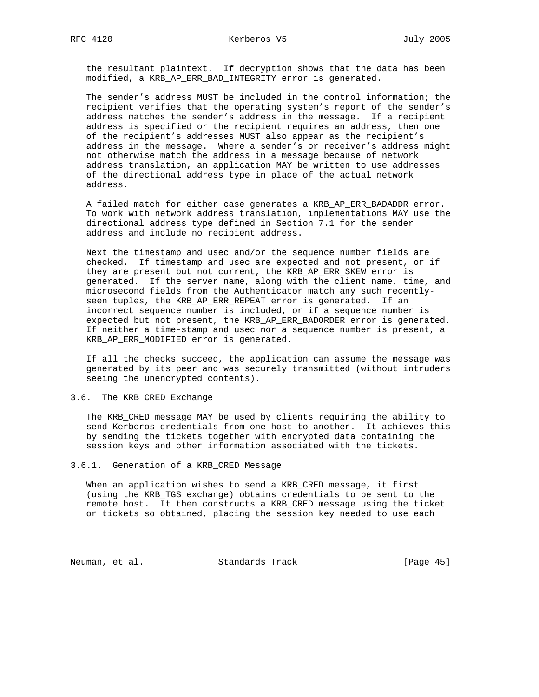the resultant plaintext. If decryption shows that the data has been modified, a KRB\_AP\_ERR\_BAD\_INTEGRITY error is generated.

 The sender's address MUST be included in the control information; the recipient verifies that the operating system's report of the sender's address matches the sender's address in the message. If a recipient address is specified or the recipient requires an address, then one of the recipient's addresses MUST also appear as the recipient's address in the message. Where a sender's or receiver's address might not otherwise match the address in a message because of network address translation, an application MAY be written to use addresses of the directional address type in place of the actual network address.

 A failed match for either case generates a KRB\_AP\_ERR\_BADADDR error. To work with network address translation, implementations MAY use the directional address type defined in Section 7.1 for the sender address and include no recipient address.

 Next the timestamp and usec and/or the sequence number fields are checked. If timestamp and usec are expected and not present, or if they are present but not current, the KRB\_AP\_ERR\_SKEW error is generated. If the server name, along with the client name, time, and microsecond fields from the Authenticator match any such recently seen tuples, the KRB\_AP\_ERR\_REPEAT error is generated. If an incorrect sequence number is included, or if a sequence number is expected but not present, the KRB\_AP\_ERR\_BADORDER error is generated. If neither a time-stamp and usec nor a sequence number is present, a KRB\_AP\_ERR\_MODIFIED error is generated.

 If all the checks succeed, the application can assume the message was generated by its peer and was securely transmitted (without intruders seeing the unencrypted contents).

### 3.6. The KRB\_CRED Exchange

 The KRB\_CRED message MAY be used by clients requiring the ability to send Kerberos credentials from one host to another. It achieves this by sending the tickets together with encrypted data containing the session keys and other information associated with the tickets.

# 3.6.1. Generation of a KRB\_CRED Message

 When an application wishes to send a KRB\_CRED message, it first (using the KRB\_TGS exchange) obtains credentials to be sent to the remote host. It then constructs a KRB\_CRED message using the ticket or tickets so obtained, placing the session key needed to use each

Neuman, et al. Standards Track [Page 45]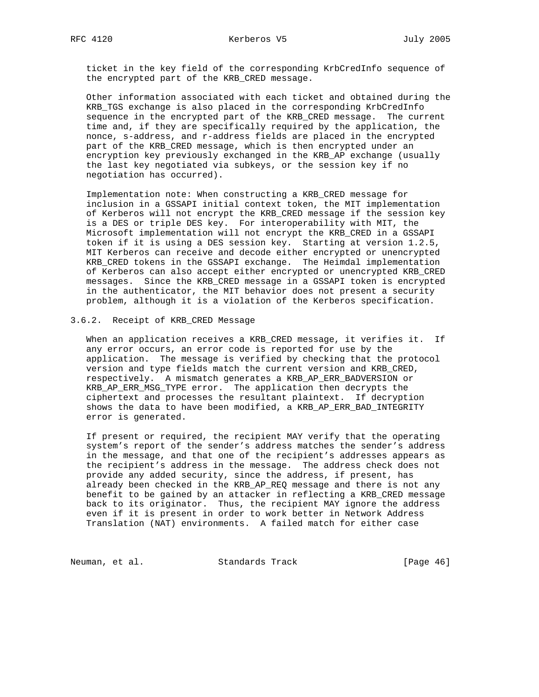ticket in the key field of the corresponding KrbCredInfo sequence of the encrypted part of the KRB\_CRED message.

 Other information associated with each ticket and obtained during the KRB\_TGS exchange is also placed in the corresponding KrbCredInfo sequence in the encrypted part of the KRB\_CRED message. The current time and, if they are specifically required by the application, the nonce, s-address, and r-address fields are placed in the encrypted part of the KRB\_CRED message, which is then encrypted under an encryption key previously exchanged in the KRB\_AP exchange (usually the last key negotiated via subkeys, or the session key if no negotiation has occurred).

 Implementation note: When constructing a KRB\_CRED message for inclusion in a GSSAPI initial context token, the MIT implementation of Kerberos will not encrypt the KRB\_CRED message if the session key is a DES or triple DES key. For interoperability with MIT, the Microsoft implementation will not encrypt the KRB\_CRED in a GSSAPI token if it is using a DES session key. Starting at version 1.2.5, MIT Kerberos can receive and decode either encrypted or unencrypted KRB\_CRED tokens in the GSSAPI exchange. The Heimdal implementation of Kerberos can also accept either encrypted or unencrypted KRB\_CRED messages. Since the KRB\_CRED message in a GSSAPI token is encrypted in the authenticator, the MIT behavior does not present a security problem, although it is a violation of the Kerberos specification.

## 3.6.2. Receipt of KRB\_CRED Message

 When an application receives a KRB\_CRED message, it verifies it. If any error occurs, an error code is reported for use by the application. The message is verified by checking that the protocol version and type fields match the current version and KRB\_CRED, respectively. A mismatch generates a KRB\_AP\_ERR\_BADVERSION or KRB\_AP\_ERR\_MSG\_TYPE error. The application then decrypts the ciphertext and processes the resultant plaintext. If decryption shows the data to have been modified, a KRB\_AP\_ERR\_BAD\_INTEGRITY error is generated.

 If present or required, the recipient MAY verify that the operating system's report of the sender's address matches the sender's address in the message, and that one of the recipient's addresses appears as the recipient's address in the message. The address check does not provide any added security, since the address, if present, has already been checked in the KRB\_AP\_REQ message and there is not any benefit to be gained by an attacker in reflecting a KRB\_CRED message back to its originator. Thus, the recipient MAY ignore the address even if it is present in order to work better in Network Address Translation (NAT) environments. A failed match for either case

Neuman, et al. Standards Track [Page 46]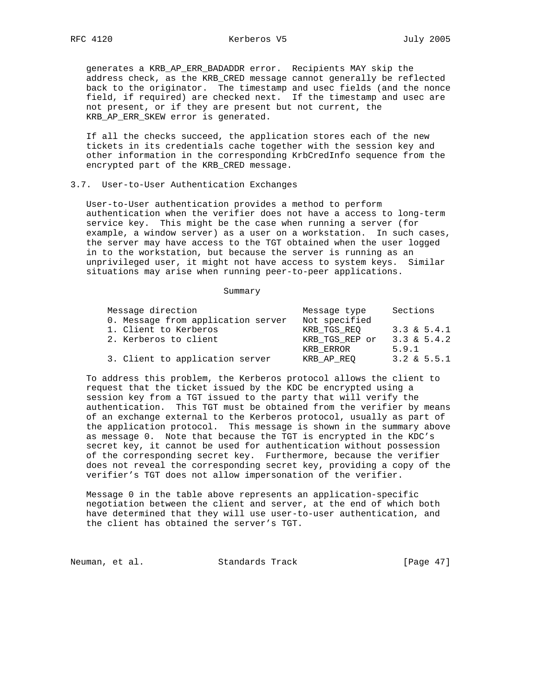generates a KRB\_AP\_ERR\_BADADDR error. Recipients MAY skip the address check, as the KRB\_CRED message cannot generally be reflected back to the originator. The timestamp and usec fields (and the nonce field, if required) are checked next. If the timestamp and usec are not present, or if they are present but not current, the KRB\_AP\_ERR\_SKEW error is generated.

 If all the checks succeed, the application stores each of the new tickets in its credentials cache together with the session key and other information in the corresponding KrbCredInfo sequence from the encrypted part of the KRB\_CRED message.

### 3.7. User-to-User Authentication Exchanges

 User-to-User authentication provides a method to perform authentication when the verifier does not have a access to long-term service key. This might be the case when running a server (for example, a window server) as a user on a workstation. In such cases, the server may have access to the TGT obtained when the user logged in to the workstation, but because the server is running as an unprivileged user, it might not have access to system keys. Similar situations may arise when running peer-to-peer applications.

Summary

| Message direction                  | Message type   | Sections       |
|------------------------------------|----------------|----------------|
| 0. Message from application server | Not specified  |                |
| 1. Client to Kerberos              | KRB TGS REO    | $3.3 \& 5.4.1$ |
| 2. Kerberos to client              | KRB_TGS_REP or | $3.3 \& 5.4.2$ |
|                                    | KRB ERROR      | 5.9.1          |
| 3. Client to application server    | KRB AP REO     | $3.2 \& 5.5.1$ |

 To address this problem, the Kerberos protocol allows the client to request that the ticket issued by the KDC be encrypted using a session key from a TGT issued to the party that will verify the authentication. This TGT must be obtained from the verifier by means of an exchange external to the Kerberos protocol, usually as part of the application protocol. This message is shown in the summary above as message 0. Note that because the TGT is encrypted in the KDC's secret key, it cannot be used for authentication without possession of the corresponding secret key. Furthermore, because the verifier does not reveal the corresponding secret key, providing a copy of the verifier's TGT does not allow impersonation of the verifier.

 Message 0 in the table above represents an application-specific negotiation between the client and server, at the end of which both have determined that they will use user-to-user authentication, and the client has obtained the server's TGT.

Neuman, et al. Standards Track [Page 47]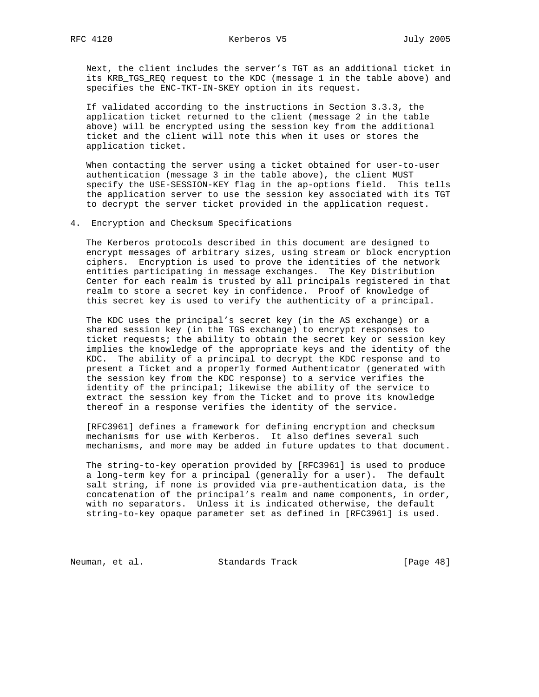Next, the client includes the server's TGT as an additional ticket in its KRB\_TGS\_REQ request to the KDC (message 1 in the table above) and specifies the ENC-TKT-IN-SKEY option in its request.

 If validated according to the instructions in Section 3.3.3, the application ticket returned to the client (message 2 in the table above) will be encrypted using the session key from the additional ticket and the client will note this when it uses or stores the application ticket.

 When contacting the server using a ticket obtained for user-to-user authentication (message 3 in the table above), the client MUST specify the USE-SESSION-KEY flag in the ap-options field. This tells the application server to use the session key associated with its TGT to decrypt the server ticket provided in the application request.

4. Encryption and Checksum Specifications

 The Kerberos protocols described in this document are designed to encrypt messages of arbitrary sizes, using stream or block encryption ciphers. Encryption is used to prove the identities of the network entities participating in message exchanges. The Key Distribution Center for each realm is trusted by all principals registered in that realm to store a secret key in confidence. Proof of knowledge of this secret key is used to verify the authenticity of a principal.

 The KDC uses the principal's secret key (in the AS exchange) or a shared session key (in the TGS exchange) to encrypt responses to ticket requests; the ability to obtain the secret key or session key implies the knowledge of the appropriate keys and the identity of the KDC. The ability of a principal to decrypt the KDC response and to present a Ticket and a properly formed Authenticator (generated with the session key from the KDC response) to a service verifies the identity of the principal; likewise the ability of the service to extract the session key from the Ticket and to prove its knowledge thereof in a response verifies the identity of the service.

 [RFC3961] defines a framework for defining encryption and checksum mechanisms for use with Kerberos. It also defines several such mechanisms, and more may be added in future updates to that document.

 The string-to-key operation provided by [RFC3961] is used to produce a long-term key for a principal (generally for a user). The default salt string, if none is provided via pre-authentication data, is the concatenation of the principal's realm and name components, in order, with no separators. Unless it is indicated otherwise, the default string-to-key opaque parameter set as defined in [RFC3961] is used.

Neuman, et al. Standards Track [Page 48]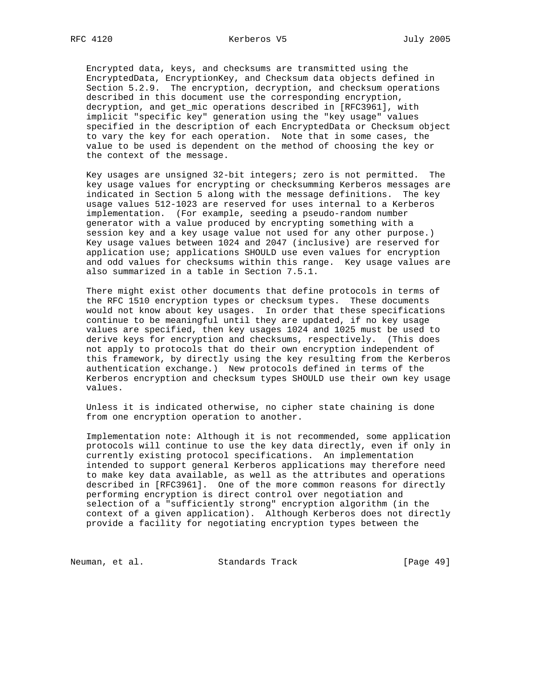Encrypted data, keys, and checksums are transmitted using the EncryptedData, EncryptionKey, and Checksum data objects defined in Section 5.2.9. The encryption, decryption, and checksum operations described in this document use the corresponding encryption, decryption, and get\_mic operations described in [RFC3961], with implicit "specific key" generation using the "key usage" values specified in the description of each EncryptedData or Checksum object to vary the key for each operation. Note that in some cases, the value to be used is dependent on the method of choosing the key or the context of the message.

 Key usages are unsigned 32-bit integers; zero is not permitted. The key usage values for encrypting or checksumming Kerberos messages are indicated in Section 5 along with the message definitions. The key usage values 512-1023 are reserved for uses internal to a Kerberos implementation. (For example, seeding a pseudo-random number generator with a value produced by encrypting something with a session key and a key usage value not used for any other purpose.) Key usage values between 1024 and 2047 (inclusive) are reserved for application use; applications SHOULD use even values for encryption and odd values for checksums within this range. Key usage values are also summarized in a table in Section 7.5.1.

 There might exist other documents that define protocols in terms of the RFC 1510 encryption types or checksum types. These documents would not know about key usages. In order that these specifications continue to be meaningful until they are updated, if no key usage values are specified, then key usages 1024 and 1025 must be used to derive keys for encryption and checksums, respectively. (This does not apply to protocols that do their own encryption independent of this framework, by directly using the key resulting from the Kerberos authentication exchange.) New protocols defined in terms of the Kerberos encryption and checksum types SHOULD use their own key usage values.

 Unless it is indicated otherwise, no cipher state chaining is done from one encryption operation to another.

 Implementation note: Although it is not recommended, some application protocols will continue to use the key data directly, even if only in currently existing protocol specifications. An implementation intended to support general Kerberos applications may therefore need to make key data available, as well as the attributes and operations described in [RFC3961]. One of the more common reasons for directly performing encryption is direct control over negotiation and selection of a "sufficiently strong" encryption algorithm (in the context of a given application). Although Kerberos does not directly provide a facility for negotiating encryption types between the

Neuman, et al. Standards Track [Page 49]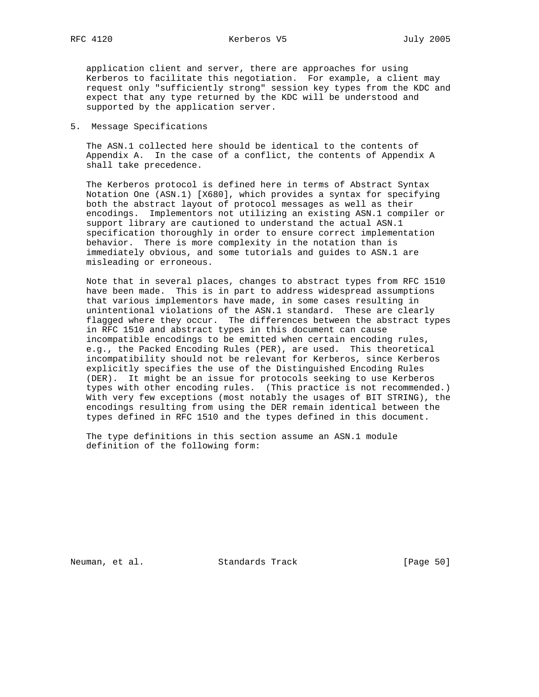application client and server, there are approaches for using Kerberos to facilitate this negotiation. For example, a client may request only "sufficiently strong" session key types from the KDC and expect that any type returned by the KDC will be understood and supported by the application server.

## 5. Message Specifications

 The ASN.1 collected here should be identical to the contents of Appendix A. In the case of a conflict, the contents of Appendix A shall take precedence.

 The Kerberos protocol is defined here in terms of Abstract Syntax Notation One (ASN.1) [X680], which provides a syntax for specifying both the abstract layout of protocol messages as well as their encodings. Implementors not utilizing an existing ASN.1 compiler or support library are cautioned to understand the actual ASN.1 specification thoroughly in order to ensure correct implementation behavior. There is more complexity in the notation than is immediately obvious, and some tutorials and guides to ASN.1 are misleading or erroneous.

 Note that in several places, changes to abstract types from RFC 1510 have been made. This is in part to address widespread assumptions that various implementors have made, in some cases resulting in unintentional violations of the ASN.1 standard. These are clearly flagged where they occur. The differences between the abstract types in RFC 1510 and abstract types in this document can cause incompatible encodings to be emitted when certain encoding rules, e.g., the Packed Encoding Rules (PER), are used. This theoretical incompatibility should not be relevant for Kerberos, since Kerberos explicitly specifies the use of the Distinguished Encoding Rules (DER). It might be an issue for protocols seeking to use Kerberos types with other encoding rules. (This practice is not recommended.) With very few exceptions (most notably the usages of BIT STRING), the encodings resulting from using the DER remain identical between the types defined in RFC 1510 and the types defined in this document.

 The type definitions in this section assume an ASN.1 module definition of the following form:

Neuman, et al. Standards Track [Page 50]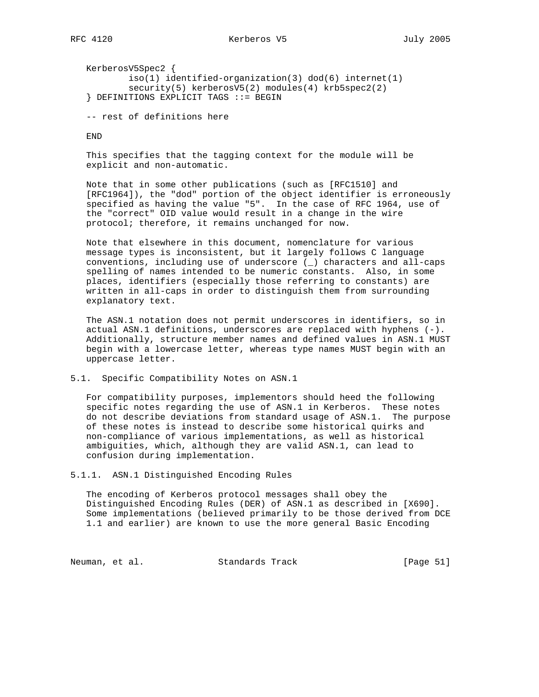KerberosV5Spec2 { iso(1) identified-organization(3) dod(6) internet(1) security(5) kerberosV5(2) modules(4) krb5spec2(2) } DEFINITIONS EXPLICIT TAGS ::= BEGIN

-- rest of definitions here

END

 This specifies that the tagging context for the module will be explicit and non-automatic.

 Note that in some other publications (such as [RFC1510] and [RFC1964]), the "dod" portion of the object identifier is erroneously specified as having the value "5". In the case of RFC 1964, use of the "correct" OID value would result in a change in the wire protocol; therefore, it remains unchanged for now.

 Note that elsewhere in this document, nomenclature for various message types is inconsistent, but it largely follows C language conventions, including use of underscore (\_) characters and all-caps spelling of names intended to be numeric constants. Also, in some places, identifiers (especially those referring to constants) are written in all-caps in order to distinguish them from surrounding explanatory text.

 The ASN.1 notation does not permit underscores in identifiers, so in actual ASN.1 definitions, underscores are replaced with hyphens (-). Additionally, structure member names and defined values in ASN.1 MUST begin with a lowercase letter, whereas type names MUST begin with an uppercase letter.

5.1. Specific Compatibility Notes on ASN.1

 For compatibility purposes, implementors should heed the following specific notes regarding the use of ASN.1 in Kerberos. These notes do not describe deviations from standard usage of ASN.1. The purpose of these notes is instead to describe some historical quirks and non-compliance of various implementations, as well as historical ambiguities, which, although they are valid ASN.1, can lead to confusion during implementation.

## 5.1.1. ASN.1 Distinguished Encoding Rules

 The encoding of Kerberos protocol messages shall obey the Distinguished Encoding Rules (DER) of ASN.1 as described in [X690]. Some implementations (believed primarily to be those derived from DCE 1.1 and earlier) are known to use the more general Basic Encoding

Neuman, et al. Standards Track [Page 51]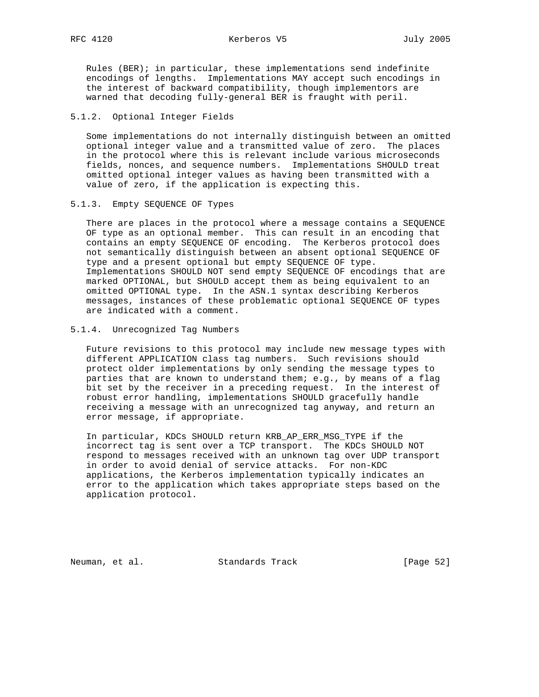RFC 4120 Kerberos V5 July 2005

 Rules (BER); in particular, these implementations send indefinite encodings of lengths. Implementations MAY accept such encodings in the interest of backward compatibility, though implementors are warned that decoding fully-general BER is fraught with peril.

## 5.1.2. Optional Integer Fields

 Some implementations do not internally distinguish between an omitted optional integer value and a transmitted value of zero. The places in the protocol where this is relevant include various microseconds fields, nonces, and sequence numbers. Implementations SHOULD treat omitted optional integer values as having been transmitted with a value of zero, if the application is expecting this.

## 5.1.3. Empty SEQUENCE OF Types

 There are places in the protocol where a message contains a SEQUENCE OF type as an optional member. This can result in an encoding that contains an empty SEQUENCE OF encoding. The Kerberos protocol does not semantically distinguish between an absent optional SEQUENCE OF type and a present optional but empty SEQUENCE OF type. Implementations SHOULD NOT send empty SEQUENCE OF encodings that are marked OPTIONAL, but SHOULD accept them as being equivalent to an omitted OPTIONAL type. In the ASN.1 syntax describing Kerberos messages, instances of these problematic optional SEQUENCE OF types are indicated with a comment.

#### 5.1.4. Unrecognized Tag Numbers

 Future revisions to this protocol may include new message types with different APPLICATION class tag numbers. Such revisions should protect older implementations by only sending the message types to parties that are known to understand them; e.g., by means of a flag bit set by the receiver in a preceding request. In the interest of robust error handling, implementations SHOULD gracefully handle receiving a message with an unrecognized tag anyway, and return an error message, if appropriate.

 In particular, KDCs SHOULD return KRB\_AP\_ERR\_MSG\_TYPE if the incorrect tag is sent over a TCP transport. The KDCs SHOULD NOT respond to messages received with an unknown tag over UDP transport in order to avoid denial of service attacks. For non-KDC applications, the Kerberos implementation typically indicates an error to the application which takes appropriate steps based on the application protocol.

Neuman, et al. Standards Track [Page 52]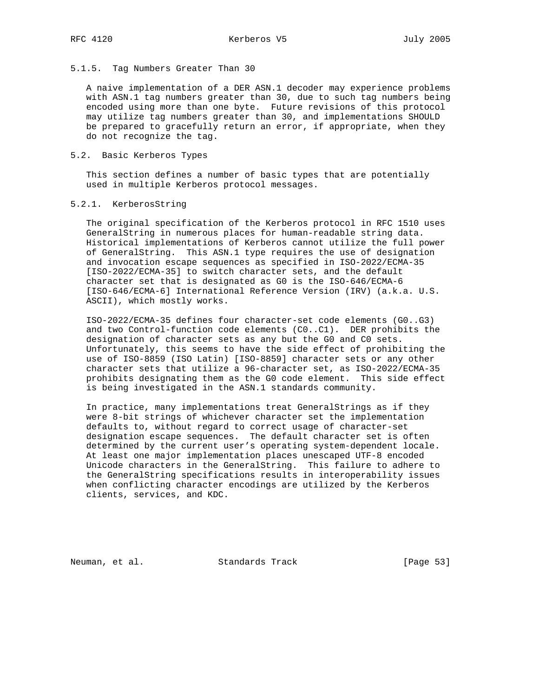## 5.1.5. Tag Numbers Greater Than 30

 A naive implementation of a DER ASN.1 decoder may experience problems with ASN.1 tag numbers greater than 30, due to such tag numbers being encoded using more than one byte. Future revisions of this protocol may utilize tag numbers greater than 30, and implementations SHOULD be prepared to gracefully return an error, if appropriate, when they do not recognize the tag.

# 5.2. Basic Kerberos Types

 This section defines a number of basic types that are potentially used in multiple Kerberos protocol messages.

# 5.2.1. KerberosString

 The original specification of the Kerberos protocol in RFC 1510 uses GeneralString in numerous places for human-readable string data. Historical implementations of Kerberos cannot utilize the full power of GeneralString. This ASN.1 type requires the use of designation and invocation escape sequences as specified in ISO-2022/ECMA-35 [ISO-2022/ECMA-35] to switch character sets, and the default character set that is designated as G0 is the ISO-646/ECMA-6 [ISO-646/ECMA-6] International Reference Version (IRV) (a.k.a. U.S. ASCII), which mostly works.

 ISO-2022/ECMA-35 defines four character-set code elements (G0..G3) and two Control-function code elements (C0..C1). DER prohibits the designation of character sets as any but the G0 and C0 sets. Unfortunately, this seems to have the side effect of prohibiting the use of ISO-8859 (ISO Latin) [ISO-8859] character sets or any other character sets that utilize a 96-character set, as ISO-2022/ECMA-35 prohibits designating them as the G0 code element. This side effect is being investigated in the ASN.1 standards community.

 In practice, many implementations treat GeneralStrings as if they were 8-bit strings of whichever character set the implementation defaults to, without regard to correct usage of character-set designation escape sequences. The default character set is often determined by the current user's operating system-dependent locale. At least one major implementation places unescaped UTF-8 encoded Unicode characters in the GeneralString. This failure to adhere to the GeneralString specifications results in interoperability issues when conflicting character encodings are utilized by the Kerberos clients, services, and KDC.

Neuman, et al. Standards Track [Page 53]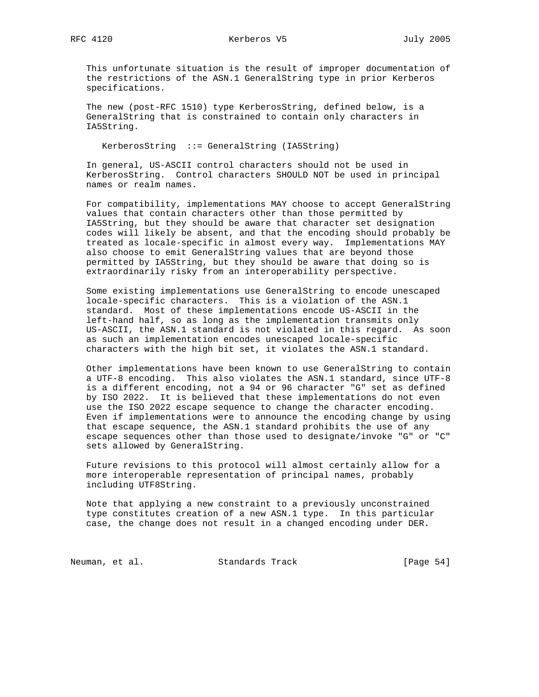This unfortunate situation is the result of improper documentation of the restrictions of the ASN.1 GeneralString type in prior Kerberos specifications.

 The new (post-RFC 1510) type KerberosString, defined below, is a GeneralString that is constrained to contain only characters in IA5String.

KerberosString ::= GeneralString (IA5String)

 In general, US-ASCII control characters should not be used in KerberosString. Control characters SHOULD NOT be used in principal names or realm names.

 For compatibility, implementations MAY choose to accept GeneralString values that contain characters other than those permitted by IA5String, but they should be aware that character set designation codes will likely be absent, and that the encoding should probably be treated as locale-specific in almost every way. Implementations MAY also choose to emit GeneralString values that are beyond those permitted by IA5String, but they should be aware that doing so is extraordinarily risky from an interoperability perspective.

 Some existing implementations use GeneralString to encode unescaped locale-specific characters. This is a violation of the ASN.1 standard. Most of these implementations encode US-ASCII in the left-hand half, so as long as the implementation transmits only US-ASCII, the ASN.1 standard is not violated in this regard. As soon as such an implementation encodes unescaped locale-specific characters with the high bit set, it violates the ASN.1 standard.

 Other implementations have been known to use GeneralString to contain a UTF-8 encoding. This also violates the ASN.1 standard, since UTF-8 is a different encoding, not a 94 or 96 character "G" set as defined by ISO 2022. It is believed that these implementations do not even use the ISO 2022 escape sequence to change the character encoding. Even if implementations were to announce the encoding change by using that escape sequence, the ASN.1 standard prohibits the use of any escape sequences other than those used to designate/invoke "G" or "C" sets allowed by GeneralString.

 Future revisions to this protocol will almost certainly allow for a more interoperable representation of principal names, probably including UTF8String.

 Note that applying a new constraint to a previously unconstrained type constitutes creation of a new ASN.1 type. In this particular case, the change does not result in a changed encoding under DER.

Neuman, et al. Standards Track [Page 54]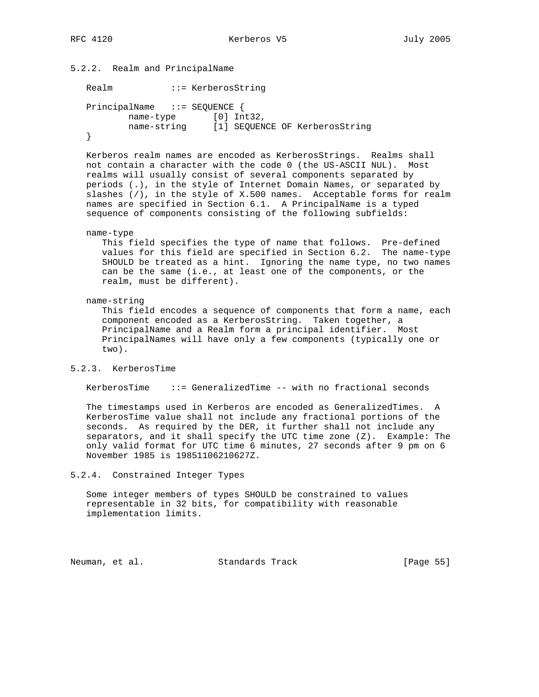```
5.2.2. Realm and PrincipalName
```

```
Realm ::= KerberosString
   PrincipalName ::= SEQUENCE {
name-type [0] Int32,
 name-string [1] SEQUENCE OF KerberosString
   }
```
 Kerberos realm names are encoded as KerberosStrings. Realms shall not contain a character with the code 0 (the US-ASCII NUL). Most realms will usually consist of several components separated by periods (.), in the style of Internet Domain Names, or separated by slashes  $\langle \rangle$ , in the style of X.500 names. Acceptable forms for realm names are specified in Section 6.1. A PrincipalName is a typed sequence of components consisting of the following subfields:

```
 name-type
```
 This field specifies the type of name that follows. Pre-defined values for this field are specified in Section 6.2. The name-type SHOULD be treated as a hint. Ignoring the name type, no two names can be the same (i.e., at least one of the components, or the realm, must be different).

name-string

 This field encodes a sequence of components that form a name, each component encoded as a KerberosString. Taken together, a PrincipalName and a Realm form a principal identifier. Most PrincipalNames will have only a few components (typically one or two).

# 5.2.3. KerberosTime

KerberosTime ::= GeneralizedTime -- with no fractional seconds

 The timestamps used in Kerberos are encoded as GeneralizedTimes. A KerberosTime value shall not include any fractional portions of the seconds. As required by the DER, it further shall not include any separators, and it shall specify the UTC time zone (Z). Example: The only valid format for UTC time 6 minutes, 27 seconds after 9 pm on 6 November 1985 is 19851106210627Z.

5.2.4. Constrained Integer Types

 Some integer members of types SHOULD be constrained to values representable in 32 bits, for compatibility with reasonable implementation limits.

Neuman, et al. Standards Track [Page 55]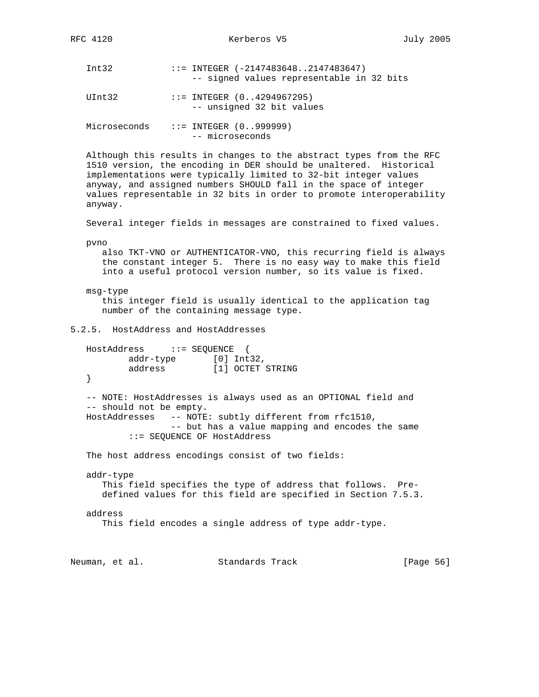| Int32        | $::=$ INTEGER $(-21474836482147483647)$<br>-- signed values representable in 32 bits |
|--------------|--------------------------------------------------------------------------------------|
| UInt32       | $::=$ INTEGER $(04294967295)$<br>-- unsigned 32 bit values                           |
| Microseconds | $::=$ INTEGER $(0999999)$<br>-- microseconds                                         |

 Although this results in changes to the abstract types from the RFC 1510 version, the encoding in DER should be unaltered. Historical implementations were typically limited to 32-bit integer values anyway, and assigned numbers SHOULD fall in the space of integer values representable in 32 bits in order to promote interoperability anyway.

Several integer fields in messages are constrained to fixed values.

pvno

 also TKT-VNO or AUTHENTICATOR-VNO, this recurring field is always the constant integer 5. There is no easy way to make this field into a useful protocol version number, so its value is fixed.

 msg-type this integer field is usually identical to the application tag number of the containing message type.

5.2.5. HostAddress and HostAddresses

 HostAddress ::= SEQUENCE { addr-type [0] Int32, address [1] OCTET STRING } -- NOTE: HostAddresses is always used as an OPTIONAL field and -- should not be empty. HostAddresses -- NOTE: subtly different from rfc1510, -- but has a value mapping and encodes the same ::= SEQUENCE OF HostAddress The host address encodings consist of two fields: addr-type This field specifies the type of address that follows. Pre defined values for this field are specified in Section 7.5.3. address This field encodes a single address of type addr-type.

Neuman, et al. Standards Track [Page 56]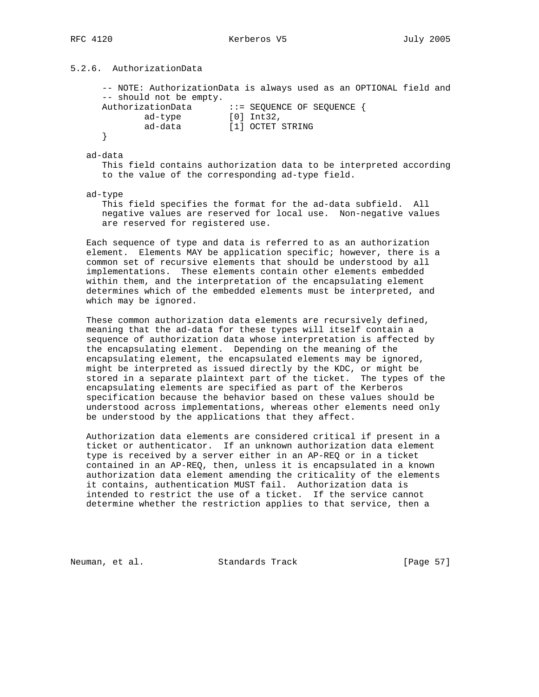# 5.2.6. AuthorizationData

 -- NOTE: AuthorizationData is always used as an OPTIONAL field and -- should not be empty. AuthorizationData ::= SEQUENCE OF SEQUENCE { ad-type [0] Int32, ad-data [1] OCTET STRING } ad-data This field contains authorization data to be interpreted according to the value of the corresponding ad-type field.

### ad-type

 This field specifies the format for the ad-data subfield. All negative values are reserved for local use. Non-negative values are reserved for registered use.

 Each sequence of type and data is referred to as an authorization element. Elements MAY be application specific; however, there is a common set of recursive elements that should be understood by all implementations. These elements contain other elements embedded within them, and the interpretation of the encapsulating element determines which of the embedded elements must be interpreted, and which may be ignored.

 These common authorization data elements are recursively defined, meaning that the ad-data for these types will itself contain a sequence of authorization data whose interpretation is affected by the encapsulating element. Depending on the meaning of the encapsulating element, the encapsulated elements may be ignored, might be interpreted as issued directly by the KDC, or might be stored in a separate plaintext part of the ticket. The types of the encapsulating elements are specified as part of the Kerberos specification because the behavior based on these values should be understood across implementations, whereas other elements need only be understood by the applications that they affect.

 Authorization data elements are considered critical if present in a ticket or authenticator. If an unknown authorization data element type is received by a server either in an AP-REQ or in a ticket contained in an AP-REQ, then, unless it is encapsulated in a known authorization data element amending the criticality of the elements it contains, authentication MUST fail. Authorization data is intended to restrict the use of a ticket. If the service cannot determine whether the restriction applies to that service, then a

Neuman, et al. Standards Track [Page 57]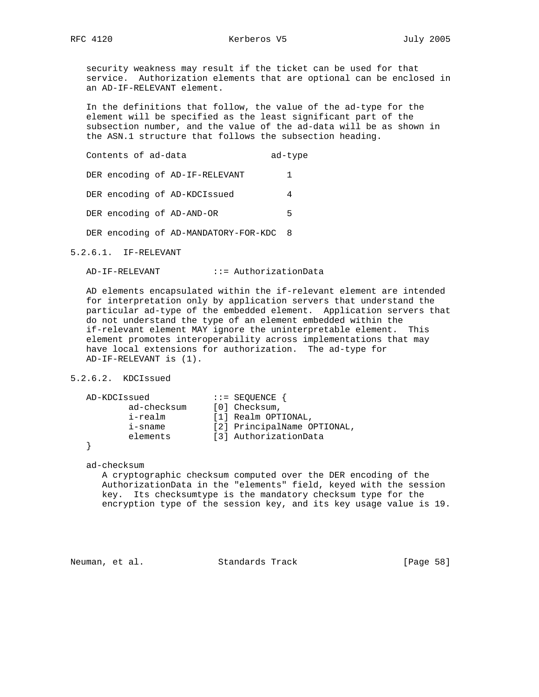security weakness may result if the ticket can be used for that service. Authorization elements that are optional can be enclosed in an AD-IF-RELEVANT element.

 In the definitions that follow, the value of the ad-type for the element will be specified as the least significant part of the subsection number, and the value of the ad-data will be as shown in the ASN.1 structure that follows the subsection heading.

Contents of ad-data ad-type DER encoding of AD-IF-RELEVANT 1 DER encoding of AD-KDCIssued 4 DER encoding of AD-AND-OR 5 DER encoding of AD-MANDATORY-FOR-KDC 8

#### 5.2.6.1. IF-RELEVANT

AD-IF-RELEVANT ::= AuthorizationData

 AD elements encapsulated within the if-relevant element are intended for interpretation only by application servers that understand the particular ad-type of the embedded element. Application servers that do not understand the type of an element embedded within the if-relevant element MAY ignore the uninterpretable element. This element promotes interoperability across implementations that may have local extensions for authorization. The ad-type for AD-IF-RELEVANT is (1).

# 5.2.6.2. KDCIssued

| AD-KDCIssued |             | $\cdot \cdot =$ SEQUENCE {  |
|--------------|-------------|-----------------------------|
|              | ad-checksum | [0] Checksum,               |
|              | i-realm     | [1] Realm OPTIONAL,         |
|              | i-sname     | [2] PrincipalName OPTIONAL, |
|              | elements    | [3] AuthorizationData       |
|              |             |                             |

#### }

#### ad-checksum

 A cryptographic checksum computed over the DER encoding of the AuthorizationData in the "elements" field, keyed with the session key. Its checksumtype is the mandatory checksum type for the encryption type of the session key, and its key usage value is 19.

Neuman, et al. Standards Track [Page 58]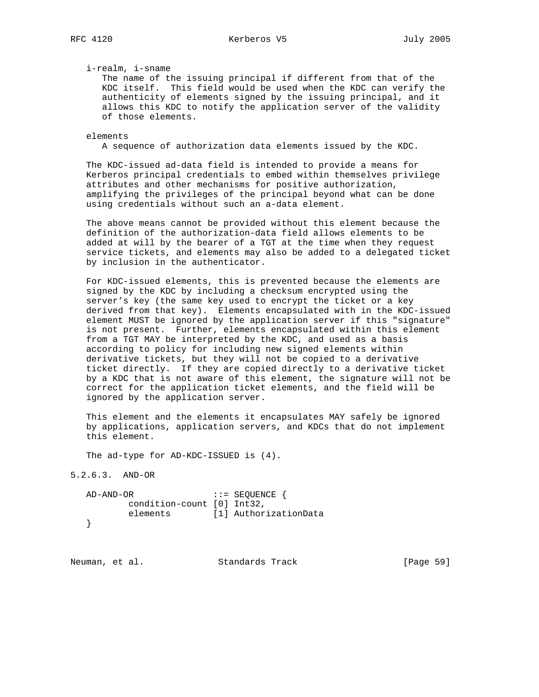#### i-realm, i-sname

 The name of the issuing principal if different from that of the KDC itself. This field would be used when the KDC can verify the authenticity of elements signed by the issuing principal, and it allows this KDC to notify the application server of the validity of those elements.

#### elements

A sequence of authorization data elements issued by the KDC.

 The KDC-issued ad-data field is intended to provide a means for Kerberos principal credentials to embed within themselves privilege attributes and other mechanisms for positive authorization, amplifying the privileges of the principal beyond what can be done using credentials without such an a-data element.

 The above means cannot be provided without this element because the definition of the authorization-data field allows elements to be added at will by the bearer of a TGT at the time when they request service tickets, and elements may also be added to a delegated ticket by inclusion in the authenticator.

 For KDC-issued elements, this is prevented because the elements are signed by the KDC by including a checksum encrypted using the server's key (the same key used to encrypt the ticket or a key derived from that key). Elements encapsulated with in the KDC-issued element MUST be ignored by the application server if this "signature" is not present. Further, elements encapsulated within this element from a TGT MAY be interpreted by the KDC, and used as a basis according to policy for including new signed elements within derivative tickets, but they will not be copied to a derivative ticket directly. If they are copied directly to a derivative ticket by a KDC that is not aware of this element, the signature will not be correct for the application ticket elements, and the field will be ignored by the application server.

 This element and the elements it encapsulates MAY safely be ignored by applications, application servers, and KDCs that do not implement this element.

The ad-type for AD-KDC-ISSUED is (4).

5.2.6.3. AND-OR

AD-AND-OR ::= SEQUENCE { condition-count [0] Int32, elements [1] AuthorizationData }

Neuman, et al. Standards Track [Page 59]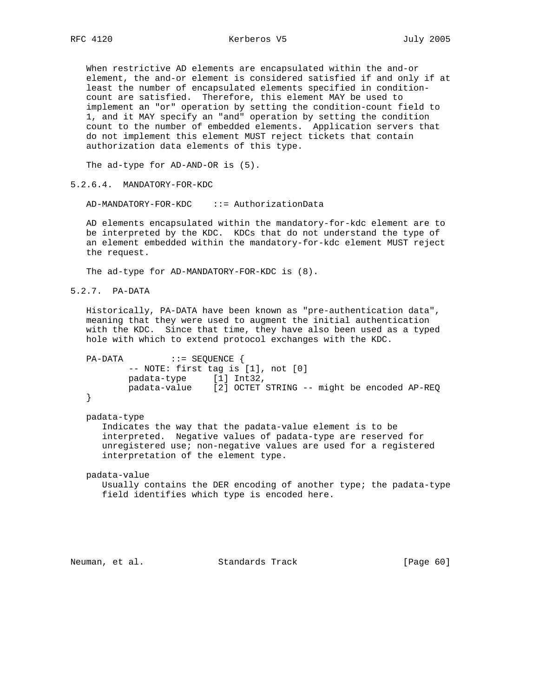RFC 4120 Kerberos V5 July 2005

 When restrictive AD elements are encapsulated within the and-or element, the and-or element is considered satisfied if and only if at least the number of encapsulated elements specified in condition count are satisfied. Therefore, this element MAY be used to implement an "or" operation by setting the condition-count field to 1, and it MAY specify an "and" operation by setting the condition count to the number of embedded elements. Application servers that do not implement this element MUST reject tickets that contain authorization data elements of this type.

The ad-type for AD-AND-OR is (5).

5.2.6.4. MANDATORY-FOR-KDC

AD-MANDATORY-FOR-KDC ::= AuthorizationData

 AD elements encapsulated within the mandatory-for-kdc element are to be interpreted by the KDC. KDCs that do not understand the type of an element embedded within the mandatory-for-kdc element MUST reject the request.

The ad-type for AD-MANDATORY-FOR-KDC is (8).

5.2.7. PA-DATA

 Historically, PA-DATA have been known as "pre-authentication data", meaning that they were used to augment the initial authentication with the KDC. Since that time, they have also been used as a typed hole with which to extend protocol exchanges with the KDC.

```
PA-DATA ::= SEQUENCE {
         -- NOTE: first tag is [1], not [0]
 padata-type [1] Int32,
 padata-value [2] OCTET STRING -- might be encoded AP-REQ
   }
```
padata-type

 Indicates the way that the padata-value element is to be interpreted. Negative values of padata-type are reserved for unregistered use; non-negative values are used for a registered interpretation of the element type.

 padata-value Usually contains the DER encoding of another type; the padata-type field identifies which type is encoded here.

Neuman, et al. Standards Track [Page 60]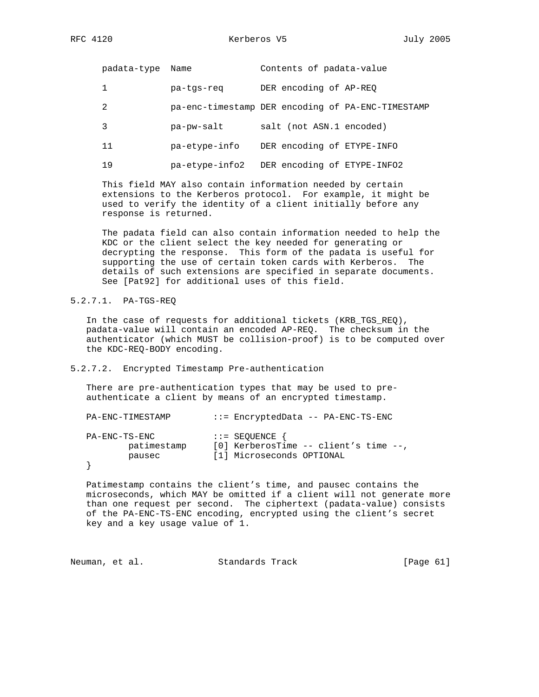| padata-type | Name           | Contents of padata-value                          |
|-------------|----------------|---------------------------------------------------|
| 1           | pa-tgs-reg     | DER encoding of AP-REQ                            |
| 2           |                | pa-enc-timestamp DER encoding of PA-ENC-TIMESTAMP |
| 3           | pa-pw-salt     | salt (not ASN.1 encoded)                          |
| 11          | pa-etype-info  | DER encoding of ETYPE-INFO                        |
| 19          | pa-etype-info2 | DER encoding of ETYPE-INFO2                       |

 This field MAY also contain information needed by certain extensions to the Kerberos protocol. For example, it might be used to verify the identity of a client initially before any response is returned.

 The padata field can also contain information needed to help the KDC or the client select the key needed for generating or decrypting the response. This form of the padata is useful for supporting the use of certain token cards with Kerberos. The details of such extensions are specified in separate documents. See [Pat92] for additional uses of this field.

5.2.7.1. PA-TGS-REQ

 In the case of requests for additional tickets (KRB\_TGS\_REQ), padata-value will contain an encoded AP-REQ. The checksum in the authenticator (which MUST be collision-proof) is to be computed over the KDC-REQ-BODY encoding.

## 5.2.7.2. Encrypted Timestamp Pre-authentication

 There are pre-authentication types that may be used to pre authenticate a client by means of an encrypted timestamp.

| PA-ENC-TIMESTAMP                       | ::= EncryptedData -- PA-ENC-TS-ENC                                                                 |
|----------------------------------------|----------------------------------------------------------------------------------------------------|
| PA-ENC-TS-ENC<br>patimestamp<br>pausec | $\cdot \cdot =$ SEOUENCE {<br>$[0]$ KerberosTime -- client's time --,<br>[1] Microseconds OPTIONAL |

 Patimestamp contains the client's time, and pausec contains the microseconds, which MAY be omitted if a client will not generate more than one request per second. The ciphertext (padata-value) consists of the PA-ENC-TS-ENC encoding, encrypted using the client's secret key and a key usage value of 1.

Neuman, et al. Standards Track [Page 61]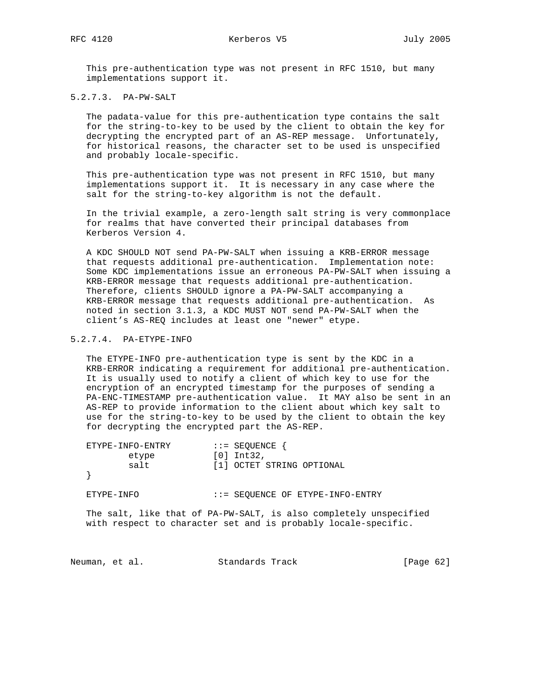This pre-authentication type was not present in RFC 1510, but many implementations support it.

5.2.7.3. PA-PW-SALT

 The padata-value for this pre-authentication type contains the salt for the string-to-key to be used by the client to obtain the key for decrypting the encrypted part of an AS-REP message. Unfortunately, for historical reasons, the character set to be used is unspecified and probably locale-specific.

 This pre-authentication type was not present in RFC 1510, but many implementations support it. It is necessary in any case where the salt for the string-to-key algorithm is not the default.

 In the trivial example, a zero-length salt string is very commonplace for realms that have converted their principal databases from Kerberos Version 4.

 A KDC SHOULD NOT send PA-PW-SALT when issuing a KRB-ERROR message that requests additional pre-authentication. Implementation note: Some KDC implementations issue an erroneous PA-PW-SALT when issuing a KRB-ERROR message that requests additional pre-authentication. Therefore, clients SHOULD ignore a PA-PW-SALT accompanying a KRB-ERROR message that requests additional pre-authentication. As noted in section 3.1.3, a KDC MUST NOT send PA-PW-SALT when the client's AS-REQ includes at least one "newer" etype.

# 5.2.7.4. PA-ETYPE-INFO

 The ETYPE-INFO pre-authentication type is sent by the KDC in a KRB-ERROR indicating a requirement for additional pre-authentication. It is usually used to notify a client of which key to use for the encryption of an encrypted timestamp for the purposes of sending a PA-ENC-TIMESTAMP pre-authentication value. It MAY also be sent in an AS-REP to provide information to the client about which key salt to use for the string-to-key to be used by the client to obtain the key for decrypting the encrypted part the AS-REP.

| ETYPE-INFO-ENTRY | $\cdot \cdot =$ SEQUENCE $\{$ |
|------------------|-------------------------------|
| etype            | $[0]$ Int32,                  |
| salt             | [1] OCTET STRING OPTIONAL     |
|                  |                               |
|                  |                               |

ETYPE-INFO ::= SEQUENCE OF ETYPE-INFO-ENTRY

 The salt, like that of PA-PW-SALT, is also completely unspecified with respect to character set and is probably locale-specific.

Neuman, et al. Standards Track [Page 62]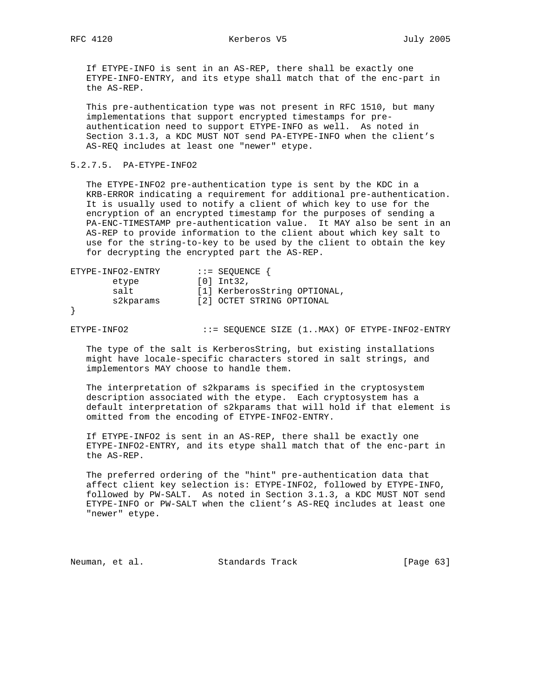RFC 4120 Kerberos V5 July 2005

 If ETYPE-INFO is sent in an AS-REP, there shall be exactly one ETYPE-INFO-ENTRY, and its etype shall match that of the enc-part in the AS-REP.

 This pre-authentication type was not present in RFC 1510, but many implementations that support encrypted timestamps for pre authentication need to support ETYPE-INFO as well. As noted in Section 3.1.3, a KDC MUST NOT send PA-ETYPE-INFO when the client's AS-REQ includes at least one "newer" etype.

5.2.7.5. PA-ETYPE-INFO2

 The ETYPE-INFO2 pre-authentication type is sent by the KDC in a KRB-ERROR indicating a requirement for additional pre-authentication. It is usually used to notify a client of which key to use for the encryption of an encrypted timestamp for the purposes of sending a PA-ENC-TIMESTAMP pre-authentication value. It MAY also be sent in an AS-REP to provide information to the client about which key salt to use for the string-to-key to be used by the client to obtain the key for decrypting the encrypted part the AS-REP.

| ETYPE-INFO2-ENTRY | $\cdot \cdot =$ SEQUENCE {   |
|-------------------|------------------------------|
| etype             | $[0]$ Int32,                 |
| salt              | [1] KerberosString OPTIONAL, |
| s2kparams         | [2] OCTET STRING OPTIONAL    |
|                   |                              |

ETYPE-INFO2 ::= SEQUENCE SIZE (1..MAX) OF ETYPE-INFO2-ENTRY

 The type of the salt is KerberosString, but existing installations might have locale-specific characters stored in salt strings, and implementors MAY choose to handle them.

 The interpretation of s2kparams is specified in the cryptosystem description associated with the etype. Each cryptosystem has a default interpretation of s2kparams that will hold if that element is omitted from the encoding of ETYPE-INFO2-ENTRY.

 If ETYPE-INFO2 is sent in an AS-REP, there shall be exactly one ETYPE-INFO2-ENTRY, and its etype shall match that of the enc-part in the AS-REP.

 The preferred ordering of the "hint" pre-authentication data that affect client key selection is: ETYPE-INFO2, followed by ETYPE-INFO, followed by PW-SALT. As noted in Section 3.1.3, a KDC MUST NOT send ETYPE-INFO or PW-SALT when the client's AS-REQ includes at least one "newer" etype.

Neuman, et al. Standards Track [Page 63]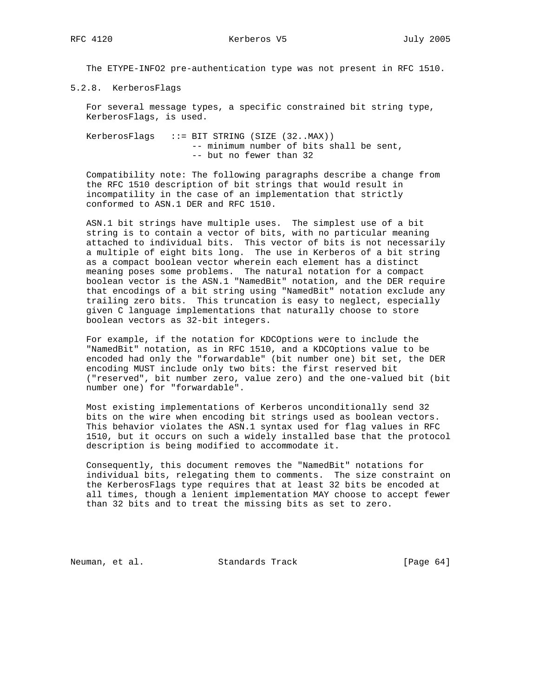The ETYPE-INFO2 pre-authentication type was not present in RFC 1510.

5.2.8. KerberosFlags

 For several message types, a specific constrained bit string type, KerberosFlags, is used.

 KerberosFlags ::= BIT STRING (SIZE (32..MAX)) -- minimum number of bits shall be sent, -- but no fewer than 32

 Compatibility note: The following paragraphs describe a change from the RFC 1510 description of bit strings that would result in incompatility in the case of an implementation that strictly conformed to ASN.1 DER and RFC 1510.

 ASN.1 bit strings have multiple uses. The simplest use of a bit string is to contain a vector of bits, with no particular meaning attached to individual bits. This vector of bits is not necessarily a multiple of eight bits long. The use in Kerberos of a bit string as a compact boolean vector wherein each element has a distinct meaning poses some problems. The natural notation for a compact boolean vector is the ASN.1 "NamedBit" notation, and the DER require that encodings of a bit string using "NamedBit" notation exclude any trailing zero bits. This truncation is easy to neglect, especially given C language implementations that naturally choose to store boolean vectors as 32-bit integers.

 For example, if the notation for KDCOptions were to include the "NamedBit" notation, as in RFC 1510, and a KDCOptions value to be encoded had only the "forwardable" (bit number one) bit set, the DER encoding MUST include only two bits: the first reserved bit ("reserved", bit number zero, value zero) and the one-valued bit (bit number one) for "forwardable".

 Most existing implementations of Kerberos unconditionally send 32 bits on the wire when encoding bit strings used as boolean vectors. This behavior violates the ASN.1 syntax used for flag values in RFC 1510, but it occurs on such a widely installed base that the protocol description is being modified to accommodate it.

 Consequently, this document removes the "NamedBit" notations for individual bits, relegating them to comments. The size constraint on the KerberosFlags type requires that at least 32 bits be encoded at all times, though a lenient implementation MAY choose to accept fewer than 32 bits and to treat the missing bits as set to zero.

Neuman, et al. Standards Track [Page 64]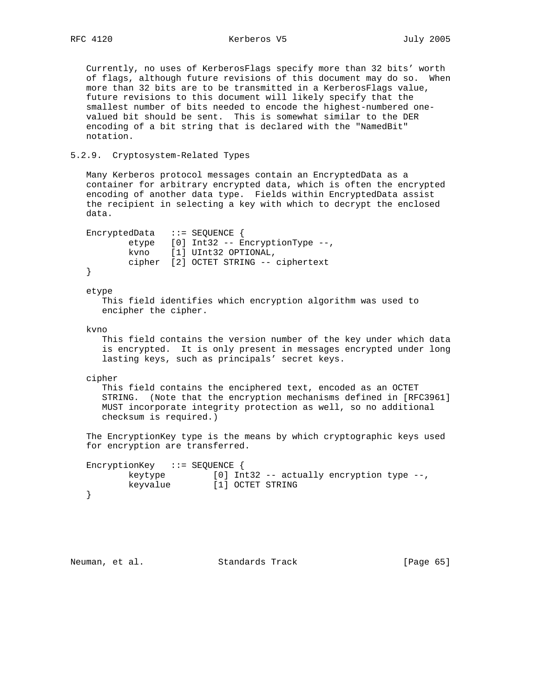Currently, no uses of KerberosFlags specify more than 32 bits' worth of flags, although future revisions of this document may do so. When more than 32 bits are to be transmitted in a KerberosFlags value, future revisions to this document will likely specify that the smallest number of bits needed to encode the highest-numbered one valued bit should be sent. This is somewhat similar to the DER encoding of a bit string that is declared with the "NamedBit" notation.

# 5.2.9. Cryptosystem-Related Types

 Many Kerberos protocol messages contain an EncryptedData as a container for arbitrary encrypted data, which is often the encrypted encoding of another data type. Fields within EncryptedData assist the recipient in selecting a key with which to decrypt the enclosed data.

 EncryptedData ::= SEQUENCE { etype [0] Int32 -- EncryptionType --, kvno [1] UInt32 OPTIONAL, cipher [2] OCTET STRING -- ciphertext }

etype

 This field identifies which encryption algorithm was used to encipher the cipher.

kvno

 This field contains the version number of the key under which data is encrypted. It is only present in messages encrypted under long lasting keys, such as principals' secret keys.

cipher

 This field contains the enciphered text, encoded as an OCTET STRING. (Note that the encryption mechanisms defined in [RFC3961] MUST incorporate integrity protection as well, so no additional checksum is required.)

 The EncryptionKey type is the means by which cryptographic keys used for encryption are transferred.

 EncryptionKey ::= SEQUENCE { keytype [0] Int32 -- actually encryption type --, keyvalue [1] OCTET STRING }

Neuman, et al. Standards Track [Page 65]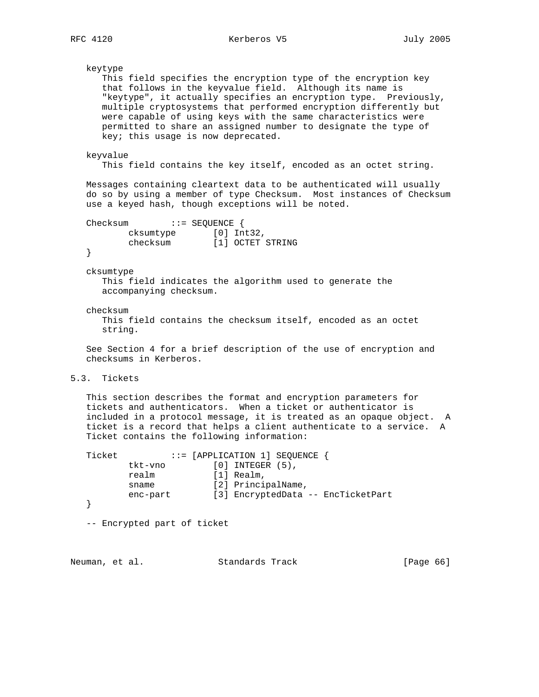```
 keytype
      This field specifies the encryption type of the encryption key
      that follows in the keyvalue field. Although its name is
      "keytype", it actually specifies an encryption type. Previously,
      multiple cryptosystems that performed encryption differently but
      were capable of using keys with the same characteristics were
      permitted to share an assigned number to designate the type of
      key; this usage is now deprecated.
   keyvalue
      This field contains the key itself, encoded as an octet string.
   Messages containing cleartext data to be authenticated will usually
   do so by using a member of type Checksum. Most instances of Checksum
   use a keyed hash, though exceptions will be noted.
  Checksum ::= SEQUENCE {
 cksumtype [0] Int32,
 checksum [1] OCTET STRING
   }
   cksumtype
      This field indicates the algorithm used to generate the
      accompanying checksum.
   checksum
      This field contains the checksum itself, encoded as an octet
      string.
   See Section 4 for a brief description of the use of encryption and
   checksums in Kerberos.
5.3. Tickets
   This section describes the format and encryption parameters for
   tickets and authenticators. When a ticket or authenticator is
   included in a protocol message, it is treated as an opaque object. A
   ticket is a record that helps a client authenticate to a service. A
   Ticket contains the following information:
  Ticket ::= [APPLICATION 1] SEQUENCE {
           tkt-vno [0] INTEGER (5),
          realm [1] Realm,<br>[2] Princi
          sname [2] PrincipalName,
          enc-part [3] EncryptedData -- EncTicketPart
   }
   -- Encrypted part of ticket
```
Neuman, et al. Standards Track [Page 66]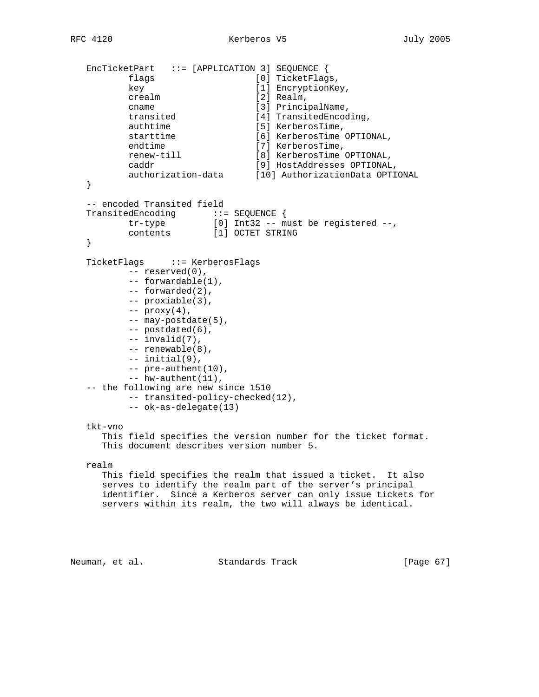```
 EncTicketPart ::= [APPLICATION 3] SEQUENCE {
         flags [0] TicketFlags,
         key [1] EncryptionKey,
         flags [0] Ticket<br>
key [1] Encryp<br>
crealm [2] Realm,
         cname [3] PrincipalName,<br>transited [4] TransitedEncod<br>authtime [5] KerberosTime,
 transited [4] TransitedEncoding,
authtime [5] KerberosTime,
 starttime [6] KerberosTime OPTIONAL,
endtime [7] KerberosTime,
 renew-till [8] KerberosTime OPTIONAL,
 caddr [9] HostAddresses OPTIONAL,
 authorization-data [10] AuthorizationData OPTIONAL
   }
   -- encoded Transited field
   TransitedEncoding ::= SEQUENCE {
 tr-type [0] Int32 -- must be registered --,
 contents [1] OCTET STRING
   }
   TicketFlags ::= KerberosFlags
          -- reserved(0),
          -- forwardable(1),
          -- forwarded(2),
          -- proxiable(3),
          -- proxy(4),
          -- may-postdate(5),
          -- postdated(6),
          -- invalid(7),
          -- renewable(8),
         -- initial(9),
          -- pre-authent(10),
         -- hw-authent(11),
   -- the following are new since 1510
          -- transited-policy-checked(12),
          -- ok-as-delegate(13)
   tkt-vno
      This field specifies the version number for the ticket format.
      This document describes version number 5.
   realm
      This field specifies the realm that issued a ticket. It also
      serves to identify the realm part of the server's principal
      identifier. Since a Kerberos server can only issue tickets for
      servers within its realm, the two will always be identical.
```
Neuman, et al. Standards Track [Page 67]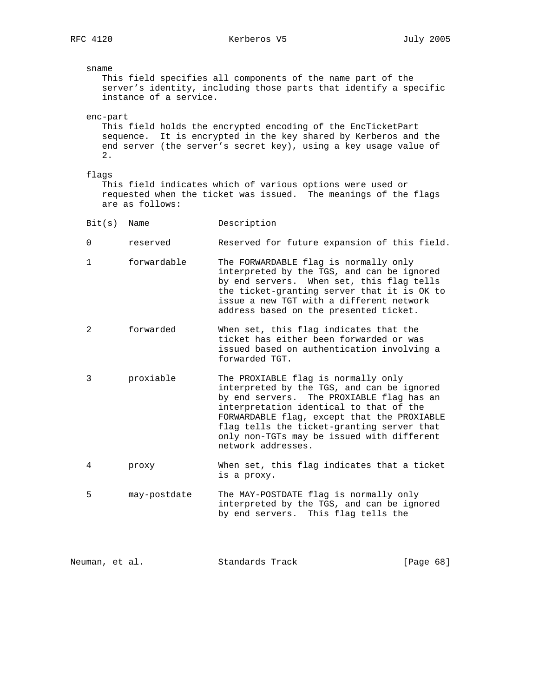# sname This field specifies all components of the name part of the server's identity, including those parts that identify a specific instance of a service.

enc-part

 This field holds the encrypted encoding of the EncTicketPart sequence. It is encrypted in the key shared by Kerberos and the end server (the server's secret key), using a key usage value of 2.

#### flags

 This field indicates which of various options were used or requested when the ticket was issued. The meanings of the flags are as follows:

- Bit(s) Name Description
- 0 reserved Reserved for future expansion of this field.
- 1 forwardable The FORWARDABLE flag is normally only interpreted by the TGS, and can be ignored by end servers. When set, this flag tells the ticket-granting server that it is OK to issue a new TGT with a different network address based on the presented ticket.
- 2 forwarded When set, this flag indicates that the ticket has either been forwarded or was issued based on authentication involving a forwarded TGT.
- 3 proxiable The PROXIABLE flag is normally only interpreted by the TGS, and can be ignored by end servers. The PROXIABLE flag has an interpretation identical to that of the FORWARDABLE flag, except that the PROXIABLE flag tells the ticket-granting server that only non-TGTs may be issued with different network addresses.
- 4 proxy When set, this flag indicates that a ticket is a proxy.
- 5 may-postdate The MAY-POSTDATE flag is normally only interpreted by the TGS, and can be ignored by end servers. This flag tells the

| Standards Track<br>Neuman, et al. | [Page 68] |
|-----------------------------------|-----------|
|-----------------------------------|-----------|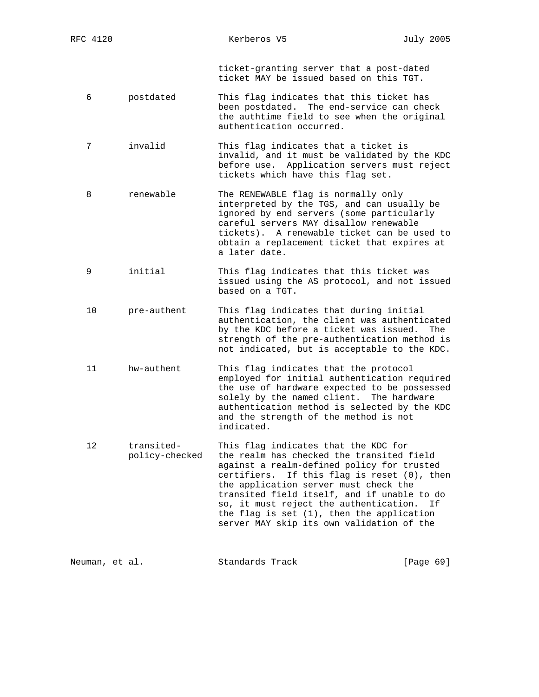ticket-granting server that a post-dated ticket MAY be issued based on this TGT.

- 6 postdated This flag indicates that this ticket has been postdated. The end-service can check the authtime field to see when the original authentication occurred.
- 7 invalid This flag indicates that a ticket is invalid, and it must be validated by the KDC before use. Application servers must reject tickets which have this flag set.
- 8 renewable The RENEWABLE flag is normally only interpreted by the TGS, and can usually be ignored by end servers (some particularly careful servers MAY disallow renewable tickets). A renewable ticket can be used to obtain a replacement ticket that expires at a later date.
- 9 initial This flag indicates that this ticket was issued using the AS protocol, and not issued based on a TGT.
- 10 pre-authent This flag indicates that during initial authentication, the client was authenticated by the KDC before a ticket was issued. The strength of the pre-authentication method is not indicated, but is acceptable to the KDC.
- 11 hw-authent This flag indicates that the protocol employed for initial authentication required the use of hardware expected to be possessed solely by the named client. The hardware authentication method is selected by the KDC and the strength of the method is not indicated.
- 12 transited- This flag indicates that the KDC for policy-checked the realm has checked the transited field against a realm-defined policy for trusted certifiers. If this flag is reset (0), then the application server must check the transited field itself, and if unable to do so, it must reject the authentication. If the flag is set (1), then the application server MAY skip its own validation of the

Neuman, et al. Standards Track [Page 69]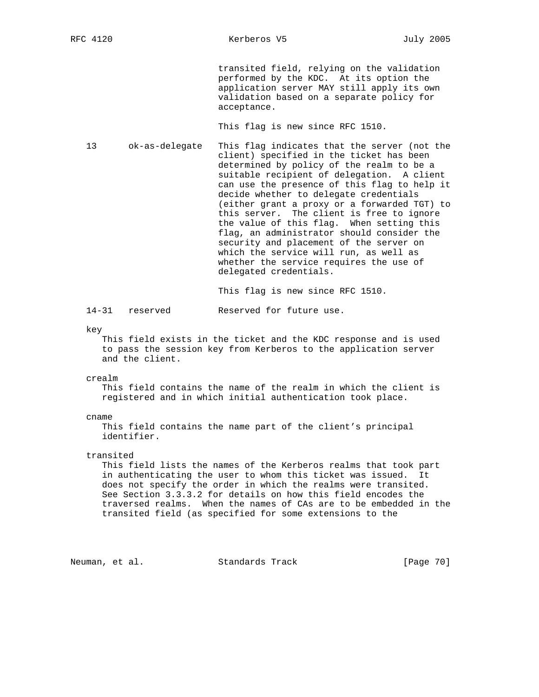transited field, relying on the validation performed by the KDC. At its option the application server MAY still apply its own validation based on a separate policy for acceptance.

This flag is new since RFC 1510.

 13 ok-as-delegate This flag indicates that the server (not the client) specified in the ticket has been determined by policy of the realm to be a suitable recipient of delegation. A client can use the presence of this flag to help it decide whether to delegate credentials (either grant a proxy or a forwarded TGT) to this server. The client is free to ignore the value of this flag. When setting this flag, an administrator should consider the security and placement of the server on which the service will run, as well as whether the service requires the use of delegated credentials.

This flag is new since RFC 1510.

14-31 reserved Reserved for future use.

key

 This field exists in the ticket and the KDC response and is used to pass the session key from Kerberos to the application server and the client.

#### crealm

 This field contains the name of the realm in which the client is registered and in which initial authentication took place.

#### cname

 This field contains the name part of the client's principal identifier.

#### transited

 This field lists the names of the Kerberos realms that took part in authenticating the user to whom this ticket was issued. It does not specify the order in which the realms were transited. See Section 3.3.3.2 for details on how this field encodes the traversed realms. When the names of CAs are to be embedded in the transited field (as specified for some extensions to the

Neuman, et al. Standards Track [Page 70]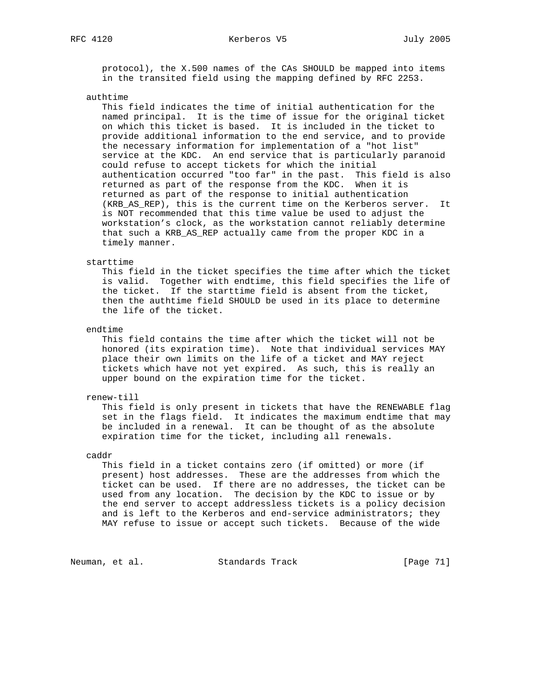protocol), the X.500 names of the CAs SHOULD be mapped into items in the transited field using the mapping defined by RFC 2253.

#### authtime

 This field indicates the time of initial authentication for the named principal. It is the time of issue for the original ticket on which this ticket is based. It is included in the ticket to provide additional information to the end service, and to provide the necessary information for implementation of a "hot list" service at the KDC. An end service that is particularly paranoid could refuse to accept tickets for which the initial authentication occurred "too far" in the past. This field is also returned as part of the response from the KDC. When it is returned as part of the response to initial authentication (KRB\_AS\_REP), this is the current time on the Kerberos server. It is NOT recommended that this time value be used to adjust the workstation's clock, as the workstation cannot reliably determine that such a KRB\_AS\_REP actually came from the proper KDC in a timely manner.

#### starttime

 This field in the ticket specifies the time after which the ticket is valid. Together with endtime, this field specifies the life of the ticket. If the starttime field is absent from the ticket, then the authtime field SHOULD be used in its place to determine the life of the ticket.

#### endtime

 This field contains the time after which the ticket will not be honored (its expiration time). Note that individual services MAY place their own limits on the life of a ticket and MAY reject tickets which have not yet expired. As such, this is really an upper bound on the expiration time for the ticket.

#### renew-till

 This field is only present in tickets that have the RENEWABLE flag set in the flags field. It indicates the maximum endtime that may be included in a renewal. It can be thought of as the absolute expiration time for the ticket, including all renewals.

## caddr

 This field in a ticket contains zero (if omitted) or more (if present) host addresses. These are the addresses from which the ticket can be used. If there are no addresses, the ticket can be used from any location. The decision by the KDC to issue or by the end server to accept addressless tickets is a policy decision and is left to the Kerberos and end-service administrators; they MAY refuse to issue or accept such tickets. Because of the wide

Neuman, et al. Standards Track [Page 71]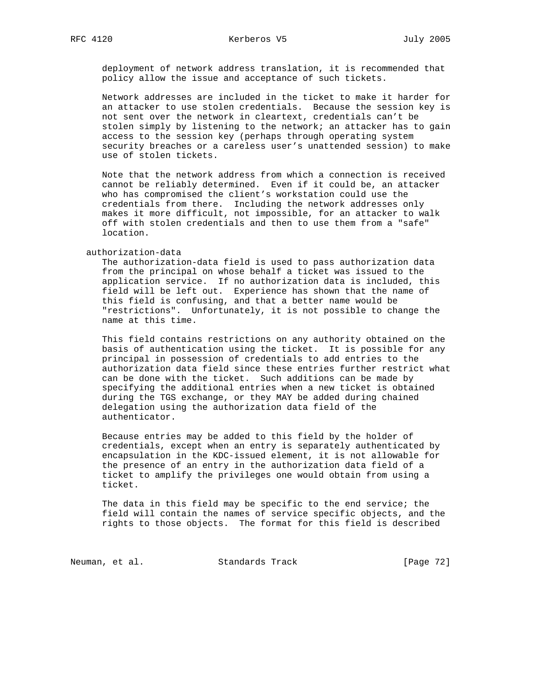deployment of network address translation, it is recommended that policy allow the issue and acceptance of such tickets.

 Network addresses are included in the ticket to make it harder for an attacker to use stolen credentials. Because the session key is not sent over the network in cleartext, credentials can't be stolen simply by listening to the network; an attacker has to gain access to the session key (perhaps through operating system security breaches or a careless user's unattended session) to make use of stolen tickets.

 Note that the network address from which a connection is received cannot be reliably determined. Even if it could be, an attacker who has compromised the client's workstation could use the credentials from there. Including the network addresses only makes it more difficult, not impossible, for an attacker to walk off with stolen credentials and then to use them from a "safe" location.

authorization-data

 The authorization-data field is used to pass authorization data from the principal on whose behalf a ticket was issued to the application service. If no authorization data is included, this field will be left out. Experience has shown that the name of this field is confusing, and that a better name would be "restrictions". Unfortunately, it is not possible to change the name at this time.

 This field contains restrictions on any authority obtained on the basis of authentication using the ticket. It is possible for any principal in possession of credentials to add entries to the authorization data field since these entries further restrict what can be done with the ticket. Such additions can be made by specifying the additional entries when a new ticket is obtained during the TGS exchange, or they MAY be added during chained delegation using the authorization data field of the authenticator.

 Because entries may be added to this field by the holder of credentials, except when an entry is separately authenticated by encapsulation in the KDC-issued element, it is not allowable for the presence of an entry in the authorization data field of a ticket to amplify the privileges one would obtain from using a ticket.

 The data in this field may be specific to the end service; the field will contain the names of service specific objects, and the rights to those objects. The format for this field is described

Neuman, et al. Standards Track [Page 72]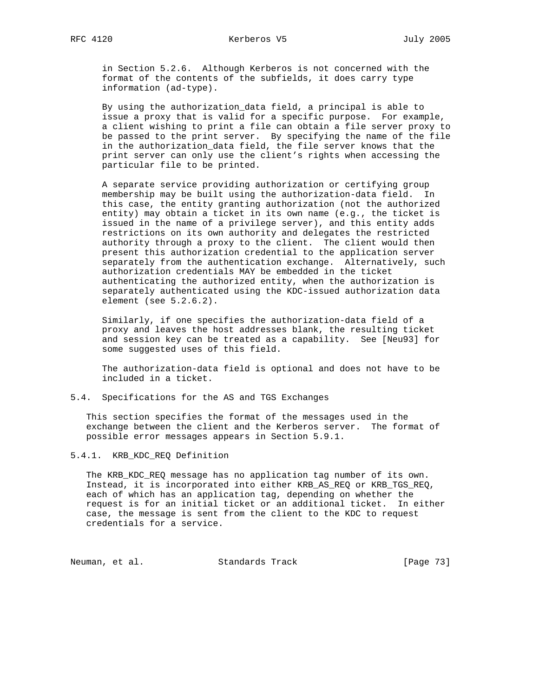in Section 5.2.6. Although Kerberos is not concerned with the format of the contents of the subfields, it does carry type information (ad-type).

 By using the authorization\_data field, a principal is able to issue a proxy that is valid for a specific purpose. For example, a client wishing to print a file can obtain a file server proxy to be passed to the print server. By specifying the name of the file in the authorization\_data field, the file server knows that the print server can only use the client's rights when accessing the particular file to be printed.

 A separate service providing authorization or certifying group membership may be built using the authorization-data field. In this case, the entity granting authorization (not the authorized entity) may obtain a ticket in its own name (e.g., the ticket is issued in the name of a privilege server), and this entity adds restrictions on its own authority and delegates the restricted authority through a proxy to the client. The client would then present this authorization credential to the application server separately from the authentication exchange. Alternatively, such authorization credentials MAY be embedded in the ticket authenticating the authorized entity, when the authorization is separately authenticated using the KDC-issued authorization data element (see 5.2.6.2).

 Similarly, if one specifies the authorization-data field of a proxy and leaves the host addresses blank, the resulting ticket and session key can be treated as a capability. See [Neu93] for some suggested uses of this field.

 The authorization-data field is optional and does not have to be included in a ticket.

#### 5.4. Specifications for the AS and TGS Exchanges

 This section specifies the format of the messages used in the exchange between the client and the Kerberos server. The format of possible error messages appears in Section 5.9.1.

## 5.4.1. KRB\_KDC\_REQ Definition

 The KRB\_KDC\_REQ message has no application tag number of its own. Instead, it is incorporated into either KRB\_AS\_REQ or KRB\_TGS\_REQ, each of which has an application tag, depending on whether the request is for an initial ticket or an additional ticket. In either case, the message is sent from the client to the KDC to request credentials for a service.

Neuman, et al. Standards Track [Page 73]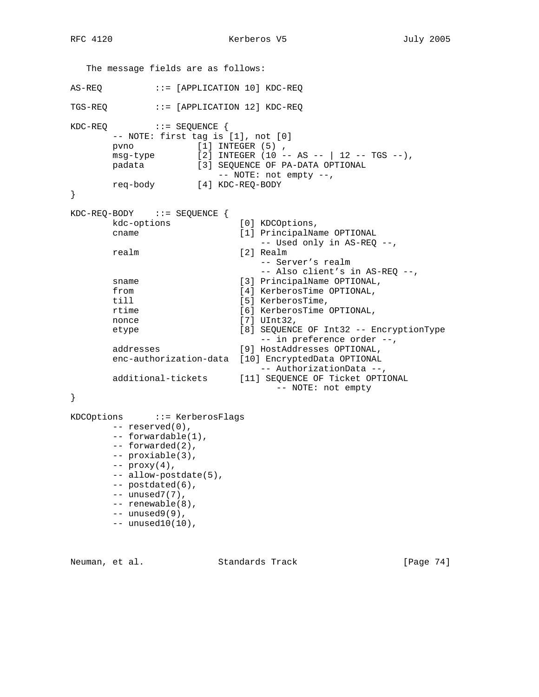RFC 4120 Kerberos V5 July 2005

```
 The message fields are as follows:
AS-REQ ::= [APPLICATION 10] KDC-REQ
TGS-REQ ::= [APPLICATION 12] KDC-REQ
KDC-REQ ::= SEQUENCE {
       -- NOTE: first tag is [1], not [0]
       pvno [1] INTEGER (5) ,
       msg-type [2] INTEGER (10 -- AS -- | 12 -- TGS --),
       padata [3] SEQUENCE OF PA-DATA OPTIONAL
                       -- NOTE: not empty --,
       req-body [4] KDC-REQ-BODY
}
KDC-REQ-BODY ::= SEQUENCE {
       kdc-options [0] KDCOptions,
       cname [1] PrincipalName OPTIONAL
                               -- Used only in AS-REQ --,
       realm [2] Realm
                                -- Server's realm
      -- Also client's in AS-REQ --,<br>
[3] PrincipalName OPTIONAL,
                          [3] PrincipalName OPTIONAL,
      from [4] KerberosTime OPTIONAL,
      till [5] KerberosTime,
       rtime [6] KerberosTime OPTIONAL,
      nonce [7] UInt32,
       etype [8] SEQUENCE OF Int32 -- EncryptionType
                               -- in preference order --,
      addresses [9] HostAddresses OPTIONAL,
       enc-authorization-data [10] EncryptedData OPTIONAL
                               -- AuthorizationData --,
       additional-tickets [11] SEQUENCE OF Ticket OPTIONAL
                                 -- NOTE: not empty
}
KDCOptions ::= KerberosFlags
       -- reserved(0),
       -- forwardable(1),
       -- forwarded(2),
       -- proxiable(3),
      -- proxy(4),
       -- allow-postdate(5),
       -- postdated(6),
      -- unused7(7),
       -- renewable(8),
       -- unused9(9),
       -- unused10(10),
```
Neuman, et al. Standards Track [Page 74]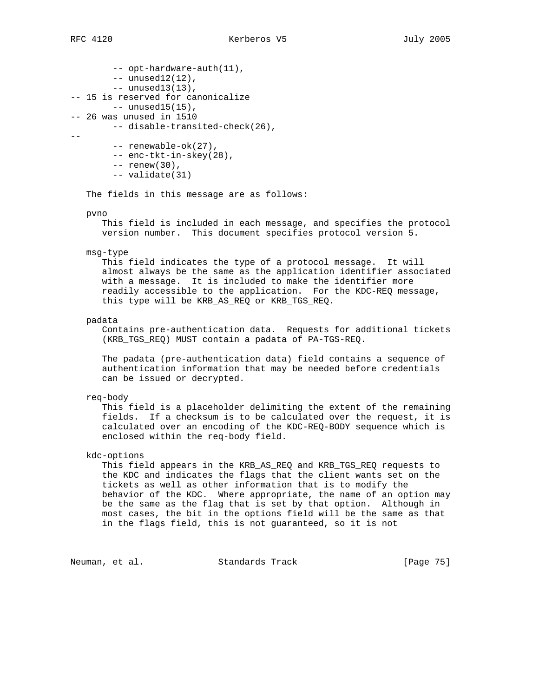--

 -- opt-hardware-auth(11), -- unused12(12), -- unused13(13), -- 15 is reserved for canonicalize -- unused15(15), -- 26 was unused in 1510 -- disable-transited-check(26), -- renewable-ok(27), -- enc-tkt-in-skey(28), -- renew(30), -- validate(31) The fields in this message are as follows: pvno This field is included in each message, and specifies the protocol version number. This document specifies protocol version 5. msg-type This field indicates the type of a protocol message. It will almost always be the same as the application identifier associated with a message. It is included to make the identifier more readily accessible to the application. For the KDC-REQ message, this type will be KRB\_AS\_REQ or KRB\_TGS\_REQ. padata Contains pre-authentication data. Requests for additional tickets (KRB\_TGS\_REQ) MUST contain a padata of PA-TGS-REQ. The padata (pre-authentication data) field contains a sequence of authentication information that may be needed before credentials can be issued or decrypted. req-body This field is a placeholder delimiting the extent of the remaining fields. If a checksum is to be calculated over the request, it is calculated over an encoding of the KDC-REQ-BODY sequence which is enclosed within the req-body field. kdc-options This field appears in the KRB\_AS\_REQ and KRB\_TGS\_REQ requests to the KDC and indicates the flags that the client wants set on the tickets as well as other information that is to modify the behavior of the KDC. Where appropriate, the name of an option may be the same as the flag that is set by that option. Although in most cases, the bit in the options field will be the same as that in the flags field, this is not guaranteed, so it is not Neuman, et al. Standards Track [Page 75]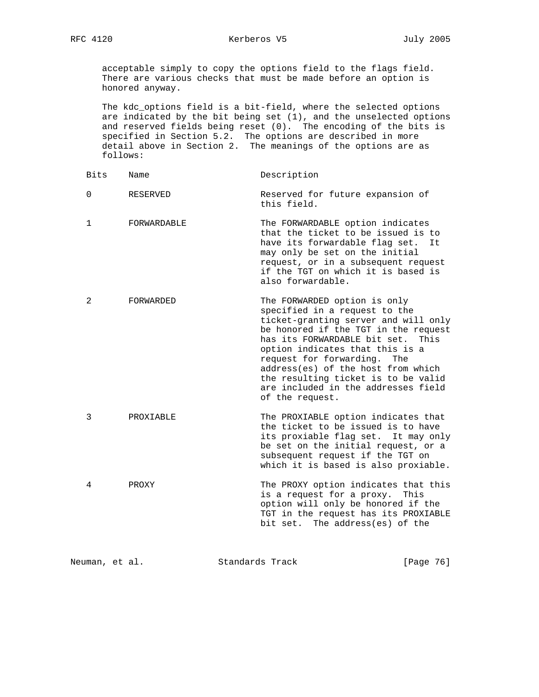acceptable simply to copy the options field to the flags field. There are various checks that must be made before an option is honored anyway.

 The kdc\_options field is a bit-field, where the selected options are indicated by the bit being set (1), and the unselected options and reserved fields being reset (0). The encoding of the bits is specified in Section 5.2. The options are described in more detail above in Section 2. The meanings of the options are as follows:

| Bits           | Name        | Description                                                                                                                                                                                                                                     |
|----------------|-------------|-------------------------------------------------------------------------------------------------------------------------------------------------------------------------------------------------------------------------------------------------|
| 0              | RESERVED    | Reserved for future expansion of<br>this field.                                                                                                                                                                                                 |
|                | FORWARDABLE | The FORWARDABLE option indicates<br>that the ticket to be issued is to<br>have its forwardable flag set. It<br>may only be set on the initial<br>request, or in a subsequent request<br>if the TGT on which it is based is<br>also forwardable. |
| $\mathfrak{D}$ | FORWARDED   | The FORWARDED option is only<br>specified in a request to the<br>ticket-granting server and will only<br>be honored if the TGT in the request<br>has its FORWARDABLE bit set. This<br>option indicates that this is a                           |

 request for forwarding. The address(es) of the host from which the resulting ticket is to be valid are included in the addresses field of the request.

- 3 PROXIABLE The PROXIABLE option indicates that the ticket to be issued is to have its proxiable flag set. It may only be set on the initial request, or a subsequent request if the TGT on which it is based is also proxiable.
- 4 PROXY The PROXY option indicates that this is a request for a proxy. This option will only be honored if the TGT in the request has its PROXIABLE bit set. The address(es) of the

Neuman, et al. Standards Track [Page 76]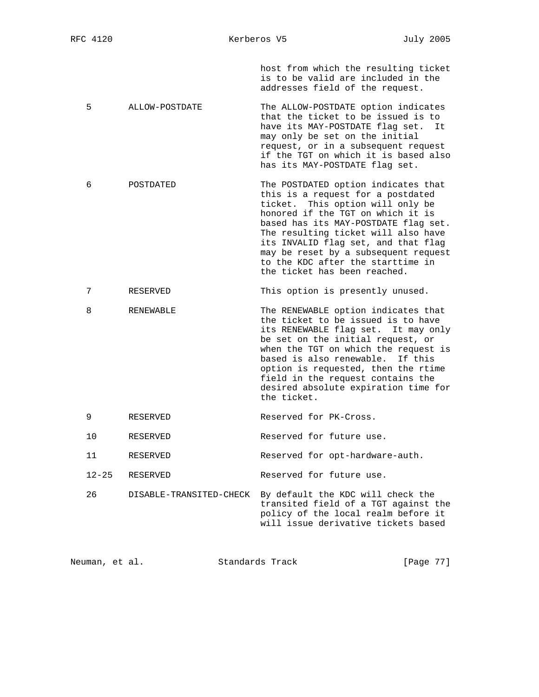host from which the resulting ticket is to be valid are included in the addresses field of the request.

 5 ALLOW-POSTDATE The ALLOW-POSTDATE option indicates that the ticket to be issued is to have its MAY-POSTDATE flag set. It may only be set on the initial request, or in a subsequent request if the TGT on which it is based also has its MAY-POSTDATE flag set.

- 6 POSTDATED The POSTDATED option indicates that this is a request for a postdated ticket. This option will only be honored if the TGT on which it is based has its MAY-POSTDATE flag set. The resulting ticket will also have its INVALID flag set, and that flag may be reset by a subsequent request to the KDC after the starttime in the ticket has been reached.
- 7 RESERVED This option is presently unused.
- 8 RENEWABLE The RENEWABLE option indicates that the ticket to be issued is to have its RENEWABLE flag set. It may only be set on the initial request, or when the TGT on which the request is based is also renewable. If this option is requested, then the rtime field in the request contains the desired absolute expiration time for the ticket.
- 9 RESERVED Reserved for PK-Cross.
- 10 RESERVED Reserved for future use.

11 RESERVED Reserved for opt-hardware-auth.

- 12-25 RESERVED Reserved for future use.
- 26 DISABLE-TRANSITED-CHECK By default the KDC will check the transited field of a TGT against the policy of the local realm before it will issue derivative tickets based

| Standards Track<br>Neuman, et al. | [Page 77] |
|-----------------------------------|-----------|
|-----------------------------------|-----------|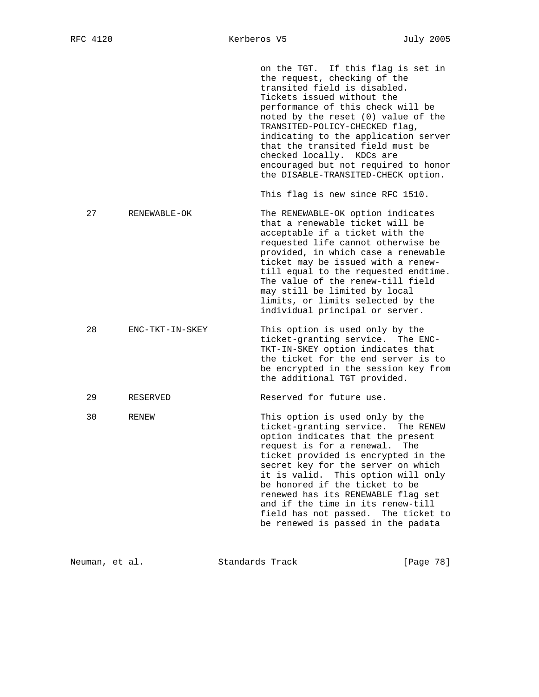on the TGT. If this flag is set in the request, checking of the transited field is disabled. Tickets issued without the performance of this check will be noted by the reset (0) value of the TRANSITED-POLICY-CHECKED flag, indicating to the application server that the transited field must be checked locally. KDCs are encouraged but not required to honor the DISABLE-TRANSITED-CHECK option.

This flag is new since RFC 1510.

 27 RENEWABLE-OK The RENEWABLE-OK option indicates that a renewable ticket will be acceptable if a ticket with the requested life cannot otherwise be provided, in which case a renewable ticket may be issued with a renew till equal to the requested endtime. The value of the renew-till field may still be limited by local limits, or limits selected by the individual principal or server.

 28 ENC-TKT-IN-SKEY This option is used only by the ticket-granting service. The ENC- TKT-IN-SKEY option indicates that the ticket for the end server is to be encrypted in the session key from the additional TGT provided.

29 RESERVED Reserved for future use.

 30 RENEW This option is used only by the ticket-granting service. The RENEW option indicates that the present request is for a renewal. The ticket provided is encrypted in the secret key for the server on which it is valid. This option will only be honored if the ticket to be renewed has its RENEWABLE flag set and if the time in its renew-till field has not passed. The ticket to be renewed is passed in the padata

Neuman, et al. Standards Track [Page 78]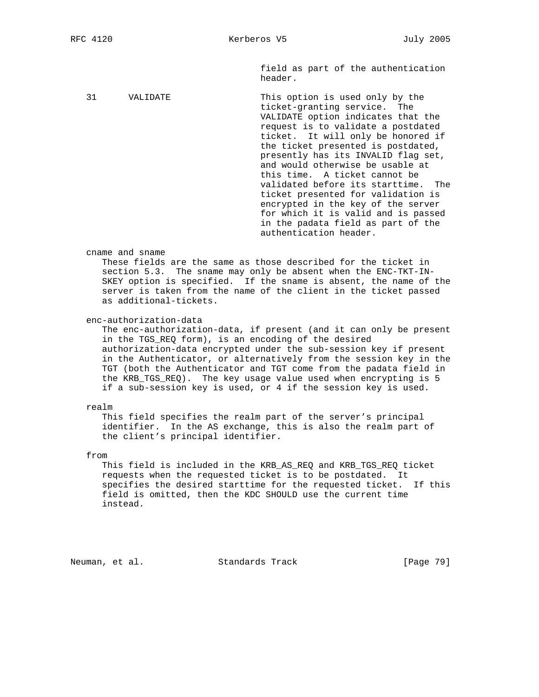field as part of the authentication header.

 31 VALIDATE This option is used only by the ticket-granting service. The VALIDATE option indicates that the request is to validate a postdated ticket. It will only be honored if the ticket presented is postdated, presently has its INVALID flag set, and would otherwise be usable at this time. A ticket cannot be validated before its starttime. The ticket presented for validation is encrypted in the key of the server for which it is valid and is passed in the padata field as part of the authentication header.

cname and sname

 These fields are the same as those described for the ticket in section 5.3. The sname may only be absent when the ENC-TKT-IN- SKEY option is specified. If the sname is absent, the name of the server is taken from the name of the client in the ticket passed as additional-tickets.

enc-authorization-data

 The enc-authorization-data, if present (and it can only be present in the TGS\_REQ form), is an encoding of the desired authorization-data encrypted under the sub-session key if present in the Authenticator, or alternatively from the session key in the TGT (both the Authenticator and TGT come from the padata field in the KRB\_TGS\_REQ). The key usage value used when encrypting is 5 if a sub-session key is used, or 4 if the session key is used.

#### realm

 This field specifies the realm part of the server's principal identifier. In the AS exchange, this is also the realm part of the client's principal identifier.

from

 This field is included in the KRB\_AS\_REQ and KRB\_TGS\_REQ ticket requests when the requested ticket is to be postdated. It specifies the desired starttime for the requested ticket. If this field is omitted, then the KDC SHOULD use the current time instead.

Neuman, et al. Standards Track [Page 79]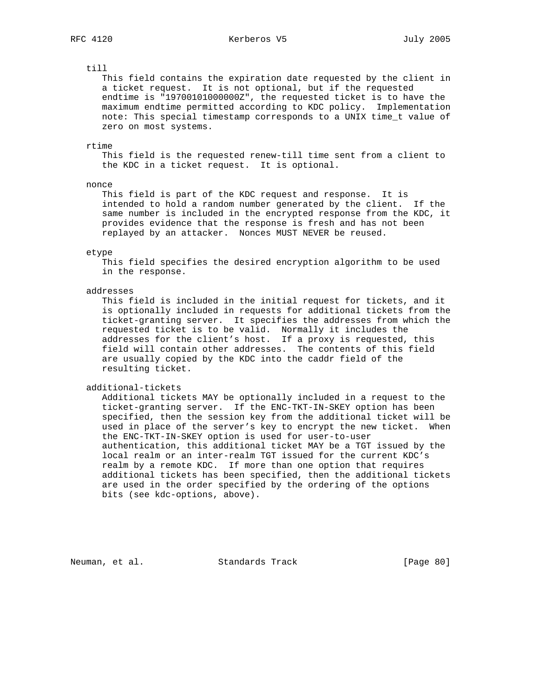#### till

 This field contains the expiration date requested by the client in a ticket request. It is not optional, but if the requested endtime is "19700101000000Z", the requested ticket is to have the maximum endtime permitted according to KDC policy. Implementation note: This special timestamp corresponds to a UNIX time\_t value of zero on most systems.

#### rtime

 This field is the requested renew-till time sent from a client to the KDC in a ticket request. It is optional.

#### nonce

 This field is part of the KDC request and response. It is intended to hold a random number generated by the client. If the same number is included in the encrypted response from the KDC, it provides evidence that the response is fresh and has not been replayed by an attacker. Nonces MUST NEVER be reused.

#### etype

 This field specifies the desired encryption algorithm to be used in the response.

#### addresses

 This field is included in the initial request for tickets, and it is optionally included in requests for additional tickets from the ticket-granting server. It specifies the addresses from which the requested ticket is to be valid. Normally it includes the addresses for the client's host. If a proxy is requested, this field will contain other addresses. The contents of this field are usually copied by the KDC into the caddr field of the resulting ticket.

#### additional-tickets

 Additional tickets MAY be optionally included in a request to the ticket-granting server. If the ENC-TKT-IN-SKEY option has been specified, then the session key from the additional ticket will be used in place of the server's key to encrypt the new ticket. When the ENC-TKT-IN-SKEY option is used for user-to-user authentication, this additional ticket MAY be a TGT issued by the local realm or an inter-realm TGT issued for the current KDC's realm by a remote KDC. If more than one option that requires additional tickets has been specified, then the additional tickets are used in the order specified by the ordering of the options bits (see kdc-options, above).

Neuman, et al. Standards Track [Page 80]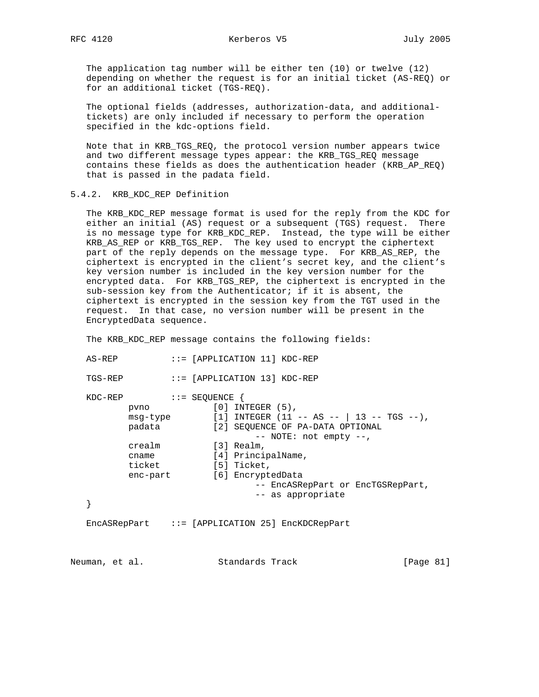The application tag number will be either ten (10) or twelve (12) depending on whether the request is for an initial ticket (AS-REQ) or for an additional ticket (TGS-REQ).

 The optional fields (addresses, authorization-data, and additional tickets) are only included if necessary to perform the operation specified in the kdc-options field.

 Note that in KRB\_TGS\_REQ, the protocol version number appears twice and two different message types appear: the KRB TGS REQ message contains these fields as does the authentication header (KRB\_AP\_REQ) that is passed in the padata field.

#### 5.4.2. KRB\_KDC\_REP Definition

 The KRB\_KDC\_REP message format is used for the reply from the KDC for either an initial (AS) request or a subsequent (TGS) request. There is no message type for KRB\_KDC\_REP. Instead, the type will be either KRB\_AS\_REP or KRB\_TGS\_REP. The key used to encrypt the ciphertext part of the reply depends on the message type. For KRB\_AS\_REP, the ciphertext is encrypted in the client's secret key, and the client's key version number is included in the key version number for the encrypted data. For KRB\_TGS\_REP, the ciphertext is encrypted in the sub-session key from the Authenticator; if it is absent, the ciphertext is encrypted in the session key from the TGT used in the request. In that case, no version number will be present in the EncryptedData sequence.

The KRB\_KDC\_REP message contains the following fields:

AS-REP ::= [APPLICATION 11] KDC-REP

TGS-REP ::= [APPLICATION 13] KDC-REP

| KDC-REP |          | $\cdot \cdot =$ SEOUENCE |                                                 |
|---------|----------|--------------------------|-------------------------------------------------|
|         | pyno     |                          | $[0]$ INTEGER $(5)$ ,                           |
|         | msq-type |                          | [1] INTEGER $(11 - - AS - -   13 - - TGS - -),$ |
|         | padata   |                          | [2] SEOUENCE OF PA-DATA OPTIONAL                |
|         |          |                          | $--$ NOTE: not empty $--$ ,                     |
|         | crealm   |                          | $[3]$ Realm,                                    |
|         | cname    |                          | [4] PrincipalName,                              |
|         | ticket   |                          | $[5]$ Ticket,                                   |
|         | enc-part |                          | [6] EncryptedData                               |
|         |          |                          | -- EncASRepPart or EncTGSRepPart,               |
|         |          |                          | -- as appropriate                               |
|         |          |                          |                                                 |

EncASRepPart ::= [APPLICATION 25] EncKDCRepPart

Neuman, et al. Standards Track [Page 81]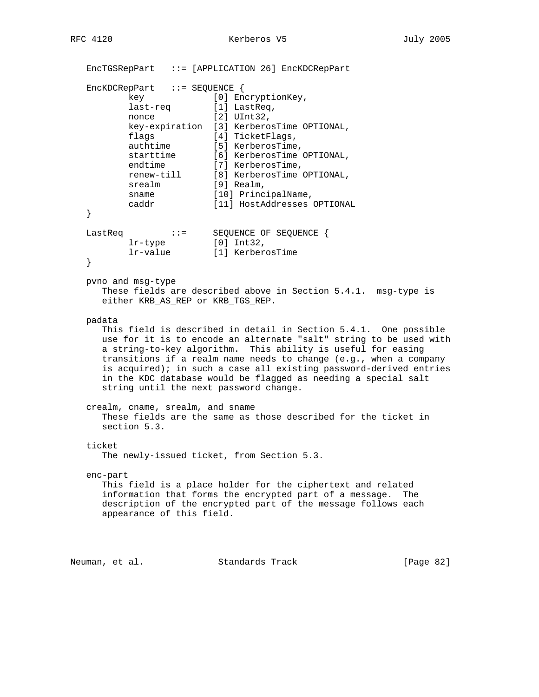```
 EncTGSRepPart ::= [APPLICATION 26] EncKDCRepPart
  EncKDCRepPart ::= SEQUENCE {<br>key [0] Ene
              [0] EncryptionKey,
 last-req [1] LastReq,
nonce [2] UInt32,
          key-expiration [3] KerberosTime OPTIONAL,
flags [4] TicketFlags,
 authtime [5] KerberosTime,
starttime [6] KerberosTime OPTIONAL,
endtime [7] KerberosTime,
 renew-till [8] KerberosTime OPTIONAL,
srealm [9] Realm,
sname [10] PrincipalName,
 caddr [11] HostAddresses OPTIONAL
   }
 LastReq ::= SEQUENCE OF SEQUENCE {
 lr-type [0] Int32,
 lr-value [1] KerberosTime
   }
   pvno and msg-type
    These fields are described above in Section 5.4.1. msg-type is
      either KRB_AS_REP or KRB_TGS_REP.
   padata
      This field is described in detail in Section 5.4.1. One possible
      use for it is to encode an alternate "salt" string to be used with
      a string-to-key algorithm. This ability is useful for easing
     transitions if a realm name needs to change (e.g., when a company
      is acquired); in such a case all existing password-derived entries
      in the KDC database would be flagged as needing a special salt
      string until the next password change.
   crealm, cname, srealm, and sname
     These fields are the same as those described for the ticket in
      section 5.3.
   ticket
      The newly-issued ticket, from Section 5.3.
   enc-part
     This field is a place holder for the ciphertext and related
      information that forms the encrypted part of a message. The
      description of the encrypted part of the message follows each
      appearance of this field.
```
Neuman, et al. Standards Track [Page 82]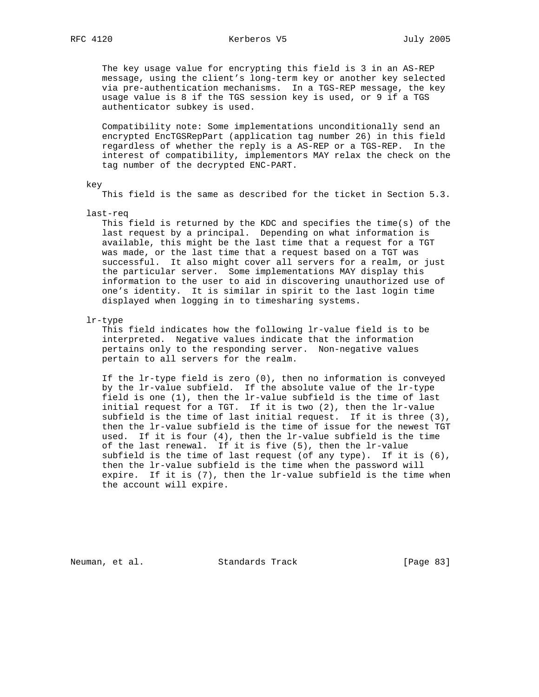The key usage value for encrypting this field is 3 in an AS-REP message, using the client's long-term key or another key selected via pre-authentication mechanisms. In a TGS-REP message, the key usage value is 8 if the TGS session key is used, or 9 if a TGS authenticator subkey is used.

 Compatibility note: Some implementations unconditionally send an encrypted EncTGSRepPart (application tag number 26) in this field regardless of whether the reply is a AS-REP or a TGS-REP. In the interest of compatibility, implementors MAY relax the check on the tag number of the decrypted ENC-PART.

#### key

This field is the same as described for the ticket in Section 5.3.

last-req

 This field is returned by the KDC and specifies the time(s) of the last request by a principal. Depending on what information is available, this might be the last time that a request for a TGT was made, or the last time that a request based on a TGT was successful. It also might cover all servers for a realm, or just the particular server. Some implementations MAY display this information to the user to aid in discovering unauthorized use of one's identity. It is similar in spirit to the last login time displayed when logging in to timesharing systems.

#### lr-type

 This field indicates how the following lr-value field is to be interpreted. Negative values indicate that the information pertains only to the responding server. Non-negative values pertain to all servers for the realm.

 If the lr-type field is zero (0), then no information is conveyed by the lr-value subfield. If the absolute value of the lr-type field is one (1), then the lr-value subfield is the time of last initial request for a TGT. If it is two (2), then the lr-value subfield is the time of last initial request. If it is three (3), then the lr-value subfield is the time of issue for the newest TGT used. If it is four (4), then the lr-value subfield is the time of the last renewal. If it is five (5), then the lr-value subfield is the time of last request (of any type). If it is (6), then the lr-value subfield is the time when the password will expire. If it is (7), then the lr-value subfield is the time when the account will expire.

Neuman, et al. Standards Track [Page 83]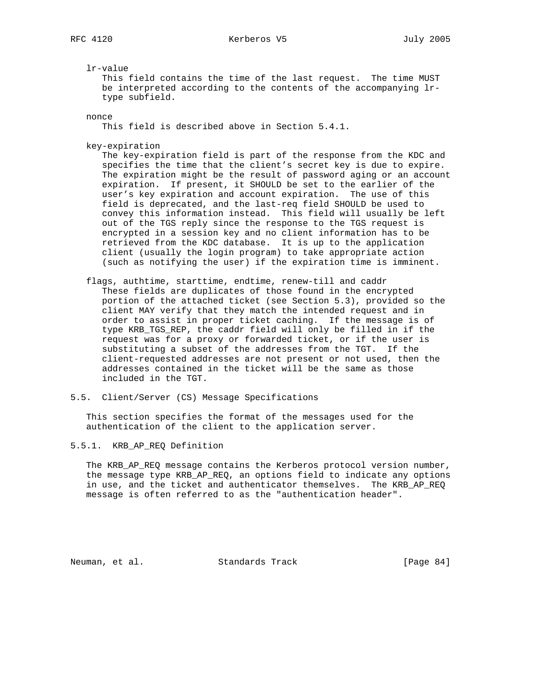# RFC 4120 Kerberos V5 July 2005

#### lr-value

 This field contains the time of the last request. The time MUST be interpreted according to the contents of the accompanying lr type subfield.

nonce

This field is described above in Section 5.4.1.

key-expiration

 The key-expiration field is part of the response from the KDC and specifies the time that the client's secret key is due to expire. The expiration might be the result of password aging or an account expiration. If present, it SHOULD be set to the earlier of the user's key expiration and account expiration. The use of this field is deprecated, and the last-req field SHOULD be used to convey this information instead. This field will usually be left out of the TGS reply since the response to the TGS request is encrypted in a session key and no client information has to be retrieved from the KDC database. It is up to the application client (usually the login program) to take appropriate action (such as notifying the user) if the expiration time is imminent.

 flags, authtime, starttime, endtime, renew-till and caddr These fields are duplicates of those found in the encrypted portion of the attached ticket (see Section 5.3), provided so the client MAY verify that they match the intended request and in order to assist in proper ticket caching. If the message is of type KRB\_TGS\_REP, the caddr field will only be filled in if the request was for a proxy or forwarded ticket, or if the user is substituting a subset of the addresses from the TGT. If the client-requested addresses are not present or not used, then the addresses contained in the ticket will be the same as those included in the TGT.

#### 5.5. Client/Server (CS) Message Specifications

 This section specifies the format of the messages used for the authentication of the client to the application server.

#### 5.5.1. KRB\_AP\_REQ Definition

 The KRB\_AP\_REQ message contains the Kerberos protocol version number, the message type KRB\_AP\_REQ, an options field to indicate any options in use, and the ticket and authenticator themselves. The KRB\_AP\_REQ message is often referred to as the "authentication header".

Neuman, et al. Standards Track [Page 84]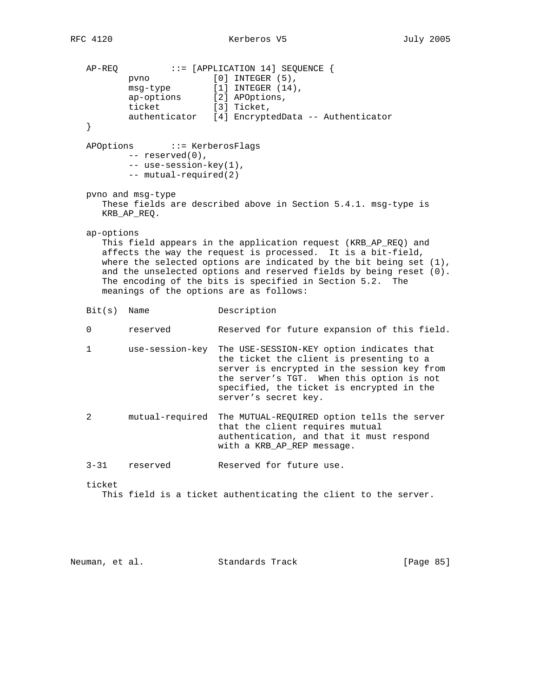```
 AP-REQ ::= [APPLICATION 14] SEQUENCE {
 pvno [0] INTEGER (5),
         pvno [0] INTEGER (5),<br>msg-type [1] INTEGER (14),
 ap-options [2] APOptions,
 ticket [3] Ticket,
           authenticator [4] EncryptedData -- Authenticator
   }
   APOptions ::= KerberosFlags
           -- reserved(0),
           -- use-session-key(1),
           -- mutual-required(2)
   pvno and msg-type
     These fields are described above in Section 5.4.1. msg-type is
     KRB_AP_REQ.
   ap-options
      This field appears in the application request (KRB_AP_REQ) and
      affects the way the request is processed. It is a bit-field,
     where the selected options are indicated by the bit being set (1),
      and the unselected options and reserved fields by being reset (0).
      The encoding of the bits is specified in Section 5.2. The
      meanings of the options are as follows:
   Bit(s) Name Description
   0 reserved Reserved for future expansion of this field.
   1 use-session-key The USE-SESSION-KEY option indicates that
                           the ticket the client is presenting to a
                           server is encrypted in the session key from
                           the server's TGT. When this option is not
                           specified, the ticket is encrypted in the
                           server's secret key.
   2 mutual-required The MUTUAL-REQUIRED option tells the server
                           that the client requires mutual
                           authentication, and that it must respond
                          with a KRB AP REP message.
   3-31 reserved Reserved for future use.
   ticket
      This field is a ticket authenticating the client to the server.
```
Neuman, et al. Standards Track [Page 85]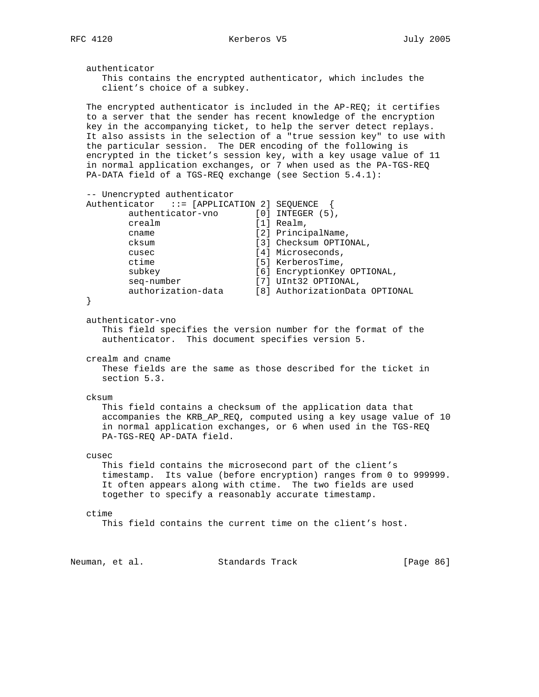authenticator This contains the encrypted authenticator, which includes the client's choice of a subkey. The encrypted authenticator is included in the AP-REQ; it certifies to a server that the sender has recent knowledge of the encryption key in the accompanying ticket, to help the server detect replays. It also assists in the selection of a "true session key" to use with the particular session. The DER encoding of the following is encrypted in the ticket's session key, with a key usage value of 11 in normal application exchanges, or 7 when used as the PA-TGS-REQ PA-DATA field of a TGS-REQ exchange (see Section 5.4.1): -- Unencrypted authenticator Authenticator ::= [APPLICATION 2] SEQUENCE { authenticator-vno [0] INTEGER (5),<br>crealm [1] Realm, crealm<br>cname [2] PrincipalName, cksum [3] Checksum OPTIONAL, cusec [4] Microseconds, ctime  $[5]$  KerberosTime, subkey [6] EncryptionKey OPTIONAL, seq-number [7] UInt32 OPTIONAL, authorization-data [8] AuthorizationData OPTIONAL } authenticator-vno This field specifies the version number for the format of the authenticator. This document specifies version 5. crealm and cname These fields are the same as those described for the ticket in section 5.3. cksum This field contains a checksum of the application data that accompanies the KRB\_AP\_REQ, computed using a key usage value of 10 in normal application exchanges, or 6 when used in the TGS-REQ PA-TGS-REQ AP-DATA field. cusec This field contains the microsecond part of the client's timestamp. Its value (before encryption) ranges from 0 to 999999. It often appears along with ctime. The two fields are used together to specify a reasonably accurate timestamp. ctime This field contains the current time on the client's host.

Neuman, et al. Standards Track [Page 86]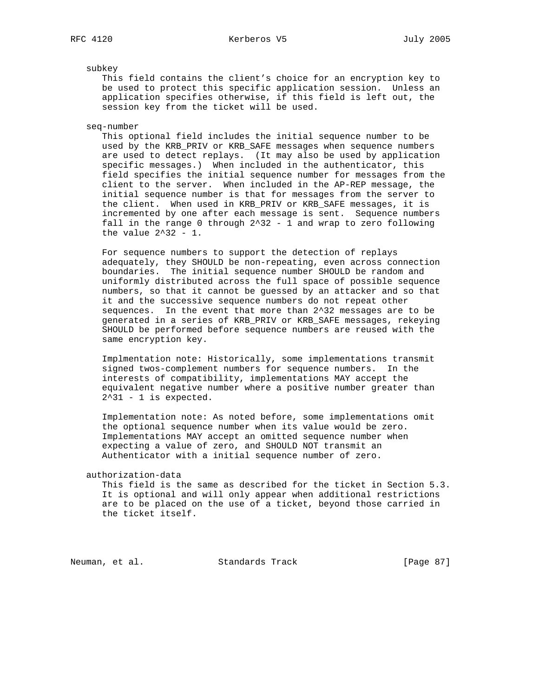#### subkey

 This field contains the client's choice for an encryption key to be used to protect this specific application session. Unless an application specifies otherwise, if this field is left out, the session key from the ticket will be used.

#### seq-number

 This optional field includes the initial sequence number to be used by the KRB\_PRIV or KRB\_SAFE messages when sequence numbers are used to detect replays. (It may also be used by application specific messages.) When included in the authenticator, this field specifies the initial sequence number for messages from the client to the server. When included in the AP-REP message, the initial sequence number is that for messages from the server to the client. When used in KRB\_PRIV or KRB\_SAFE messages, it is incremented by one after each message is sent. Sequence numbers fall in the range 0 through 2^32 - 1 and wrap to zero following the value 2^32 - 1.

 For sequence numbers to support the detection of replays adequately, they SHOULD be non-repeating, even across connection boundaries. The initial sequence number SHOULD be random and uniformly distributed across the full space of possible sequence numbers, so that it cannot be guessed by an attacker and so that it and the successive sequence numbers do not repeat other sequences. In the event that more than 2^32 messages are to be generated in a series of KRB\_PRIV or KRB\_SAFE messages, rekeying SHOULD be performed before sequence numbers are reused with the same encryption key.

 Implmentation note: Historically, some implementations transmit signed twos-complement numbers for sequence numbers. In the interests of compatibility, implementations MAY accept the equivalent negative number where a positive number greater than  $2^31 - 1$  is expected.

 Implementation note: As noted before, some implementations omit the optional sequence number when its value would be zero. Implementations MAY accept an omitted sequence number when expecting a value of zero, and SHOULD NOT transmit an Authenticator with a initial sequence number of zero.

#### authorization-data

 This field is the same as described for the ticket in Section 5.3. It is optional and will only appear when additional restrictions are to be placed on the use of a ticket, beyond those carried in the ticket itself.

Neuman, et al. Standards Track [Page 87]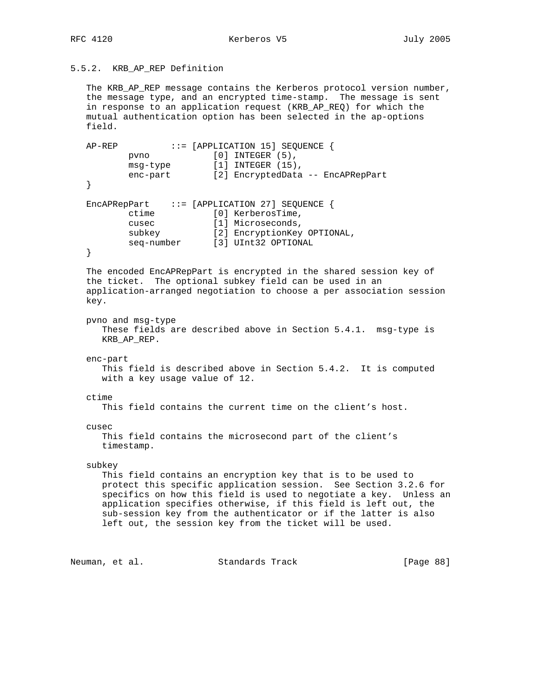## 5.5.2. KRB\_AP\_REP Definition

 The KRB\_AP\_REP message contains the Kerberos protocol version number, the message type, and an encrypted time-stamp. The message is sent in response to an application request (KRB\_AP\_REQ) for which the mutual authentication option has been selected in the ap-options field. AP-REP ::= [APPLICATION 15] SEQUENCE { pvno [0] INTEGER (5), msg-type [1] INTEGER (15), enc-part [2] EncryptedData -- EncAPRepPart } EncAPRepPart ::= [APPLICATION 27] SEQUENCE {<br>ctime [0] KerberosTime, [0] KerberosTime, cusec [1] Microseconds,<br>subkey [2] EncryptionKev [2] EncryptionKey OPTIONAL, seq-number [3] UInt32 OPTIONAL } The encoded EncAPRepPart is encrypted in the shared session key of the ticket. The optional subkey field can be used in an application-arranged negotiation to choose a per association session key. pvno and msg-type These fields are described above in Section 5.4.1. msg-type is KRB\_AP\_REP. enc-part This field is described above in Section 5.4.2. It is computed with a key usage value of 12. ctime This field contains the current time on the client's host. cusec This field contains the microsecond part of the client's timestamp. subkey This field contains an encryption key that is to be used to protect this specific application session. See Section 3.2.6 for specifics on how this field is used to negotiate a key. Unless an application specifies otherwise, if this field is left out, the sub-session key from the authenticator or if the latter is also left out, the session key from the ticket will be used.

Neuman, et al. Standards Track [Page 88]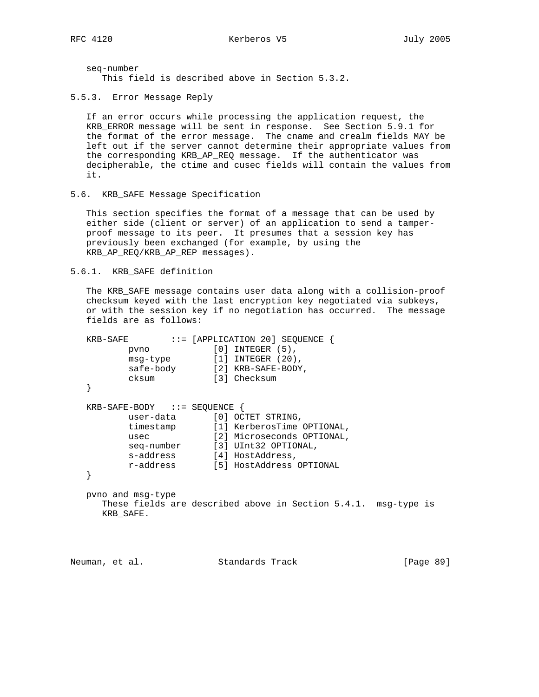seq-number This field is described above in Section 5.3.2.

5.5.3. Error Message Reply

 If an error occurs while processing the application request, the KRB\_ERROR message will be sent in response. See Section 5.9.1 for the format of the error message. The cname and crealm fields MAY be left out if the server cannot determine their appropriate values from the corresponding KRB AP REQ message. If the authenticator was decipherable, the ctime and cusec fields will contain the values from it.

```
5.6. KRB_SAFE Message Specification
```
 This section specifies the format of a message that can be used by either side (client or server) of an application to send a tamper proof message to its peer. It presumes that a session key has previously been exchanged (for example, by using the KRB\_AP\_REQ/KRB\_AP\_REP messages).

5.6.1. KRB\_SAFE definition

 The KRB\_SAFE message contains user data along with a collision-proof checksum keyed with the last encryption key negotiated via subkeys, or with the session key if no negotiation has occurred. The message fields are as follows:

```
 KRB-SAFE ::= [APPLICATION 20] SEQUENCE {
 pvno [0] INTEGER (5),
 msg-type [1] INTEGER (20),
 safe-body [2] KRB-SAFE-BODY,
 cksum [3] Checksum
   }
  KRB-SAFE-BODY ::= SEQUENCE {
 user-data [0] OCTET STRING,
 timestamp [1] KerberosTime OPTIONAL,
 usec [2] Microseconds OPTIONAL,
 seq-number [3] UInt32 OPTIONAL,
 s-address [4] HostAddress,
 r-address [5] HostAddress OPTIONAL
   }
  pvno and msg-type
    These fields are described above in Section 5.4.1. msg-type is
     KRB_SAFE.
```
Neuman, et al. Standards Track [Page 89]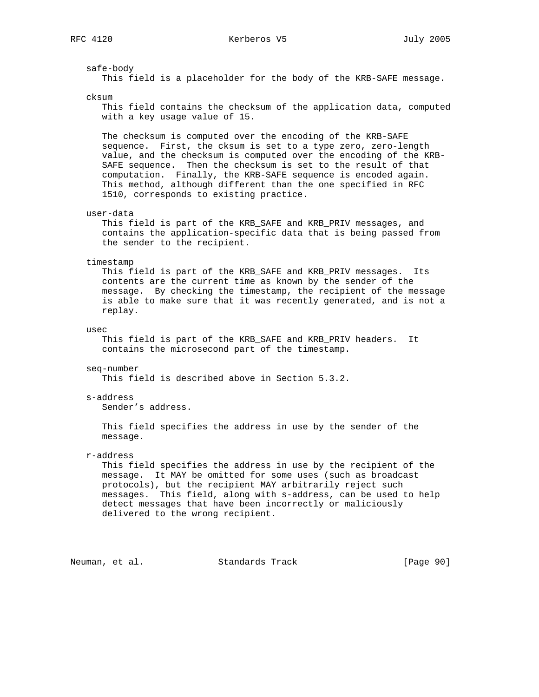safe-body This field is a placeholder for the body of the KRB-SAFE message. cksum This field contains the checksum of the application data, computed with a key usage value of 15. The checksum is computed over the encoding of the KRB-SAFE sequence. First, the cksum is set to a type zero, zero-length value, and the checksum is computed over the encoding of the KRB- SAFE sequence. Then the checksum is set to the result of that computation. Finally, the KRB-SAFE sequence is encoded again. This method, although different than the one specified in RFC 1510, corresponds to existing practice. user-data This field is part of the KRB\_SAFE and KRB\_PRIV messages, and contains the application-specific data that is being passed from the sender to the recipient. timestamp This field is part of the KRB\_SAFE and KRB\_PRIV messages. Its contents are the current time as known by the sender of the message. By checking the timestamp, the recipient of the message is able to make sure that it was recently generated, and is not a replay. usec This field is part of the KRB\_SAFE and KRB\_PRIV headers. It contains the microsecond part of the timestamp. seq-number This field is described above in Section 5.3.2. s-address Sender's address. This field specifies the address in use by the sender of the message. r-address This field specifies the address in use by the recipient of the message. It MAY be omitted for some uses (such as broadcast protocols), but the recipient MAY arbitrarily reject such messages. This field, along with s-address, can be used to help detect messages that have been incorrectly or maliciously delivered to the wrong recipient. Neuman, et al. Standards Track [Page 90]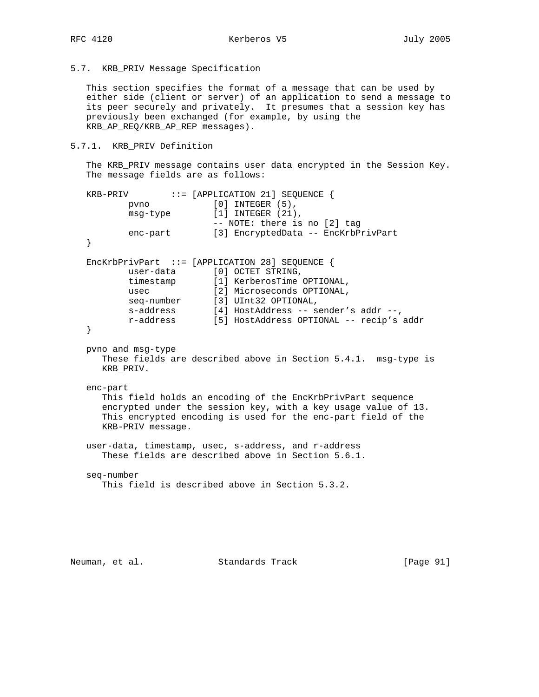#### 5.7. KRB\_PRIV Message Specification

 This section specifies the format of a message that can be used by either side (client or server) of an application to send a message to its peer securely and privately. It presumes that a session key has previously been exchanged (for example, by using the KRB\_AP\_REQ/KRB\_AP\_REP messages).

## 5.7.1. KRB\_PRIV Definition

 The KRB\_PRIV message contains user data encrypted in the Session Key. The message fields are as follows:

```
 KRB-PRIV ::= [APPLICATION 21] SEQUENCE {
 pvno [0] INTEGER (5),
         msg-type [1] INTEGER (21),<br>- NOTE: there is
                         -- NOTE: there is no [2] tag
          enc-part [3] EncryptedData -- EncKrbPrivPart
   }
   EncKrbPrivPart ::= [APPLICATION 28] SEQUENCE {
 user-data [0] OCTET STRING,
 timestamp [1] KerberosTime OPTIONAL,
          usec [2] Microseconds OPTIONAL,
 seq-number [3] UInt32 OPTIONAL,
 s-address [4] HostAddress -- sender's addr --,
 r-address [5] HostAddress OPTIONAL -- recip's addr
   }
   pvno and msg-type
     These fields are described above in Section 5.4.1. msg-type is
      KRB_PRIV.
   enc-part
      This field holds an encoding of the EncKrbPrivPart sequence
      encrypted under the session key, with a key usage value of 13.
      This encrypted encoding is used for the enc-part field of the
      KRB-PRIV message.
   user-data, timestamp, usec, s-address, and r-address
      These fields are described above in Section 5.6.1.
   seq-number
      This field is described above in Section 5.3.2.
```
Neuman, et al. Standards Track [Page 91]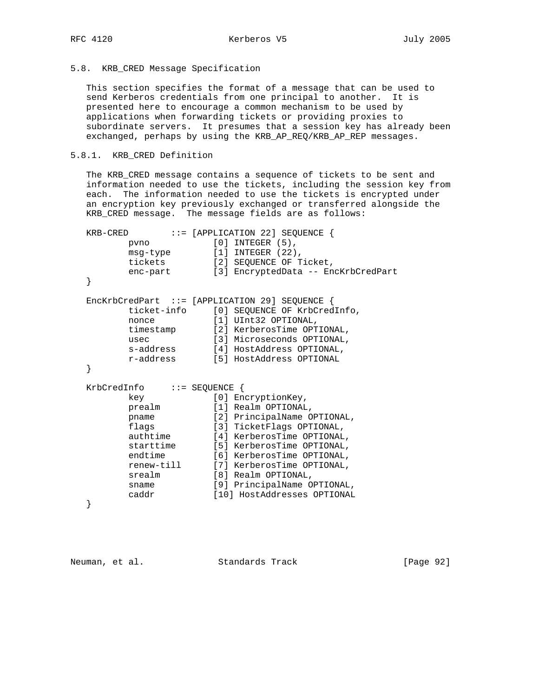RFC 4120 Kerberos V5 July 2005

## 5.8. KRB\_CRED Message Specification

 This section specifies the format of a message that can be used to send Kerberos credentials from one principal to another. It is presented here to encourage a common mechanism to be used by applications when forwarding tickets or providing proxies to subordinate servers. It presumes that a session key has already been exchanged, perhaps by using the KRB\_AP\_REQ/KRB\_AP\_REP messages.

## 5.8.1. KRB\_CRED Definition

 The KRB\_CRED message contains a sequence of tickets to be sent and information needed to use the tickets, including the session key from each. The information needed to use the tickets is encrypted under an encryption key previously exchanged or transferred alongside the KRB\_CRED message. The message fields are as follows:

```
 KRB-CRED ::= [APPLICATION 22] SEQUENCE {
        pvno [0] INTEGER (5),
 msg-type [1] INTEGER (22),
 tickets [2] SEQUENCE OF Ticket,
 enc-part [3] EncryptedData -- EncKrbCredPart
   }
   EncKrbCredPart ::= [APPLICATION 29] SEQUENCE {
       ticket-info [0] SEQUENCE OF KrbCredInfo,<br>nonce [1] UInt32 OPTIONAL,
nonce [1] UInt32 OPTIONAL,
 timestamp [2] KerberosTime OPTIONAL,
 usec [3] Microseconds OPTIONAL,
 s-address [4] HostAddress OPTIONAL,
 r-address [5] HostAddress OPTIONAL
   }
  KrbCredInfo ::= SEQUENCE {
 key [0] EncryptionKey,
 prealm [1] Realm OPTIONAL,
 pname [2] PrincipalName OPTIONAL,
 flags [3] TicketFlags OPTIONAL,
 authtime [4] KerberosTime OPTIONAL,
starttime [5] KerberosTime OPTIONAL,
endtime [6] KerberosTime OPTIONAL,
 renew-till [7] KerberosTime OPTIONAL,
srealm [8] Realm OPTIONAL,
 sname [9] PrincipalName OPTIONAL,
 caddr [10] HostAddresses OPTIONAL
   }
```
Neuman, et al. Standards Track [Page 92]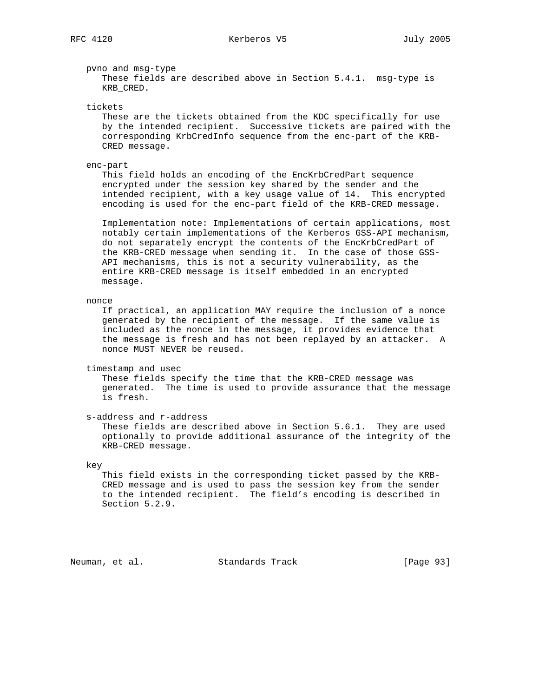pvno and msg-type

These fields are described above in Section 5.4.1. msg-type is KRB\_CRED.

tickets

 These are the tickets obtained from the KDC specifically for use by the intended recipient. Successive tickets are paired with the corresponding KrbCredInfo sequence from the enc-part of the KRB- CRED message.

enc-part

 This field holds an encoding of the EncKrbCredPart sequence encrypted under the session key shared by the sender and the intended recipient, with a key usage value of 14. This encrypted encoding is used for the enc-part field of the KRB-CRED message.

 Implementation note: Implementations of certain applications, most notably certain implementations of the Kerberos GSS-API mechanism, do not separately encrypt the contents of the EncKrbCredPart of the KRB-CRED message when sending it. In the case of those GSS- API mechanisms, this is not a security vulnerability, as the entire KRB-CRED message is itself embedded in an encrypted message.

nonce

 If practical, an application MAY require the inclusion of a nonce generated by the recipient of the message. If the same value is included as the nonce in the message, it provides evidence that the message is fresh and has not been replayed by an attacker. A nonce MUST NEVER be reused.

timestamp and usec

 These fields specify the time that the KRB-CRED message was generated. The time is used to provide assurance that the message is fresh.

s-address and r-address

 These fields are described above in Section 5.6.1. They are used optionally to provide additional assurance of the integrity of the KRB-CRED message.

key

 This field exists in the corresponding ticket passed by the KRB- CRED message and is used to pass the session key from the sender to the intended recipient. The field's encoding is described in Section 5.2.9.

Neuman, et al. Standards Track [Page 93]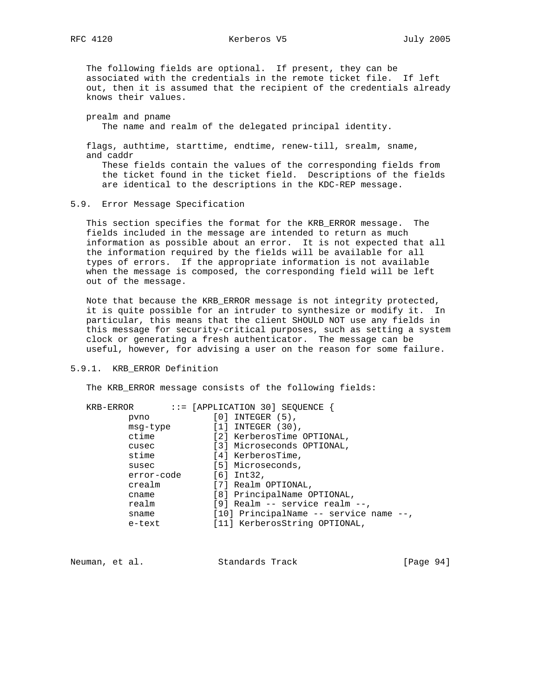The following fields are optional. If present, they can be associated with the credentials in the remote ticket file. If left out, then it is assumed that the recipient of the credentials already knows their values.

 prealm and pname The name and realm of the delegated principal identity.

 flags, authtime, starttime, endtime, renew-till, srealm, sname, and caddr

 These fields contain the values of the corresponding fields from the ticket found in the ticket field. Descriptions of the fields are identical to the descriptions in the KDC-REP message.

#### 5.9. Error Message Specification

 This section specifies the format for the KRB\_ERROR message. The fields included in the message are intended to return as much information as possible about an error. It is not expected that all the information required by the fields will be available for all types of errors. If the appropriate information is not available when the message is composed, the corresponding field will be left out of the message.

 Note that because the KRB\_ERROR message is not integrity protected, it is quite possible for an intruder to synthesize or modify it. In particular, this means that the client SHOULD NOT use any fields in this message for security-critical purposes, such as setting a system clock or generating a fresh authenticator. The message can be useful, however, for advising a user on the reason for some failure.

## 5.9.1. KRB\_ERROR Definition

The KRB\_ERROR message consists of the following fields:

| KRB-ERROR  | $::=$ [APPLICATION 30] SEQUENCE        |
|------------|----------------------------------------|
| pyno       | $[0]$ INTEGER $(5)$ ,                  |
| msq-type   | $[1]$ INTEGER $(30)$ ,                 |
| ctime      | [2] KerberosTime OPTIONAL,             |
| cusec      | [3] Microseconds OPTIONAL,             |
| stime      | [4] KerberosTime,                      |
| susec      | [5] Microseconds,                      |
| error-code | $[6]$ Int32,                           |
| crealm     | [7] Realm OPTIONAL,                    |
| cname      | [8] PrincipalName OPTIONAL,            |
| realm      | $[9]$ Realm -- service realm --,       |
| sname      | [10] PrincipalName -- service name --, |
| e-text     | [11] KerberosString OPTIONAL,          |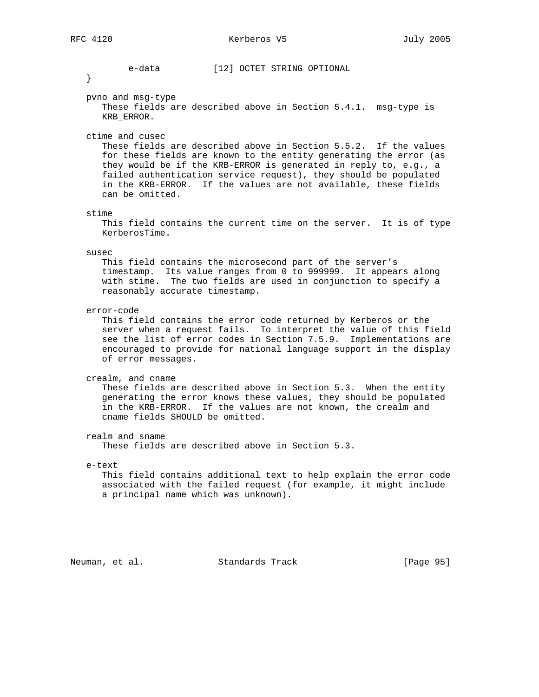RFC 4120 Kerberos V5 July 2005

e-data [12] OCTET STRING OPTIONAL

}

pvno and msg-type

These fields are described above in Section 5.4.1. msg-type is KRB\_ERROR.

ctime and cusec

 These fields are described above in Section 5.5.2. If the values for these fields are known to the entity generating the error (as they would be if the KRB-ERROR is generated in reply to, e.g., a failed authentication service request), they should be populated in the KRB-ERROR. If the values are not available, these fields can be omitted.

stime

 This field contains the current time on the server. It is of type KerberosTime.

susec

 This field contains the microsecond part of the server's timestamp. Its value ranges from 0 to 999999. It appears along with stime. The two fields are used in conjunction to specify a reasonably accurate timestamp.

error-code

 This field contains the error code returned by Kerberos or the server when a request fails. To interpret the value of this field see the list of error codes in Section 7.5.9. Implementations are encouraged to provide for national language support in the display of error messages.

crealm, and cname

 These fields are described above in Section 5.3. When the entity generating the error knows these values, they should be populated in the KRB-ERROR. If the values are not known, the crealm and cname fields SHOULD be omitted.

realm and sname

These fields are described above in Section 5.3.

e-text

 This field contains additional text to help explain the error code associated with the failed request (for example, it might include a principal name which was unknown).

Neuman, et al. Standards Track [Page 95]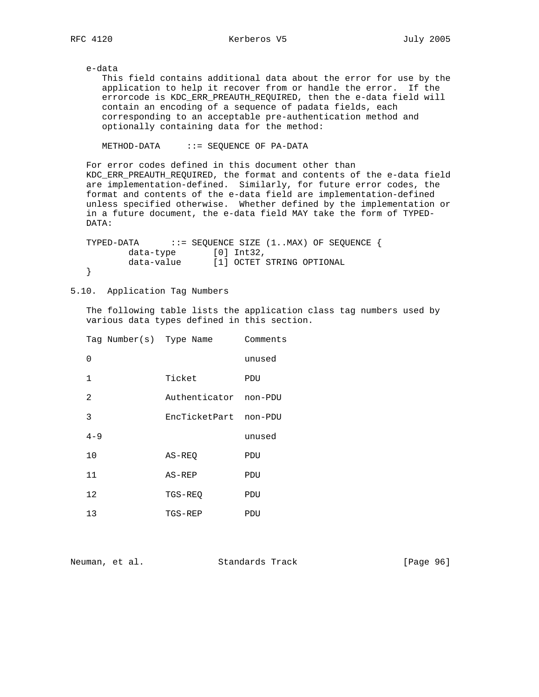e-data This field contains additional data about the error for use by the application to help it recover from or handle the error. If the errorcode is KDC\_ERR\_PREAUTH\_REQUIRED, then the e-data field will contain an encoding of a sequence of padata fields, each corresponding to an acceptable pre-authentication method and optionally containing data for the method: METHOD-DATA ::= SEQUENCE OF PA-DATA For error codes defined in this document other than KDC\_ERR\_PREAUTH\_REQUIRED, the format and contents of the e-data field

 are implementation-defined. Similarly, for future error codes, the format and contents of the e-data field are implementation-defined unless specified otherwise. Whether defined by the implementation or in a future document, the e-data field MAY take the form of TYPED- DATA:

 TYPED-DATA ::= SEQUENCE SIZE (1..MAX) OF SEQUENCE { data-type [0] Int32, data-value [1] OCTET STRING OPTIONAL }

#### 5.10. Application Tag Numbers

 The following table lists the application class tag numbers used by various data types defined in this section.

| Tag Number(s) Type Name |                       | Comments |
|-------------------------|-----------------------|----------|
| 0                       |                       | unused   |
| 1                       | Ticket                | PDU      |
| 2                       | Authenticator non-PDU |          |
| 3                       | EncTicketPart non-PDU |          |
| $4 - 9$                 |                       | unused   |
| 10                      | AS-REQ                | PDU      |
| 11                      | $AS-REP$              | PDU      |
| 12                      | TGS-REQ               | PDU      |
| 13                      | TGS-REP               | PDU      |

| Neuman, et al. | Standards Track | [Page 96] |  |
|----------------|-----------------|-----------|--|
|                |                 |           |  |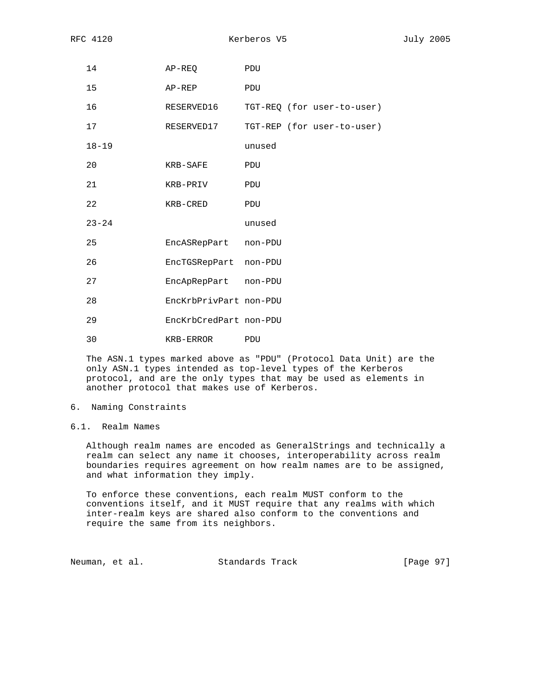| 14        | AP-REO                 | PDU                        |
|-----------|------------------------|----------------------------|
| 15        | AP-REP                 | PDU                        |
| 16        | RESERVED16             | TGT-REQ (for user-to-user) |
| 17        | RESERVED17             | TGT-REP (for user-to-user) |
| $18 - 19$ |                        | unused                     |
| 20        | KRB-SAFE               | PDU                        |
| 21        | KRB-PRIV               | PDU                        |
| 22        | KRB-CRED               | PDU                        |
| $23 - 24$ |                        | unused                     |
| 25        | EncASRepPart           | non-PDU                    |
| 26        | EncTGSRepPart non-PDU  |                            |
| 27        | EncApRepPart non-PDU   |                            |
| 28        | EncKrbPrivPart non-PDU |                            |
| 29        | EncKrbCredPart non-PDU |                            |
| 30        | KRB-ERROR              | PDU                        |

 The ASN.1 types marked above as "PDU" (Protocol Data Unit) are the only ASN.1 types intended as top-level types of the Kerberos protocol, and are the only types that may be used as elements in another protocol that makes use of Kerberos.

## 6. Naming Constraints

## 6.1. Realm Names

 Although realm names are encoded as GeneralStrings and technically a realm can select any name it chooses, interoperability across realm boundaries requires agreement on how realm names are to be assigned, and what information they imply.

 To enforce these conventions, each realm MUST conform to the conventions itself, and it MUST require that any realms with which inter-realm keys are shared also conform to the conventions and require the same from its neighbors.

Neuman, et al. Standards Track [Page 97]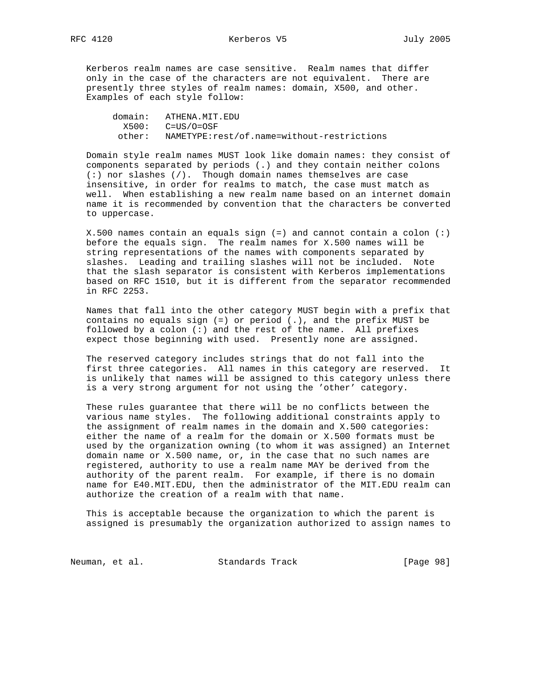Kerberos realm names are case sensitive. Realm names that differ only in the case of the characters are not equivalent. There are presently three styles of realm names: domain, X500, and other. Examples of each style follow:

 domain: ATHENA.MIT.EDU X500: C=US/O=OSF other: NAMETYPE:rest/of.name=without-restrictions

 Domain style realm names MUST look like domain names: they consist of components separated by periods (.) and they contain neither colons (:) nor slashes (/). Though domain names themselves are case insensitive, in order for realms to match, the case must match as well. When establishing a new realm name based on an internet domain name it is recommended by convention that the characters be converted to uppercase.

 X.500 names contain an equals sign (=) and cannot contain a colon (:) before the equals sign. The realm names for X.500 names will be string representations of the names with components separated by slashes. Leading and trailing slashes will not be included. Note that the slash separator is consistent with Kerberos implementations based on RFC 1510, but it is different from the separator recommended in RFC 2253.

 Names that fall into the other category MUST begin with a prefix that contains no equals sign  $(=)$  or period  $(.)$ , and the prefix MUST be followed by a colon (:) and the rest of the name. All prefixes expect those beginning with used. Presently none are assigned.

 The reserved category includes strings that do not fall into the first three categories. All names in this category are reserved. It is unlikely that names will be assigned to this category unless there is a very strong argument for not using the 'other' category.

 These rules guarantee that there will be no conflicts between the various name styles. The following additional constraints apply to the assignment of realm names in the domain and X.500 categories: either the name of a realm for the domain or X.500 formats must be used by the organization owning (to whom it was assigned) an Internet domain name or X.500 name, or, in the case that no such names are registered, authority to use a realm name MAY be derived from the authority of the parent realm. For example, if there is no domain name for E40.MIT.EDU, then the administrator of the MIT.EDU realm can authorize the creation of a realm with that name.

 This is acceptable because the organization to which the parent is assigned is presumably the organization authorized to assign names to

Neuman, et al. Standards Track [Page 98]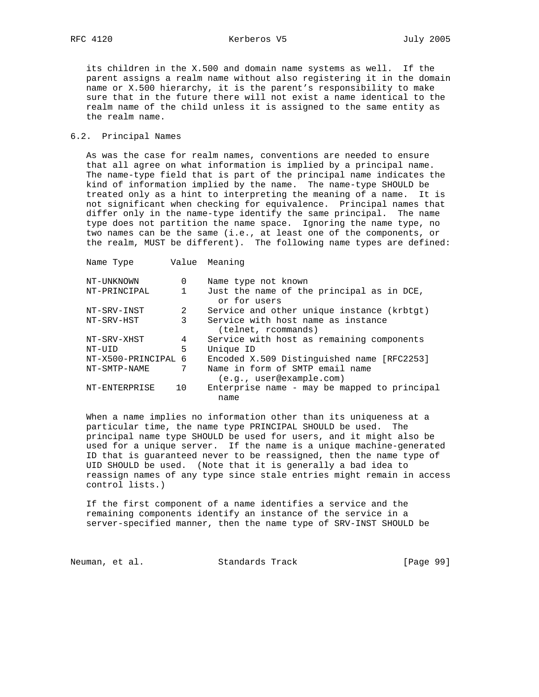#### RFC 4120 Kerberos V5 July 2005

 its children in the X.500 and domain name systems as well. If the parent assigns a realm name without also registering it in the domain name or X.500 hierarchy, it is the parent's responsibility to make sure that in the future there will not exist a name identical to the realm name of the child unless it is assigned to the same entity as the realm name.

### 6.2. Principal Names

 As was the case for realm names, conventions are needed to ensure that all agree on what information is implied by a principal name. The name-type field that is part of the principal name indicates the kind of information implied by the name. The name-type SHOULD be treated only as a hint to interpreting the meaning of a name. It is not significant when checking for equivalence. Principal names that differ only in the name-type identify the same principal. The name type does not partition the name space. Ignoring the name type, no two names can be the same (i.e., at least one of the components, or the realm, MUST be different). The following name types are defined:

| Name Type           | Value          | Meaning                                                   |
|---------------------|----------------|-----------------------------------------------------------|
| NT-UNKNOWN          | 0              | Name type not known                                       |
| NT-PRINCIPAL        | $\mathbf{1}$   | Just the name of the principal as in DCE,<br>or for users |
| NT-SRV-INST         | $\overline{2}$ | Service and other unique instance (krbtqt)                |
| NT-SRV-HST          | 3              | Service with host name as instance<br>(telnet, rcommands) |
| NT-SRV-XHST         | 4              | Service with host as remaining components                 |
| NT-UID              | 5              | Unique ID                                                 |
| NT-X500-PRINCIPAL 6 |                | Encoded X.509 Distinguished name [RFC2253]                |
| NT-SMTP-NAME        | 7              | Name in form of SMTP email name                           |
|                     |                | $(e,q,$ user@example.com)                                 |
| NT-ENTERPRISE       | 10             | Enterprise name - may be mapped to principal<br>name      |

 When a name implies no information other than its uniqueness at a particular time, the name type PRINCIPAL SHOULD be used. The principal name type SHOULD be used for users, and it might also be used for a unique server. If the name is a unique machine-generated ID that is guaranteed never to be reassigned, then the name type of UID SHOULD be used. (Note that it is generally a bad idea to reassign names of any type since stale entries might remain in access control lists.)

 If the first component of a name identifies a service and the remaining components identify an instance of the service in a server-specified manner, then the name type of SRV-INST SHOULD be

Neuman, et al. Standards Track [Page 99]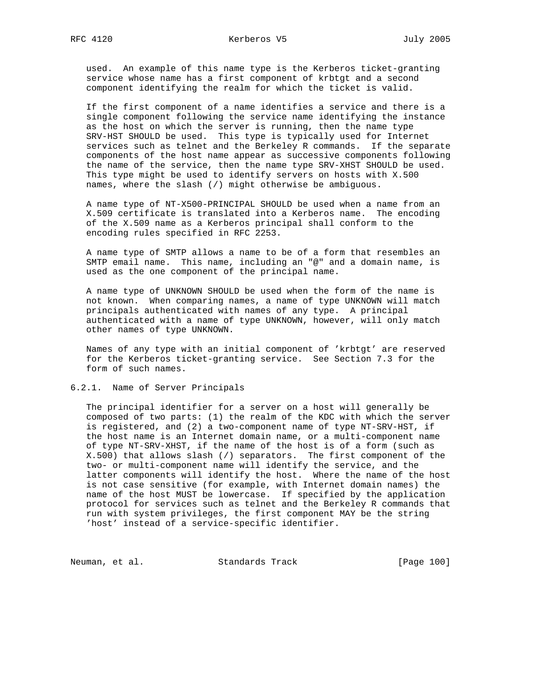used. An example of this name type is the Kerberos ticket-granting service whose name has a first component of krbtgt and a second component identifying the realm for which the ticket is valid.

 If the first component of a name identifies a service and there is a single component following the service name identifying the instance as the host on which the server is running, then the name type SRV-HST SHOULD be used. This type is typically used for Internet services such as telnet and the Berkeley R commands. If the separate components of the host name appear as successive components following the name of the service, then the name type SRV-XHST SHOULD be used. This type might be used to identify servers on hosts with X.500 names, where the slash (/) might otherwise be ambiguous.

 A name type of NT-X500-PRINCIPAL SHOULD be used when a name from an X.509 certificate is translated into a Kerberos name. The encoding of the X.509 name as a Kerberos principal shall conform to the encoding rules specified in RFC 2253.

 A name type of SMTP allows a name to be of a form that resembles an SMTP email name. This name, including an "@" and a domain name, is used as the one component of the principal name.

 A name type of UNKNOWN SHOULD be used when the form of the name is not known. When comparing names, a name of type UNKNOWN will match principals authenticated with names of any type. A principal authenticated with a name of type UNKNOWN, however, will only match other names of type UNKNOWN.

 Names of any type with an initial component of 'krbtgt' are reserved for the Kerberos ticket-granting service. See Section 7.3 for the form of such names.

## 6.2.1. Name of Server Principals

 The principal identifier for a server on a host will generally be composed of two parts: (1) the realm of the KDC with which the server is registered, and (2) a two-component name of type NT-SRV-HST, if the host name is an Internet domain name, or a multi-component name of type NT-SRV-XHST, if the name of the host is of a form (such as X.500) that allows slash (/) separators. The first component of the two- or multi-component name will identify the service, and the latter components will identify the host. Where the name of the host is not case sensitive (for example, with Internet domain names) the name of the host MUST be lowercase. If specified by the application protocol for services such as telnet and the Berkeley R commands that run with system privileges, the first component MAY be the string 'host' instead of a service-specific identifier.

Neuman, et al. Standards Track [Page 100]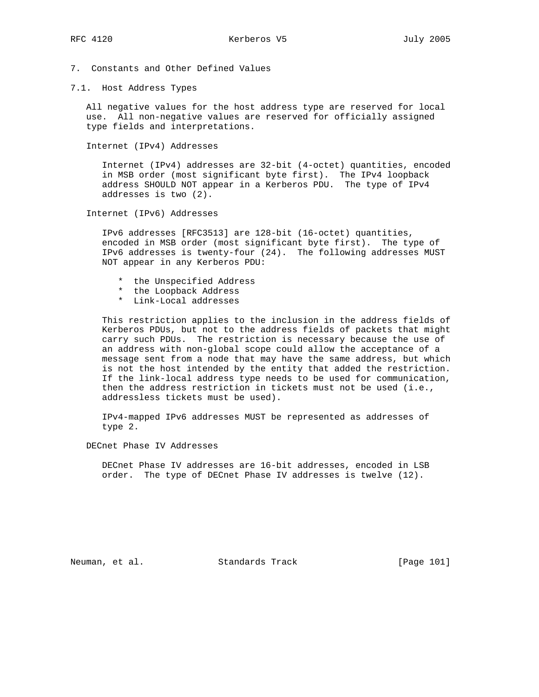- 7. Constants and Other Defined Values
- 7.1. Host Address Types

 All negative values for the host address type are reserved for local use. All non-negative values are reserved for officially assigned type fields and interpretations.

Internet (IPv4) Addresses

 Internet (IPv4) addresses are 32-bit (4-octet) quantities, encoded in MSB order (most significant byte first). The IPv4 loopback address SHOULD NOT appear in a Kerberos PDU. The type of IPv4 addresses is two (2).

Internet (IPv6) Addresses

 IPv6 addresses [RFC3513] are 128-bit (16-octet) quantities, encoded in MSB order (most significant byte first). The type of IPv6 addresses is twenty-four (24). The following addresses MUST NOT appear in any Kerberos PDU:

- \* the Unspecified Address
- \* the Loopback Address
- \* Link-Local addresses

 This restriction applies to the inclusion in the address fields of Kerberos PDUs, but not to the address fields of packets that might carry such PDUs. The restriction is necessary because the use of an address with non-global scope could allow the acceptance of a message sent from a node that may have the same address, but which is not the host intended by the entity that added the restriction. If the link-local address type needs to be used for communication, then the address restriction in tickets must not be used (i.e., addressless tickets must be used).

 IPv4-mapped IPv6 addresses MUST be represented as addresses of type 2.

DECnet Phase IV Addresses

 DECnet Phase IV addresses are 16-bit addresses, encoded in LSB order. The type of DECnet Phase IV addresses is twelve (12).

Neuman, et al. Standards Track [Page 101]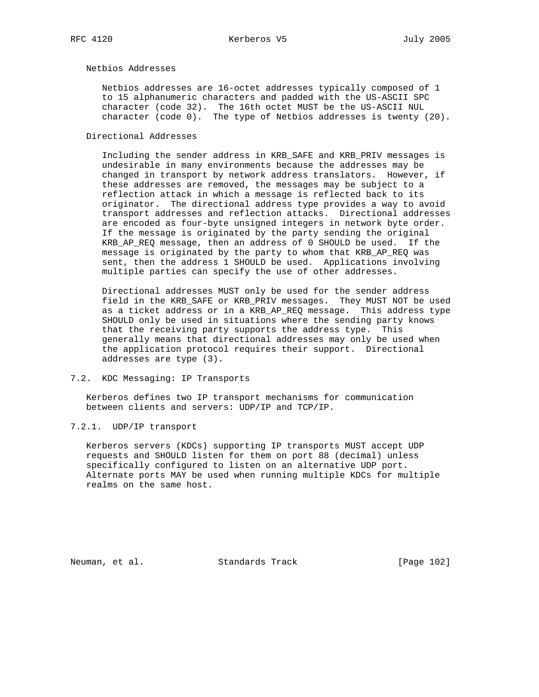## Netbios Addresses

 Netbios addresses are 16-octet addresses typically composed of 1 to 15 alphanumeric characters and padded with the US-ASCII SPC character (code 32). The 16th octet MUST be the US-ASCII NUL character (code 0). The type of Netbios addresses is twenty (20).

## Directional Addresses

 Including the sender address in KRB\_SAFE and KRB\_PRIV messages is undesirable in many environments because the addresses may be changed in transport by network address translators. However, if these addresses are removed, the messages may be subject to a reflection attack in which a message is reflected back to its originator. The directional address type provides a way to avoid transport addresses and reflection attacks. Directional addresses are encoded as four-byte unsigned integers in network byte order. If the message is originated by the party sending the original KRB\_AP\_REQ message, then an address of 0 SHOULD be used. If the message is originated by the party to whom that KRB\_AP\_REQ was sent, then the address 1 SHOULD be used. Applications involving multiple parties can specify the use of other addresses.

 Directional addresses MUST only be used for the sender address field in the KRB\_SAFE or KRB\_PRIV messages. They MUST NOT be used as a ticket address or in a KRB\_AP\_REQ message. This address type SHOULD only be used in situations where the sending party knows that the receiving party supports the address type. This generally means that directional addresses may only be used when the application protocol requires their support. Directional addresses are type (3).

#### 7.2. KDC Messaging: IP Transports

 Kerberos defines two IP transport mechanisms for communication between clients and servers: UDP/IP and TCP/IP.

## 7.2.1. UDP/IP transport

 Kerberos servers (KDCs) supporting IP transports MUST accept UDP requests and SHOULD listen for them on port 88 (decimal) unless specifically configured to listen on an alternative UDP port. Alternate ports MAY be used when running multiple KDCs for multiple realms on the same host.

Neuman, et al. Standards Track [Page 102]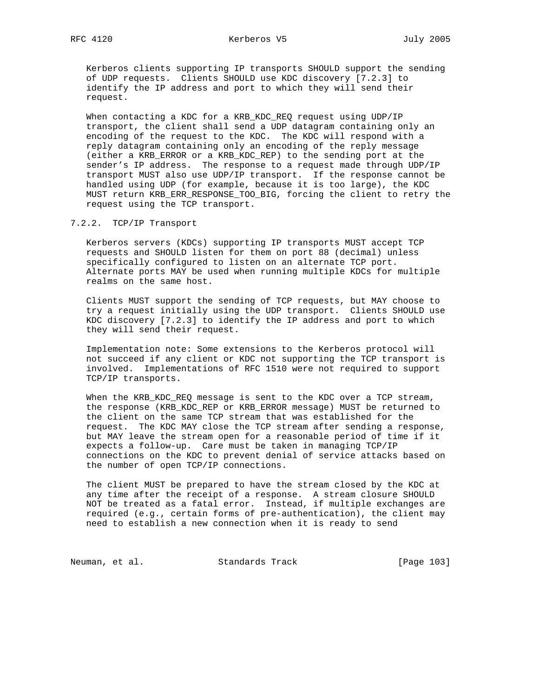Kerberos clients supporting IP transports SHOULD support the sending of UDP requests. Clients SHOULD use KDC discovery [7.2.3] to identify the IP address and port to which they will send their request.

 When contacting a KDC for a KRB\_KDC\_REQ request using UDP/IP transport, the client shall send a UDP datagram containing only an encoding of the request to the KDC. The KDC will respond with a reply datagram containing only an encoding of the reply message (either a KRB\_ERROR or a KRB\_KDC\_REP) to the sending port at the sender's IP address. The response to a request made through UDP/IP transport MUST also use UDP/IP transport. If the response cannot be handled using UDP (for example, because it is too large), the KDC MUST return KRB\_ERR\_RESPONSE\_TOO\_BIG, forcing the client to retry the request using the TCP transport.

#### 7.2.2. TCP/IP Transport

 Kerberos servers (KDCs) supporting IP transports MUST accept TCP requests and SHOULD listen for them on port 88 (decimal) unless specifically configured to listen on an alternate TCP port. Alternate ports MAY be used when running multiple KDCs for multiple realms on the same host.

 Clients MUST support the sending of TCP requests, but MAY choose to try a request initially using the UDP transport. Clients SHOULD use KDC discovery [7.2.3] to identify the IP address and port to which they will send their request.

 Implementation note: Some extensions to the Kerberos protocol will not succeed if any client or KDC not supporting the TCP transport is involved. Implementations of RFC 1510 were not required to support TCP/IP transports.

 When the KRB\_KDC\_REQ message is sent to the KDC over a TCP stream, the response (KRB\_KDC\_REP or KRB\_ERROR message) MUST be returned to the client on the same TCP stream that was established for the request. The KDC MAY close the TCP stream after sending a response, but MAY leave the stream open for a reasonable period of time if it expects a follow-up. Care must be taken in managing TCP/IP connections on the KDC to prevent denial of service attacks based on the number of open TCP/IP connections.

 The client MUST be prepared to have the stream closed by the KDC at any time after the receipt of a response. A stream closure SHOULD NOT be treated as a fatal error. Instead, if multiple exchanges are required (e.g., certain forms of pre-authentication), the client may need to establish a new connection when it is ready to send

Neuman, et al. Standards Track [Page 103]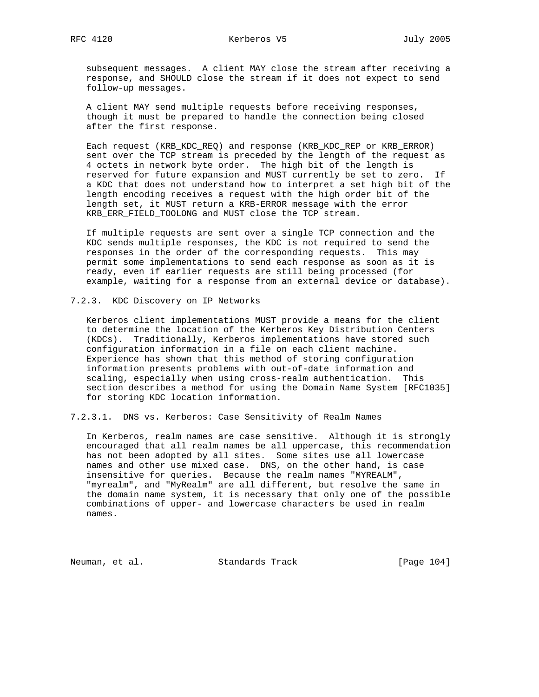subsequent messages. A client MAY close the stream after receiving a response, and SHOULD close the stream if it does not expect to send follow-up messages.

 A client MAY send multiple requests before receiving responses, though it must be prepared to handle the connection being closed after the first response.

 Each request (KRB\_KDC\_REQ) and response (KRB\_KDC\_REP or KRB\_ERROR) sent over the TCP stream is preceded by the length of the request as 4 octets in network byte order. The high bit of the length is reserved for future expansion and MUST currently be set to zero. If a KDC that does not understand how to interpret a set high bit of the length encoding receives a request with the high order bit of the length set, it MUST return a KRB-ERROR message with the error KRB\_ERR\_FIELD\_TOOLONG and MUST close the TCP stream.

 If multiple requests are sent over a single TCP connection and the KDC sends multiple responses, the KDC is not required to send the responses in the order of the corresponding requests. This may permit some implementations to send each response as soon as it is ready, even if earlier requests are still being processed (for example, waiting for a response from an external device or database).

7.2.3. KDC Discovery on IP Networks

 Kerberos client implementations MUST provide a means for the client to determine the location of the Kerberos Key Distribution Centers (KDCs). Traditionally, Kerberos implementations have stored such configuration information in a file on each client machine. Experience has shown that this method of storing configuration information presents problems with out-of-date information and scaling, especially when using cross-realm authentication. This section describes a method for using the Domain Name System [RFC1035] for storing KDC location information.

7.2.3.1. DNS vs. Kerberos: Case Sensitivity of Realm Names

 In Kerberos, realm names are case sensitive. Although it is strongly encouraged that all realm names be all uppercase, this recommendation has not been adopted by all sites. Some sites use all lowercase names and other use mixed case. DNS, on the other hand, is case insensitive for queries. Because the realm names "MYREALM", "myrealm", and "MyRealm" are all different, but resolve the same in the domain name system, it is necessary that only one of the possible combinations of upper- and lowercase characters be used in realm names.

Neuman, et al. Standards Track [Page 104]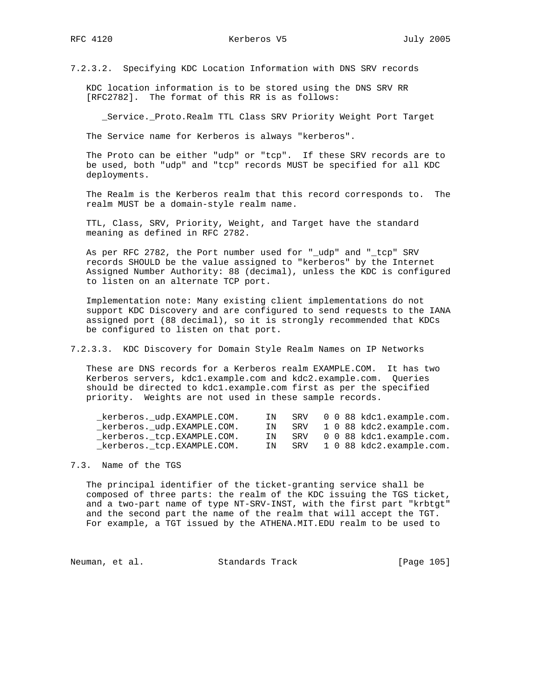7.2.3.2. Specifying KDC Location Information with DNS SRV records

 KDC location information is to be stored using the DNS SRV RR [RFC2782]. The format of this RR is as follows:

\_Service.\_Proto.Realm TTL Class SRV Priority Weight Port Target

The Service name for Kerberos is always "kerberos".

 The Proto can be either "udp" or "tcp". If these SRV records are to be used, both "udp" and "tcp" records MUST be specified for all KDC deployments.

 The Realm is the Kerberos realm that this record corresponds to. The realm MUST be a domain-style realm name.

 TTL, Class, SRV, Priority, Weight, and Target have the standard meaning as defined in RFC 2782.

 As per RFC 2782, the Port number used for "\_udp" and "\_tcp" SRV records SHOULD be the value assigned to "kerberos" by the Internet Assigned Number Authority: 88 (decimal), unless the KDC is configured to listen on an alternate TCP port.

 Implementation note: Many existing client implementations do not support KDC Discovery and are configured to send requests to the IANA assigned port (88 decimal), so it is strongly recommended that KDCs be configured to listen on that port.

7.2.3.3. KDC Discovery for Domain Style Realm Names on IP Networks

 These are DNS records for a Kerberos realm EXAMPLE.COM. It has two Kerberos servers, kdc1.example.com and kdc2.example.com. Queries should be directed to kdc1.example.com first as per the specified priority. Weights are not used in these sample records.

| kerberos._udp.EXAMPLE.COM.  | ΤN | SRV |  | 0 0 88 kdc1.example.com. |
|-----------------------------|----|-----|--|--------------------------|
| _kerberos._udp.EXAMPLE.COM. | TN | SRV |  | 1 0 88 kdc2.example.com. |
| _kerberos._tcp.EXAMPLE.COM. | TN | SRV |  | 0 0 88 kdcl.example.com. |
| _kerberos._tcp.EXAMPLE.COM. | TN | SRV |  | 1 0 88 kdc2.example.com. |
|                             |    |     |  |                          |

## 7.3. Name of the TGS

 The principal identifier of the ticket-granting service shall be composed of three parts: the realm of the KDC issuing the TGS ticket, and a two-part name of type NT-SRV-INST, with the first part "krbtgt" and the second part the name of the realm that will accept the TGT. For example, a TGT issued by the ATHENA.MIT.EDU realm to be used to

Neuman, et al. Standards Track [Page 105]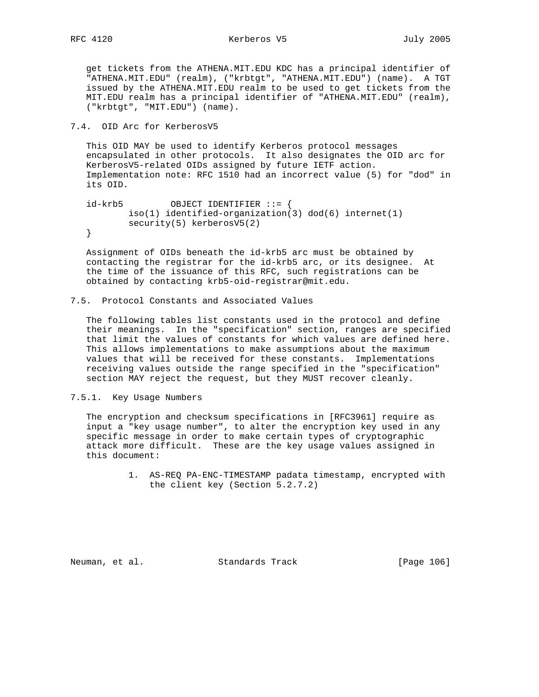get tickets from the ATHENA.MIT.EDU KDC has a principal identifier of

 "ATHENA.MIT.EDU" (realm), ("krbtgt", "ATHENA.MIT.EDU") (name). A TGT issued by the ATHENA.MIT.EDU realm to be used to get tickets from the MIT.EDU realm has a principal identifier of "ATHENA.MIT.EDU" (realm), ("krbtgt", "MIT.EDU") (name).

## 7.4. OID Arc for KerberosV5

 This OID MAY be used to identify Kerberos protocol messages encapsulated in other protocols. It also designates the OID arc for KerberosV5-related OIDs assigned by future IETF action. Implementation note: RFC 1510 had an incorrect value (5) for "dod" in its OID.

```
 id-krb5 OBJECT IDENTIFIER ::= {
       iso(1) identified-organization(3) dod(6) internet(1)
        security(5) kerberosV5(2)
 }
```
 Assignment of OIDs beneath the id-krb5 arc must be obtained by contacting the registrar for the id-krb5 arc, or its designee. At the time of the issuance of this RFC, such registrations can be obtained by contacting krb5-oid-registrar@mit.edu.

7.5. Protocol Constants and Associated Values

 The following tables list constants used in the protocol and define their meanings. In the "specification" section, ranges are specified that limit the values of constants for which values are defined here. This allows implementations to make assumptions about the maximum values that will be received for these constants. Implementations receiving values outside the range specified in the "specification" section MAY reject the request, but they MUST recover cleanly.

7.5.1. Key Usage Numbers

 The encryption and checksum specifications in [RFC3961] require as input a "key usage number", to alter the encryption key used in any specific message in order to make certain types of cryptographic attack more difficult. These are the key usage values assigned in this document:

> 1. AS-REQ PA-ENC-TIMESTAMP padata timestamp, encrypted with the client key (Section 5.2.7.2)

Neuman, et al. Standards Track [Page 106]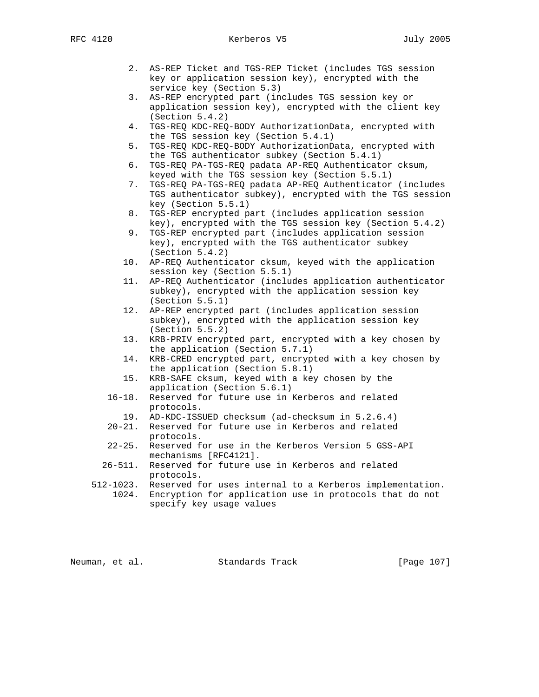- 2. AS-REP Ticket and TGS-REP Ticket (includes TGS session key or application session key), encrypted with the service key (Section 5.3)
- 3. AS-REP encrypted part (includes TGS session key or application session key), encrypted with the client key (Section 5.4.2)
- 4. TGS-REQ KDC-REQ-BODY AuthorizationData, encrypted with the TGS session key (Section 5.4.1)
- 5. TGS-REQ KDC-REQ-BODY AuthorizationData, encrypted with the TGS authenticator subkey (Section 5.4.1)
- 6. TGS-REQ PA-TGS-REQ padata AP-REQ Authenticator cksum, keyed with the TGS session key (Section 5.5.1)
- 7. TGS-REQ PA-TGS-REQ padata AP-REQ Authenticator (includes TGS authenticator subkey), encrypted with the TGS session key (Section 5.5.1)
- 8. TGS-REP encrypted part (includes application session key), encrypted with the TGS session key (Section 5.4.2)
- 9. TGS-REP encrypted part (includes application session key), encrypted with the TGS authenticator subkey (Section 5.4.2)
- 10. AP-REQ Authenticator cksum, keyed with the application session key (Section 5.5.1)
- 11. AP-REQ Authenticator (includes application authenticator subkey), encrypted with the application session key (Section 5.5.1)
- 12. AP-REP encrypted part (includes application session subkey), encrypted with the application session key (Section 5.5.2)
- 13. KRB-PRIV encrypted part, encrypted with a key chosen by the application (Section 5.7.1)
- 14. KRB-CRED encrypted part, encrypted with a key chosen by the application (Section 5.8.1)
- 15. KRB-SAFE cksum, keyed with a key chosen by the application (Section 5.6.1)
- 16-18. Reserved for future use in Kerberos and related protocols.
	- 19. AD-KDC-ISSUED checksum (ad-checksum in 5.2.6.4)
- 20-21. Reserved for future use in Kerberos and related protocols.
- 22-25. Reserved for use in the Kerberos Version 5 GSS-API mechanisms [RFC4121].
- 26-511. Reserved for future use in Kerberos and related protocols.
- 512-1023. Reserved for uses internal to a Kerberos implementation.
- 1024. Encryption for application use in protocols that do not specify key usage values

Neuman, et al. Standards Track [Page 107]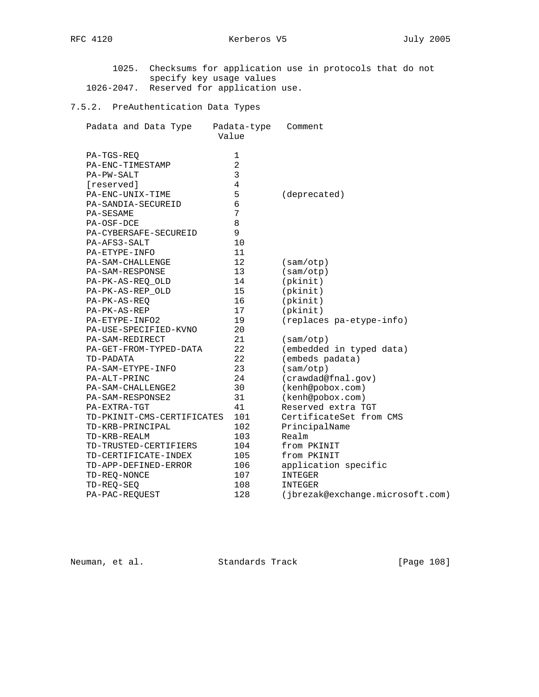# RFC 4120 Kerberos V5 July 2005

 1025. Checksums for application use in protocols that do not specify key usage values 1026-2047. Reserved for application use.

## 7.5.2. PreAuthentication Data Types

| Padata and Data Type       | Padata-type<br>Value | Comment                          |
|----------------------------|----------------------|----------------------------------|
| PA-TGS-REQ                 | 1                    |                                  |
| PA-ENC-TIMESTAMP           | 2                    |                                  |
| PA-PW-SALT                 | 3                    |                                  |
| [reserved]                 | 4                    |                                  |
| PA-ENC-UNIX-TIME           | 5                    | (deprecated)                     |
| PA-SANDIA-SECUREID         | 6                    |                                  |
| <b>PA-SESAME</b>           | 7                    |                                  |
| PA-OSF-DCE                 | 8                    |                                  |
| PA-CYBERSAFE-SECUREID      | 9                    |                                  |
| PA-AFS3-SALT               | 10                   |                                  |
| PA-ETYPE-INFO              | 11                   |                                  |
| PA-SAM-CHALLENGE           | 12                   | (sam/otp)                        |
| PA-SAM-RESPONSE            | 13                   | (sam/otp)                        |
| PA-PK-AS-REQ OLD           | 14                   | $(\text{pkinit})$                |
| PA-PK-AS-REP OLD           | 15                   | (pkinit)                         |
| PA-PK-AS-REO               | 16                   | $(\text{pkinit})$                |
| PA-PK-AS-REP               | 17                   | (pkinit)                         |
| PA-ETYPE-INFO2             | 19                   | (replaces pa-etype-info)         |
| PA-USE-SPECIFIED-KVNO      | 20                   |                                  |
| PA-SAM-REDIRECT            | 21                   | (sam/otp)                        |
| PA-GET-FROM-TYPED-DATA     | 22                   | (embedded in typed data)         |
| TD-PADATA                  | 22                   | (embeds padata)                  |
| PA-SAM-ETYPE-INFO          | 23                   | (sam/otp)                        |
| PA-ALT-PRINC               | 24                   | (crawdad@fnal.gov)               |
| PA-SAM-CHALLENGE2          | 30                   | (kenh@pobox.com)                 |
| PA-SAM-RESPONSE2           | 31                   | (kenh@pobox.com)                 |
| PA-EXTRA-TGT               | 41                   | Reserved extra TGT               |
| TD-PKINIT-CMS-CERTIFICATES | 101                  | CertificateSet from CMS          |
| TD-KRB-PRINCIPAL           | 102                  | PrincipalName                    |
| TD-KRB-REALM               | 103                  | Realm                            |
| TD-TRUSTED-CERTIFIERS      | 104                  | from PKINIT                      |
| TD-CERTIFICATE-INDEX       | 105                  | from PKINIT                      |
| TD-APP-DEFINED-ERROR       | 106                  | application specific             |
| TD-REQ-NONCE               | 107                  | INTEGER                          |
| TD-REQ-SEQ                 | 108                  | INTEGER                          |
| PA-PAC-REQUEST             | 128                  | (jbrezak@exchange.microsoft.com) |

Neuman, et al. Standards Track [Page 108]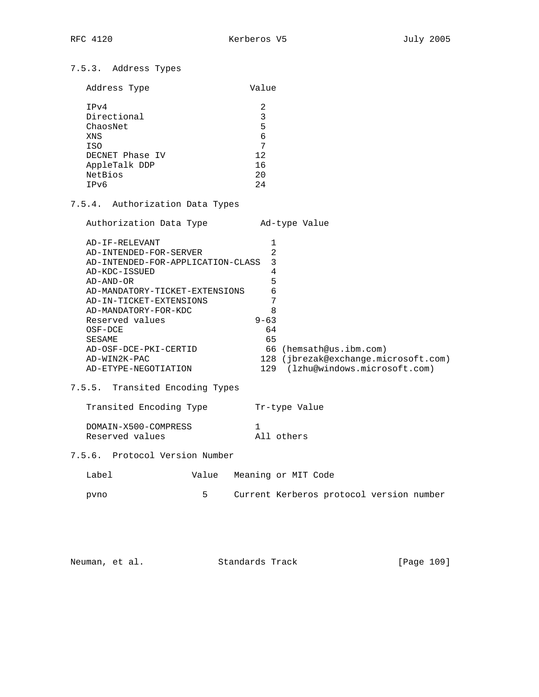7.5.3. Address Types

| Address Type    | Value |
|-----------------|-------|
| IPv4            | 2     |
| Directional     | 3     |
| ChaosNet        | 5     |
| XNS             | 6     |
| ISO             | 7     |
| DECNET Phase IV | 12    |
| AppleTalk DDP   | 16    |
| NetBios         | 20    |
| IPv6            | 2.4   |

## 7.5.4. Authorization Data Types

| Authorization Data Type           |          | Ad-type Value                    |
|-----------------------------------|----------|----------------------------------|
| AD-IF-RELEVANT                    |          |                                  |
| AD-INTENDED-FOR-SERVER            |          |                                  |
| AD-INTENDED-FOR-APPLICATION-CLASS | 3        |                                  |
| AD-KDC-ISSUED                     | 4        |                                  |
| $AD-AND-OR$                       | 5        |                                  |
| AD-MANDATORY-TICKET-EXTENSIONS    | 6        |                                  |
| AD-IN-TICKET-EXTENSIONS           | ∍        |                                  |
| AD-MANDATORY-FOR-KDC              | 8        |                                  |
| Reserved values                   | $9 - 63$ |                                  |
| OSF-DCE                           | 64       |                                  |
| SESAME                            | 65       |                                  |
| AD-OSF-DCE-PKI-CERTID             | 66       | (hemsath@us.ibm.com)             |
| AD-WIN2K-PAC                      | 128      | (jbrezak@exchange.microsoft.com) |
| AD-ETYPE-NEGOTIATION              | 129      | (lzhu@windows.microsoft.com)     |

# 7.5.5. Transited Encoding Types

| Transited Encoding Type | Tr-type Value |
|-------------------------|---------------|
| DOMAIN-X500-COMPRESS    |               |
| Reserved values         | All others    |

## 7.5.6. Protocol Version Number

| Label | Value Meaning or MIT Code                |
|-------|------------------------------------------|
| pvno  | Current Kerberos protocol version number |

| [Page 109]<br>Standards Track<br>Neuman, et al. |  |  |  |  |  |  |  |  |
|-------------------------------------------------|--|--|--|--|--|--|--|--|
|-------------------------------------------------|--|--|--|--|--|--|--|--|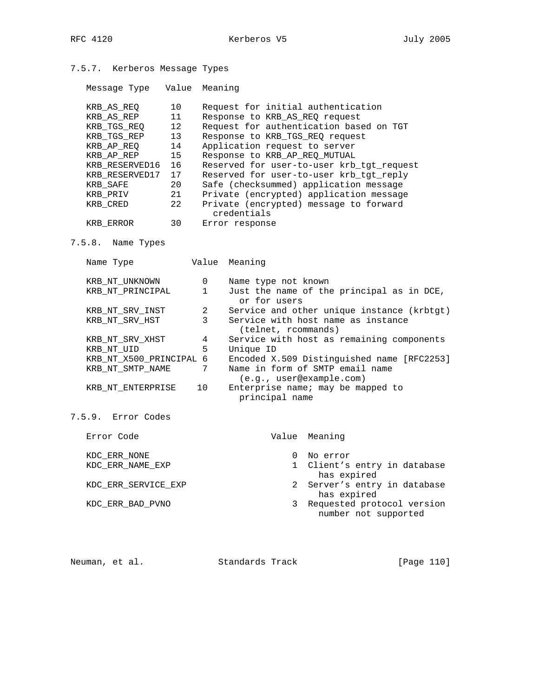RFC 4120 Kerberos V5 July 2005

|  |  |  | 7.5.7. Kerberos Message Types |  |  |
|--|--|--|-------------------------------|--|--|
|--|--|--|-------------------------------|--|--|

| Message Type Value Meaning                                                                                                                                              |                                                                           |                   |                                                                                                                                                                      |                                                                                                                                                                                                                                                                                                      |
|-------------------------------------------------------------------------------------------------------------------------------------------------------------------------|---------------------------------------------------------------------------|-------------------|----------------------------------------------------------------------------------------------------------------------------------------------------------------------|------------------------------------------------------------------------------------------------------------------------------------------------------------------------------------------------------------------------------------------------------------------------------------------------------|
| KRB_AS_REQ<br>KRB_AS_REP<br>KRB_TGS_REQ<br>KRB_TGS_REP<br>KRB_AP_REQ<br>KRB_AP_REP<br>KRB_RESERVED16<br>KRB RESERVED17<br>KRB_SAFE<br>KRB PRIV<br>KRB_CRED<br>KRB_ERROR | 10<br>11<br>$12 \,$<br>13<br>14<br>15<br>16<br>17<br>20<br>21<br>22<br>30 |                   | Response to KRB_AS_REQ request<br>Response to KRB_TGS_REQ request<br>Application request to server<br>Response to KRB_AP_REQ_MUTUAL<br>credentials<br>Error response | Request for initial authentication<br>Request for authentication based on TGT<br>Reserved for user-to-user krb_tgt_request<br>Reserved for user-to-user krb_tgt_reply<br>Safe (checksummed) application message<br>Private (encrypted) application message<br>Private (encrypted) message to forward |
| 7.5.8.<br>Name Types                                                                                                                                                    |                                                                           |                   |                                                                                                                                                                      |                                                                                                                                                                                                                                                                                                      |
| Name Type                                                                                                                                                               |                                                                           |                   | Value Meaning                                                                                                                                                        |                                                                                                                                                                                                                                                                                                      |
| KRB_NT_UNKNOWN<br>KRB_NT_PRINCIPAL                                                                                                                                      |                                                                           | 0<br>$\mathbf{1}$ | Name type not known<br>or for users                                                                                                                                  | Just the name of the principal as in DCE,                                                                                                                                                                                                                                                            |
| KRB_NT_SRV_INST<br>KRB_NT_SRV_HST                                                                                                                                       |                                                                           | 2<br>3            | (telnet, rcommands)                                                                                                                                                  | Service and other unique instance (krbtgt)<br>Service with host name as instance                                                                                                                                                                                                                     |
| KRB_NT_SRV_XHST<br>KRB_NT_UID<br>KRB_NT_X500_PRINCIPAL 6<br>KRB_NT_SMTP_NAME                                                                                            |                                                                           | 4<br>5<br>7       | Unique ID                                                                                                                                                            | Service with host as remaining components<br>Encoded X.509 Distinguished name [RFC2253]<br>Name in form of SMTP email name                                                                                                                                                                           |
| KRB_NT_ENTERPRISE                                                                                                                                                       |                                                                           | 10                | principal name                                                                                                                                                       | (e.g., user@example.com)<br>Enterprise name; may be mapped to                                                                                                                                                                                                                                        |
| 7.5.9. Error Codes                                                                                                                                                      |                                                                           |                   |                                                                                                                                                                      |                                                                                                                                                                                                                                                                                                      |
| Error Code                                                                                                                                                              |                                                                           |                   | Value                                                                                                                                                                | Meaning                                                                                                                                                                                                                                                                                              |
| KDC ERR NONE<br>KDC_ERR_NAME_EXP                                                                                                                                        |                                                                           |                   | 0<br>$\mathbf{1}$                                                                                                                                                    | No error<br>Client's entry in database<br>has expired                                                                                                                                                                                                                                                |
| KDC_ERR_SERVICE_EXP                                                                                                                                                     |                                                                           |                   | $\overline{2}$                                                                                                                                                       | Server's entry in database<br>has expired                                                                                                                                                                                                                                                            |
| KDC_ERR_BAD_PVNO                                                                                                                                                        |                                                                           |                   | 3                                                                                                                                                                    | Requested protocol version<br>number not supported                                                                                                                                                                                                                                                   |

Neuman, et al. Standards Track [Page 110]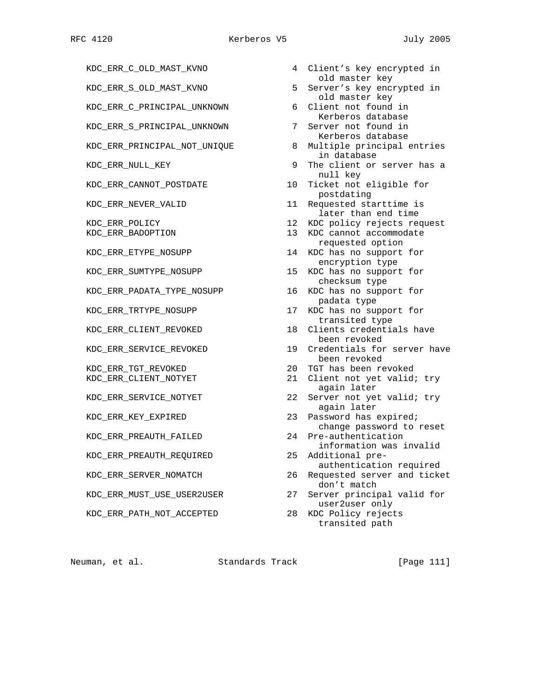KDC\_ERR\_C\_OLD\_MAST\_KVNO 4 Client's key encrypted in old master key KDC\_ERR\_S\_OLD\_MAST\_KVNO 5 Server's key encrypted in old master key KDC\_ERR\_C\_PRINCIPAL\_UNKNOWN 6 Client not found in Kerberos database KDC\_ERR\_S\_PRINCIPAL\_UNKNOWN 7 Server not found in Kerberos database KDC\_ERR\_PRINCIPAL\_NOT\_UNIQUE 8 Multiple principal entries in database KDC\_ERR\_NULL\_KEY 9 The client or server has a null key KDC\_ERR\_CANNOT\_POSTDATE 10 Ticket not eligible for postdating KDC\_ERR\_NEVER\_VALID 11 Requested starttime is later than end time KDC\_ERR\_POLICY 12 KDC policy rejects request KDC\_ERR\_BADOPTION 13 KDC cannot accommodate requested option KDC\_ERR\_ETYPE\_NOSUPP 14 KDC has no support for encryption type  $\overline{C}$  KDC\_ERR\_SUMTYPE\_NOSUPP 15 KDC has no support for checksum type KDC\_ERR\_PADATA\_TYPE\_NOSUPP 16 KDC has no support for padata type KDC\_ERR\_TRTYPE\_NOSUPP 17 KDC has no support for transited type that the contract of the contract of the contract of the contract of the contract of the contract of the contract of the contract of the contract of the contract of the contract of the contract of the contra KDC\_ERR\_CLIENT\_REVOKED 18 Clients credentials have been revoked KDC\_ERR\_SERVICE\_REVOKED 19 Credentials for server have been revoked KDC\_ERR\_TGT\_REVOKED 20 TGT has been revoked KDC\_ERR\_CLIENT\_NOTYET 21 Client not yet valid; try again later KDC\_ERR\_SERVICE\_NOTYET 22 Server not yet valid; try again later and the set of the set of the set of the set of the set of the set of the set of the set of the se<br>and the set of the set of the set of the set of the set of the set of the set of the set of the set of the set 23 Password has expired; change password to reset<br>24 Pre-authentication KDC\_ERR\_PREAUTH\_FAILED information was invalid KDC\_ERR\_PREAUTH\_REQUIRED 25 Additional pre authentication required KDC\_ERR\_SERVER\_NOMATCH 26 Requested server and ticket don't match KDC\_ERR\_MUST\_USE\_USER2USER 27 Server principal valid for user2user only KDC\_ERR\_PATH\_NOT\_ACCEPTED 28 KDC Policy rejects transited path

Neuman, et al. Standards Track [Page 111]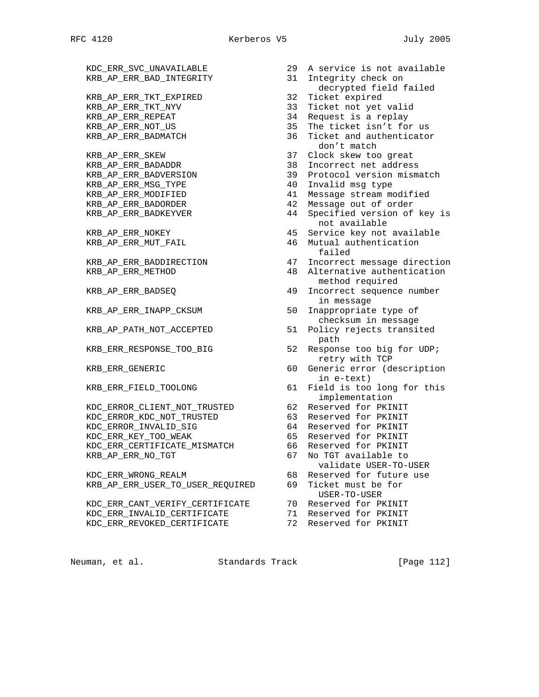KRB\_AP\_ERR\_TKT\_EXPIRED 32 Ticket expired

- 
- 
- 

 KDC\_ERROR\_CLIENT\_NOT\_TRUSTED 62 Reserved for PKINIT KDC\_ERROR\_KDC\_NOT\_TRUSTED 63 Reserved for PKINIT KDC\_ERROR\_INVALID\_SIG 64 Reserved for PKINIT KDC\_ERR\_KEY\_TOO\_WEAK 65 Reserved for PKINIT KDC\_ERR\_CERTIFICATE\_MISMATCH 66 Reserved for PKINIT KRB\_AP\_ERR\_NO\_TGT 67 No TGT available to

KRB\_AP\_ERR\_USER\_TO\_USER\_REQUIRED 69 Ticket must be for

 KDC\_ERR\_CANT\_VERIFY\_CERTIFICATE 70 Reserved for PKINIT KDC\_ERR\_INVALID\_CERTIFICATE 71 Reserved for PKINIT KDC\_ERR\_REVOKED\_CERTIFICATE 72 Reserved for PKINIT

 KDC\_ERR\_SVC\_UNAVAILABLE 29 A service is not available KRB\_AP\_ERR\_BAD\_INTEGRITY 31 Integrity check on decrypted field failed KRB\_AP\_ERR\_TKT\_NYV 33 Ticket not yet valid KRB\_AP\_ERR\_REPEAT 34 Request is a replay KRB\_AP\_ERR\_NOT\_US 35 The ticket isn't for us KRB\_AP\_ERR\_BADMATCH 36 Ticket and authenticator don't match KRB\_AP\_ERR\_SKEW 37 Clock skew too great KRB\_AP\_ERR\_BADADDR 38 Incorrect net address KRB\_AP\_ERR\_BADVERSION 39 Protocol version mismatch KRB\_AP\_ERR\_MSG\_TYPE 40 Invalid msg type KRB\_AP\_ERR\_MODIFIED 41 Message stream modified KRB\_AP\_ERR\_BADORDER 42 Message out of order KRB\_AP\_ERR\_BADKEYVER 44 Specified version of key is not available and  $\alpha$  available KRB\_AP\_ERR\_NOKEY 45 Service key not available KRB\_AP\_ERR\_MUT\_FAIL 46 Mutual authentication failed KRB\_AP\_ERR\_BADDIRECTION 47 Incorrect message direction KRB\_AP\_ERR\_METHOD 48 Alternative authentication method required KRB\_AP\_ERR\_BADSEQ 49 Incorrect sequence number in message KRB\_AP\_ERR\_INAPP\_CKSUM 50 Inappropriate type of checksum in message KRB\_AP\_PATH\_NOT\_ACCEPTED 51 Policy rejects transited<br>path path and the contract of the contract of the contract of the contract of the contract of the contract of the c KRB\_ERR\_RESPONSE\_TOO\_BIG 52 Response too big for UDP; retry with TCP KRB\_ERR\_GENERIC 60 Generic error (description in e-text) KRB\_ERR\_FIELD\_TOOLONG 61 Field is too long for this implementation validate USER-TO-USER KDC\_ERR\_WRONG\_REALM 68 Reserved for future use USER-TO-USER

Neuman, et al. Standards Track [Page 112]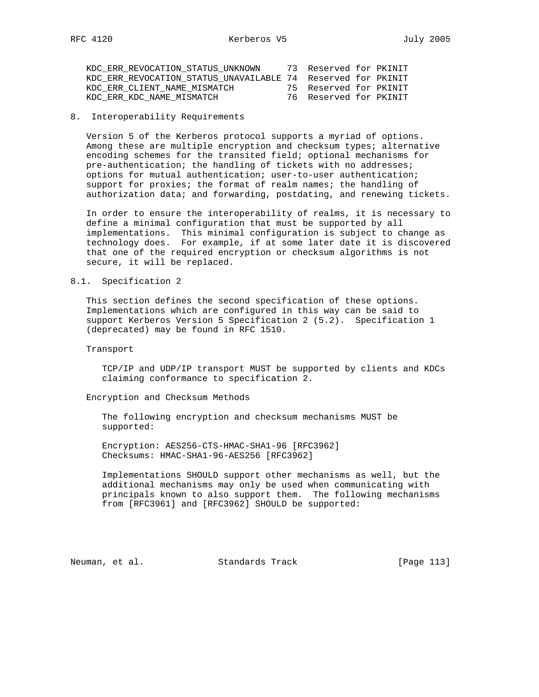| KDC_ERR_REVOCATION_STATUS_UNKNOWN 73 Reserved for PKINIT     |                        |  |
|--------------------------------------------------------------|------------------------|--|
| KDC ERR REVOCATION STATUS UNAVAILABLE 74 Reserved for PKINIT |                        |  |
| KDC ERR CLIENT NAME MISMATCH                                 | 75 Reserved for PKINIT |  |
| KDC ERR KDC NAME MISMATCH                                    | 76 Reserved for PKINIT |  |
|                                                              |                        |  |

### 8. Interoperability Requirements

 Version 5 of the Kerberos protocol supports a myriad of options. Among these are multiple encryption and checksum types; alternative encoding schemes for the transited field; optional mechanisms for pre-authentication; the handling of tickets with no addresses; options for mutual authentication; user-to-user authentication; support for proxies; the format of realm names; the handling of authorization data; and forwarding, postdating, and renewing tickets.

 In order to ensure the interoperability of realms, it is necessary to define a minimal configuration that must be supported by all implementations. This minimal configuration is subject to change as technology does. For example, if at some later date it is discovered that one of the required encryption or checksum algorithms is not secure, it will be replaced.

#### 8.1. Specification 2

 This section defines the second specification of these options. Implementations which are configured in this way can be said to support Kerberos Version 5 Specification 2 (5.2). Specification 1 (deprecated) may be found in RFC 1510.

#### Transport

 TCP/IP and UDP/IP transport MUST be supported by clients and KDCs claiming conformance to specification 2.

Encryption and Checksum Methods

 The following encryption and checksum mechanisms MUST be supported:

 Encryption: AES256-CTS-HMAC-SHA1-96 [RFC3962] Checksums: HMAC-SHA1-96-AES256 [RFC3962]

 Implementations SHOULD support other mechanisms as well, but the additional mechanisms may only be used when communicating with principals known to also support them. The following mechanisms from [RFC3961] and [RFC3962] SHOULD be supported:

Neuman, et al. Standards Track [Page 113]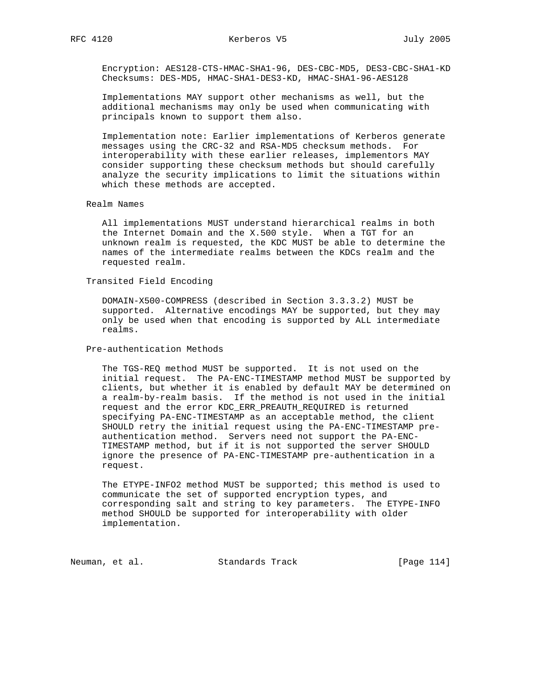Encryption: AES128-CTS-HMAC-SHA1-96, DES-CBC-MD5, DES3-CBC-SHA1-KD Checksums: DES-MD5, HMAC-SHA1-DES3-KD, HMAC-SHA1-96-AES128

 Implementations MAY support other mechanisms as well, but the additional mechanisms may only be used when communicating with principals known to support them also.

 Implementation note: Earlier implementations of Kerberos generate messages using the CRC-32 and RSA-MD5 checksum methods. For interoperability with these earlier releases, implementors MAY consider supporting these checksum methods but should carefully analyze the security implications to limit the situations within which these methods are accepted.

#### Realm Names

 All implementations MUST understand hierarchical realms in both the Internet Domain and the X.500 style. When a TGT for an unknown realm is requested, the KDC MUST be able to determine the names of the intermediate realms between the KDCs realm and the requested realm.

### Transited Field Encoding

 DOMAIN-X500-COMPRESS (described in Section 3.3.3.2) MUST be supported. Alternative encodings MAY be supported, but they may only be used when that encoding is supported by ALL intermediate realms.

#### Pre-authentication Methods

 The TGS-REQ method MUST be supported. It is not used on the initial request. The PA-ENC-TIMESTAMP method MUST be supported by clients, but whether it is enabled by default MAY be determined on a realm-by-realm basis. If the method is not used in the initial request and the error KDC\_ERR\_PREAUTH\_REQUIRED is returned specifying PA-ENC-TIMESTAMP as an acceptable method, the client SHOULD retry the initial request using the PA-ENC-TIMESTAMP pre authentication method. Servers need not support the PA-ENC- TIMESTAMP method, but if it is not supported the server SHOULD ignore the presence of PA-ENC-TIMESTAMP pre-authentication in a request.

 The ETYPE-INFO2 method MUST be supported; this method is used to communicate the set of supported encryption types, and corresponding salt and string to key parameters. The ETYPE-INFO method SHOULD be supported for interoperability with older implementation.

Neuman, et al. Standards Track [Page 114]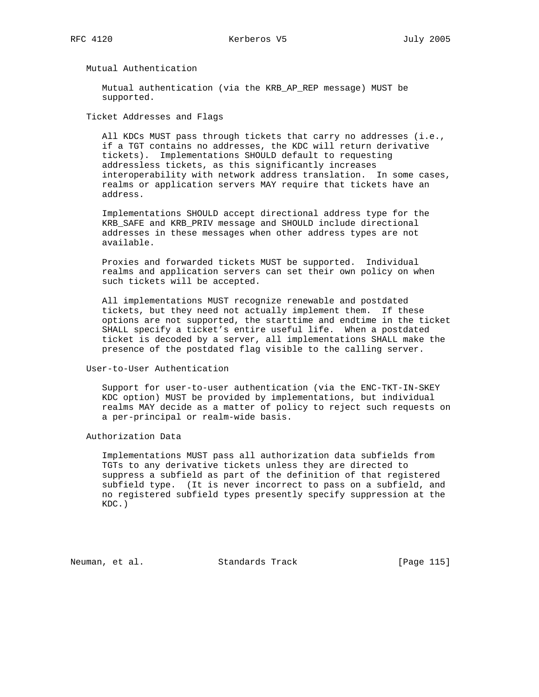## Mutual Authentication

 Mutual authentication (via the KRB\_AP\_REP message) MUST be supported.

Ticket Addresses and Flags

 All KDCs MUST pass through tickets that carry no addresses (i.e., if a TGT contains no addresses, the KDC will return derivative tickets). Implementations SHOULD default to requesting addressless tickets, as this significantly increases interoperability with network address translation. In some cases, realms or application servers MAY require that tickets have an address.

 Implementations SHOULD accept directional address type for the KRB\_SAFE and KRB\_PRIV message and SHOULD include directional addresses in these messages when other address types are not available.

 Proxies and forwarded tickets MUST be supported. Individual realms and application servers can set their own policy on when such tickets will be accepted.

 All implementations MUST recognize renewable and postdated tickets, but they need not actually implement them. If these options are not supported, the starttime and endtime in the ticket SHALL specify a ticket's entire useful life. When a postdated ticket is decoded by a server, all implementations SHALL make the presence of the postdated flag visible to the calling server.

User-to-User Authentication

 Support for user-to-user authentication (via the ENC-TKT-IN-SKEY KDC option) MUST be provided by implementations, but individual realms MAY decide as a matter of policy to reject such requests on a per-principal or realm-wide basis.

Authorization Data

 Implementations MUST pass all authorization data subfields from TGTs to any derivative tickets unless they are directed to suppress a subfield as part of the definition of that registered subfield type. (It is never incorrect to pass on a subfield, and no registered subfield types presently specify suppression at the KDC.)

Neuman, et al. Standards Track [Page 115]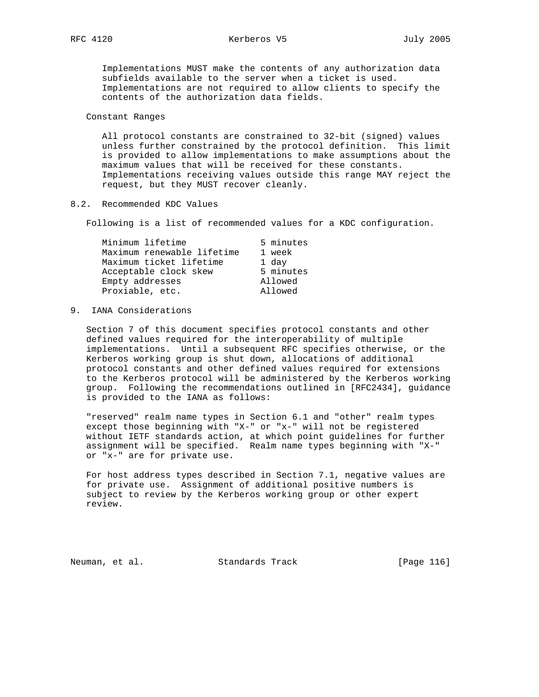Implementations MUST make the contents of any authorization data subfields available to the server when a ticket is used. Implementations are not required to allow clients to specify the contents of the authorization data fields.

### Constant Ranges

 All protocol constants are constrained to 32-bit (signed) values unless further constrained by the protocol definition. This limit is provided to allow implementations to make assumptions about the maximum values that will be received for these constants. Implementations receiving values outside this range MAY reject the request, but they MUST recover cleanly.

8.2. Recommended KDC Values

Following is a list of recommended values for a KDC configuration.

| Minimum lifetime           | 5 minutes |
|----------------------------|-----------|
| Maximum renewable lifetime | 1 week    |
| Maximum ticket lifetime    | 1 day     |
| Acceptable clock skew      | 5 minutes |
| Empty addresses            | Allowed   |
| Proxiable, etc.            | Allowed   |

9. IANA Considerations

 Section 7 of this document specifies protocol constants and other defined values required for the interoperability of multiple implementations. Until a subsequent RFC specifies otherwise, or the Kerberos working group is shut down, allocations of additional protocol constants and other defined values required for extensions to the Kerberos protocol will be administered by the Kerberos working group. Following the recommendations outlined in [RFC2434], guidance is provided to the IANA as follows:

 "reserved" realm name types in Section 6.1 and "other" realm types except those beginning with "X-" or "x-" will not be registered without IETF standards action, at which point guidelines for further assignment will be specified. Realm name types beginning with "X-" or "x-" are for private use.

 For host address types described in Section 7.1, negative values are for private use. Assignment of additional positive numbers is subject to review by the Kerberos working group or other expert review.

Neuman, et al. Standards Track [Page 116]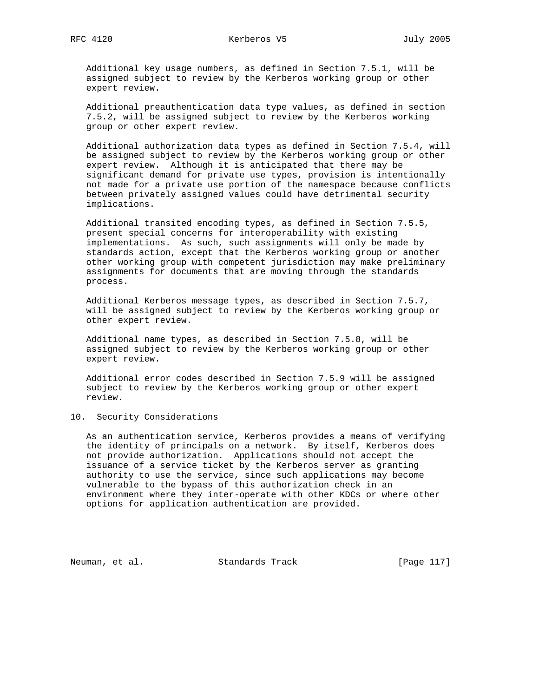Additional key usage numbers, as defined in Section 7.5.1, will be assigned subject to review by the Kerberos working group or other expert review.

 Additional preauthentication data type values, as defined in section 7.5.2, will be assigned subject to review by the Kerberos working group or other expert review.

 Additional authorization data types as defined in Section 7.5.4, will be assigned subject to review by the Kerberos working group or other expert review. Although it is anticipated that there may be significant demand for private use types, provision is intentionally not made for a private use portion of the namespace because conflicts between privately assigned values could have detrimental security implications.

 Additional transited encoding types, as defined in Section 7.5.5, present special concerns for interoperability with existing implementations. As such, such assignments will only be made by standards action, except that the Kerberos working group or another other working group with competent jurisdiction may make preliminary assignments for documents that are moving through the standards process.

 Additional Kerberos message types, as described in Section 7.5.7, will be assigned subject to review by the Kerberos working group or other expert review.

 Additional name types, as described in Section 7.5.8, will be assigned subject to review by the Kerberos working group or other expert review.

 Additional error codes described in Section 7.5.9 will be assigned subject to review by the Kerberos working group or other expert review.

10. Security Considerations

 As an authentication service, Kerberos provides a means of verifying the identity of principals on a network. By itself, Kerberos does not provide authorization. Applications should not accept the issuance of a service ticket by the Kerberos server as granting authority to use the service, since such applications may become vulnerable to the bypass of this authorization check in an environment where they inter-operate with other KDCs or where other options for application authentication are provided.

Neuman, et al. Standards Track [Page 117]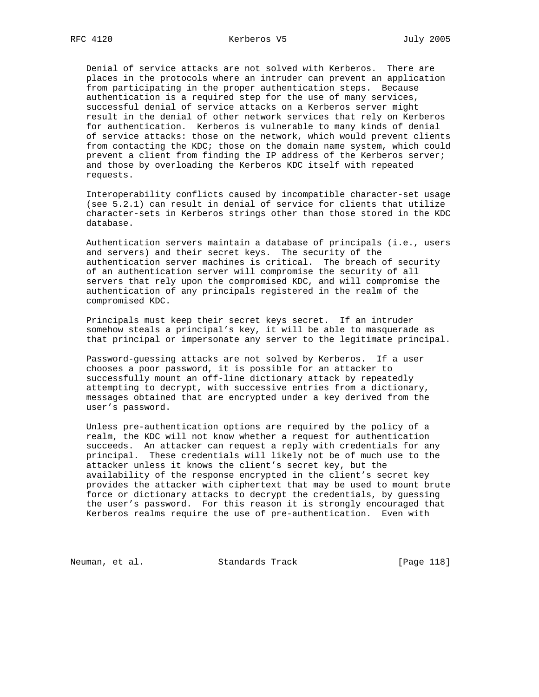Denial of service attacks are not solved with Kerberos. There are places in the protocols where an intruder can prevent an application from participating in the proper authentication steps. Because authentication is a required step for the use of many services, successful denial of service attacks on a Kerberos server might result in the denial of other network services that rely on Kerberos for authentication. Kerberos is vulnerable to many kinds of denial of service attacks: those on the network, which would prevent clients from contacting the KDC; those on the domain name system, which could prevent a client from finding the IP address of the Kerberos server; and those by overloading the Kerberos KDC itself with repeated requests.

 Interoperability conflicts caused by incompatible character-set usage (see 5.2.1) can result in denial of service for clients that utilize character-sets in Kerberos strings other than those stored in the KDC database.

 Authentication servers maintain a database of principals (i.e., users and servers) and their secret keys. The security of the authentication server machines is critical. The breach of security of an authentication server will compromise the security of all servers that rely upon the compromised KDC, and will compromise the authentication of any principals registered in the realm of the compromised KDC.

 Principals must keep their secret keys secret. If an intruder somehow steals a principal's key, it will be able to masquerade as that principal or impersonate any server to the legitimate principal.

 Password-guessing attacks are not solved by Kerberos. If a user chooses a poor password, it is possible for an attacker to successfully mount an off-line dictionary attack by repeatedly attempting to decrypt, with successive entries from a dictionary, messages obtained that are encrypted under a key derived from the user's password.

 Unless pre-authentication options are required by the policy of a realm, the KDC will not know whether a request for authentication succeeds. An attacker can request a reply with credentials for any principal. These credentials will likely not be of much use to the attacker unless it knows the client's secret key, but the availability of the response encrypted in the client's secret key provides the attacker with ciphertext that may be used to mount brute force or dictionary attacks to decrypt the credentials, by guessing the user's password. For this reason it is strongly encouraged that Kerberos realms require the use of pre-authentication. Even with

Neuman, et al. Standards Track [Page 118]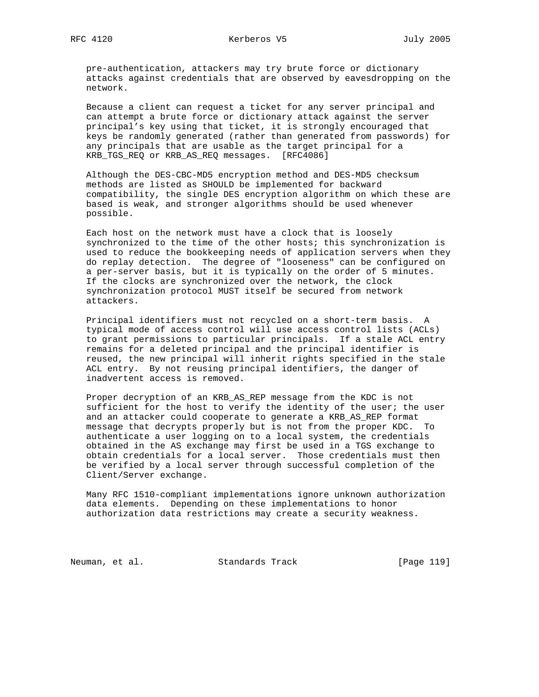pre-authentication, attackers may try brute force or dictionary attacks against credentials that are observed by eavesdropping on the network.

 Because a client can request a ticket for any server principal and can attempt a brute force or dictionary attack against the server principal's key using that ticket, it is strongly encouraged that keys be randomly generated (rather than generated from passwords) for any principals that are usable as the target principal for a KRB\_TGS\_REQ or KRB\_AS\_REQ messages. [RFC4086]

 Although the DES-CBC-MD5 encryption method and DES-MD5 checksum methods are listed as SHOULD be implemented for backward compatibility, the single DES encryption algorithm on which these are based is weak, and stronger algorithms should be used whenever possible.

 Each host on the network must have a clock that is loosely synchronized to the time of the other hosts; this synchronization is used to reduce the bookkeeping needs of application servers when they do replay detection. The degree of "looseness" can be configured on a per-server basis, but it is typically on the order of 5 minutes. If the clocks are synchronized over the network, the clock synchronization protocol MUST itself be secured from network attackers.

 Principal identifiers must not recycled on a short-term basis. A typical mode of access control will use access control lists (ACLs) to grant permissions to particular principals. If a stale ACL entry remains for a deleted principal and the principal identifier is reused, the new principal will inherit rights specified in the stale ACL entry. By not reusing principal identifiers, the danger of inadvertent access is removed.

 Proper decryption of an KRB\_AS\_REP message from the KDC is not sufficient for the host to verify the identity of the user; the user and an attacker could cooperate to generate a KRB\_AS\_REP format message that decrypts properly but is not from the proper KDC. To authenticate a user logging on to a local system, the credentials obtained in the AS exchange may first be used in a TGS exchange to obtain credentials for a local server. Those credentials must then be verified by a local server through successful completion of the Client/Server exchange.

 Many RFC 1510-compliant implementations ignore unknown authorization data elements. Depending on these implementations to honor authorization data restrictions may create a security weakness.

Neuman, et al. Standards Track [Page 119]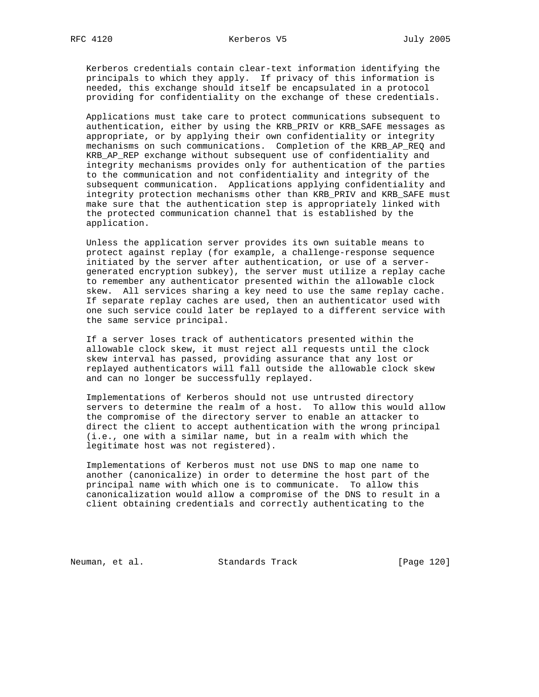Kerberos credentials contain clear-text information identifying the principals to which they apply. If privacy of this information is needed, this exchange should itself be encapsulated in a protocol providing for confidentiality on the exchange of these credentials.

 Applications must take care to protect communications subsequent to authentication, either by using the KRB\_PRIV or KRB\_SAFE messages as appropriate, or by applying their own confidentiality or integrity mechanisms on such communications. Completion of the KRB\_AP\_REQ and KRB\_AP\_REP exchange without subsequent use of confidentiality and integrity mechanisms provides only for authentication of the parties to the communication and not confidentiality and integrity of the subsequent communication. Applications applying confidentiality and integrity protection mechanisms other than KRB\_PRIV and KRB\_SAFE must make sure that the authentication step is appropriately linked with the protected communication channel that is established by the application.

 Unless the application server provides its own suitable means to protect against replay (for example, a challenge-response sequence initiated by the server after authentication, or use of a server generated encryption subkey), the server must utilize a replay cache to remember any authenticator presented within the allowable clock skew. All services sharing a key need to use the same replay cache. If separate replay caches are used, then an authenticator used with one such service could later be replayed to a different service with the same service principal.

 If a server loses track of authenticators presented within the allowable clock skew, it must reject all requests until the clock skew interval has passed, providing assurance that any lost or replayed authenticators will fall outside the allowable clock skew and can no longer be successfully replayed.

 Implementations of Kerberos should not use untrusted directory servers to determine the realm of a host. To allow this would allow the compromise of the directory server to enable an attacker to direct the client to accept authentication with the wrong principal (i.e., one with a similar name, but in a realm with which the legitimate host was not registered).

 Implementations of Kerberos must not use DNS to map one name to another (canonicalize) in order to determine the host part of the principal name with which one is to communicate. To allow this canonicalization would allow a compromise of the DNS to result in a client obtaining credentials and correctly authenticating to the

Neuman, et al. Standards Track [Page 120]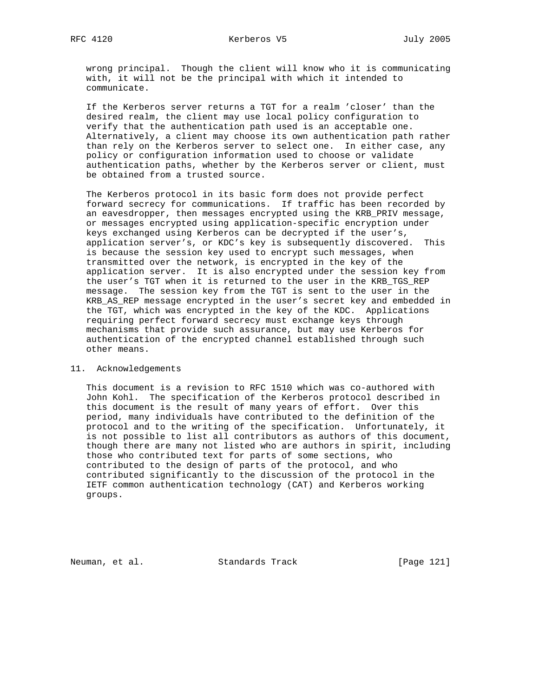wrong principal. Though the client will know who it is communicating with, it will not be the principal with which it intended to communicate.

 If the Kerberos server returns a TGT for a realm 'closer' than the desired realm, the client may use local policy configuration to verify that the authentication path used is an acceptable one. Alternatively, a client may choose its own authentication path rather than rely on the Kerberos server to select one. In either case, any policy or configuration information used to choose or validate authentication paths, whether by the Kerberos server or client, must be obtained from a trusted source.

 The Kerberos protocol in its basic form does not provide perfect forward secrecy for communications. If traffic has been recorded by an eavesdropper, then messages encrypted using the KRB\_PRIV message, or messages encrypted using application-specific encryption under keys exchanged using Kerberos can be decrypted if the user's, application server's, or KDC's key is subsequently discovered. This is because the session key used to encrypt such messages, when transmitted over the network, is encrypted in the key of the application server. It is also encrypted under the session key from the user's TGT when it is returned to the user in the KRB\_TGS\_REP message. The session key from the TGT is sent to the user in the KRB\_AS\_REP message encrypted in the user's secret key and embedded in the TGT, which was encrypted in the key of the KDC. Applications requiring perfect forward secrecy must exchange keys through mechanisms that provide such assurance, but may use Kerberos for authentication of the encrypted channel established through such other means.

#### 11. Acknowledgements

 This document is a revision to RFC 1510 which was co-authored with John Kohl. The specification of the Kerberos protocol described in this document is the result of many years of effort. Over this period, many individuals have contributed to the definition of the protocol and to the writing of the specification. Unfortunately, it is not possible to list all contributors as authors of this document, though there are many not listed who are authors in spirit, including those who contributed text for parts of some sections, who contributed to the design of parts of the protocol, and who contributed significantly to the discussion of the protocol in the IETF common authentication technology (CAT) and Kerberos working groups.

Neuman, et al. Standards Track [Page 121]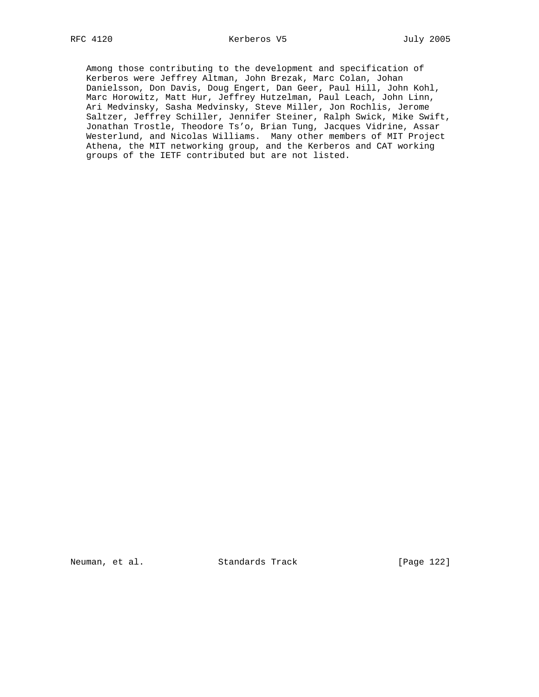Among those contributing to the development and specification of Kerberos were Jeffrey Altman, John Brezak, Marc Colan, Johan Danielsson, Don Davis, Doug Engert, Dan Geer, Paul Hill, John Kohl, Marc Horowitz, Matt Hur, Jeffrey Hutzelman, Paul Leach, John Linn, Ari Medvinsky, Sasha Medvinsky, Steve Miller, Jon Rochlis, Jerome Saltzer, Jeffrey Schiller, Jennifer Steiner, Ralph Swick, Mike Swift, Jonathan Trostle, Theodore Ts'o, Brian Tung, Jacques Vidrine, Assar Westerlund, and Nicolas Williams. Many other members of MIT Project Athena, the MIT networking group, and the Kerberos and CAT working groups of the IETF contributed but are not listed.

Neuman, et al. Standards Track [Page 122]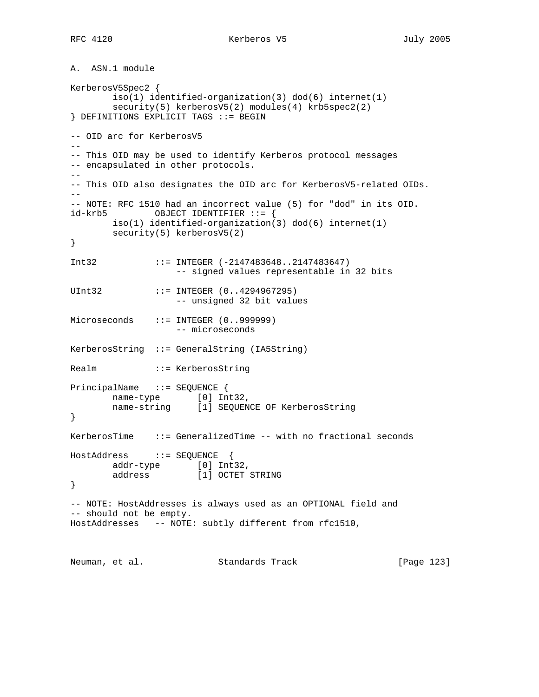A. ASN.1 module

```
KerberosV5Spec2 {
        iso(1) identified-organization(3) dod(6) internet(1)
       security(5) kerberosV5(2) modules(4) krb5spec2(2)
} DEFINITIONS EXPLICIT TAGS ::= BEGIN
-- OID arc for KerberosV5
--- This OID may be used to identify Kerberos protocol messages
-- encapsulated in other protocols.
--- This OID also designates the OID arc for KerberosV5-related OIDs.
--
-- NOTE: RFC 1510 had an incorrect value (5) for "dod" in its OID.
id-krb5 OBJECT IDENTIFIER ::= {
       iso(1) identified-organization(3) dod(6) internet(1)
       security(5) kerberosV5(2)
}
Int32 ::= INTEGER (-2147483648..2147483647)
                   -- signed values representable in 32 bits
UInt32 ::= INTEGER (0..4294967295)
                   -- unsigned 32 bit values
Microseconds ::= INTEGER (0..999999)
                   -- microseconds
KerberosString ::= GeneralString (IA5String)
Realm ::= KerberosString
PrincipalName ::= SEQUENCE {
name-type [0] Int32,
 name-string [1] SEQUENCE OF KerberosString
}
KerberosTime ::= GeneralizedTime -- with no fractional seconds
HostAddress ::= SEQUENCE {
      addr-type [0] Int32,
        address [1] OCTET STRING
}
-- NOTE: HostAddresses is always used as an OPTIONAL field and
-- should not be empty.
HostAddresses -- NOTE: subtly different from rfc1510,
Neuman, et al. Standards Track [Page 123]
```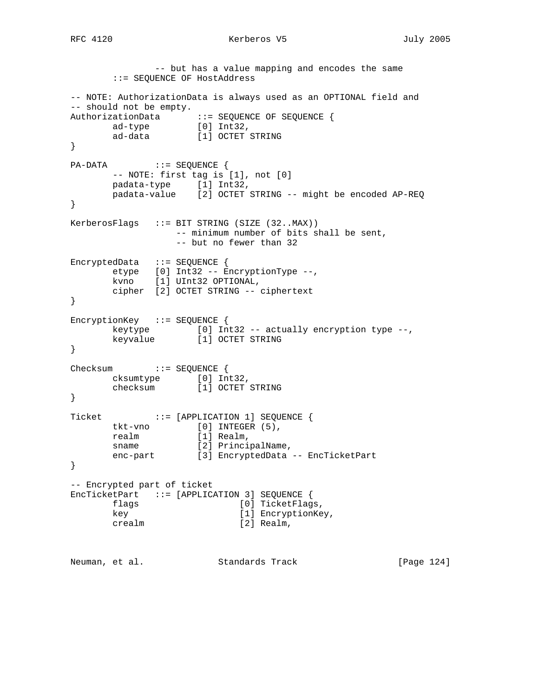RFC 4120 Kerberos V5 July 2005

```
 -- but has a value mapping and encodes the same
       ::= SEQUENCE OF HostAddress
-- NOTE: AuthorizationData is always used as an OPTIONAL field and
-- should not be empty.
AuthorizationData ::= SEQUENCE OF SEQUENCE {
 ad-type [0] Int32,
 ad-data [1] OCTET STRING
}
PA-DATA ::= SEQUENCE {
      -- NOTE: first tag is [1], not [0]
 padata-type [1] Int32,
 padata-value [2] OCTET STRING -- might be encoded AP-REQ
}
KerberosFlags ::= BIT STRING (SIZE (32..MAX))
               -- minimum number of bits shall be sent,
                -- but no fewer than 32
EncryptedData ::= SEQUENCE {
       etype [0] Int32 -- EncryptionType --,
       kvno [1] UInt32 OPTIONAL,
       cipher [2] OCTET STRING -- ciphertext
}
EncryptionKey ::= SEQUENCE {
 keytype [0] Int32 -- actually encryption type --,
 keyvalue [1] OCTET STRING
}
Checksum ::= SEQUENCE {
 cksumtype [0] Int32,
 checksum [1] OCTET STRING
}
Ticket ::= [APPLICATION 1] SEQUENCE {
 tkt-vno [0] INTEGER (5),
 realm [1] Realm,
sname [2] PrincipalName,
 enc-part [3] EncryptedData -- EncTicketPart
}
-- Encrypted part of ticket
EncTicketPart ::= [APPLICATION 3] SEQUENCE {
flags [0] TicketFlags,
key [1] EncryptionKey,
 crealm [2] Realm,
Neuman, et al. Standards Track [Page 124]
```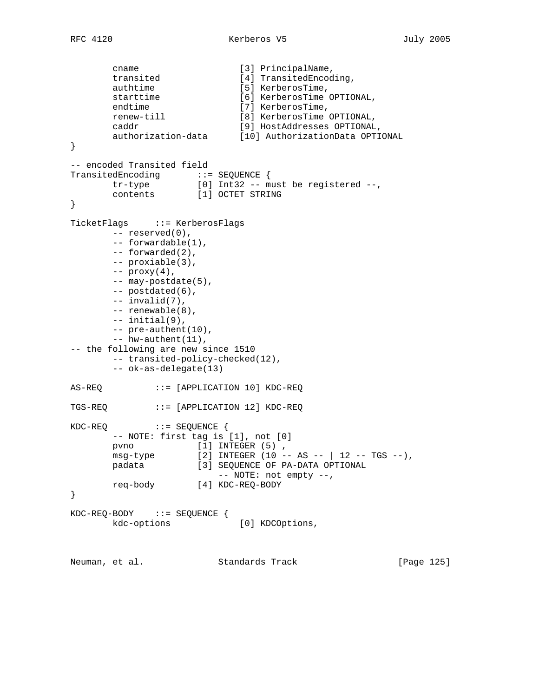```
cname [3] PrincipalName,
 transited [4] TransitedEncoding,
authtime [5] KerberosTime,
starttime [6] KerberosTime OPTIONAL,
endtime [7] KerberosTime,
 renew-till [8] KerberosTime OPTIONAL,
 caddr [9] HostAddresses OPTIONAL,
 authorization-data [10] AuthorizationData OPTIONAL
}
-- encoded Transited field
TransitedEncoding ::= SEQUENCE {
 tr-type [0] Int32 -- must be registered --,
 contents [1] OCTET STRING
}
TicketFlags ::= KerberosFlags
      -- reserved(0),
       -- forwardable(1),
       -- forwarded(2),
       -- proxiable(3),
      -- proxy(4),
       -- may-postdate(5),
       -- postdated(6),
       -- invalid(7),
       -- renewable(8),
      -- initial(9),
      -- pre-authent(10),
      -- hw-authent(11),
-- the following are new since 1510
      -- transited-policy-checked(12),
       -- ok-as-delegate(13)
AS-REQ ::= [APPLICATION 10] KDC-REQ
TGS-REQ ::= [APPLICATION 12] KDC-REQ
KDC-REQ ::= SEQUENCE {
       -- NOTE: first tag is [1], not [0]
 pvno [1] INTEGER (5) ,
 msg-type [2] INTEGER (10 -- AS -- | 12 -- TGS --),
 padata [3] SEQUENCE OF PA-DATA OPTIONAL
                      -- NOTE: not empty --,
       req-body [4] KDC-REQ-BODY
}
KDC-REQ-BODY ::= SEQUENCE {
      kdc-options [0] KDCOptions,
Neuman, et al. Standards Track [Page 125]
```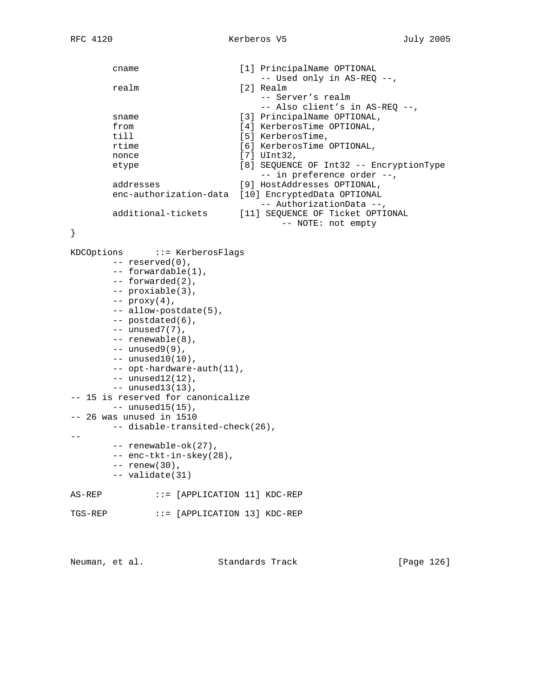| cname              | [1] PrincipalName OPTIONAL                         |
|--------------------|----------------------------------------------------|
|                    | -- Used only in AS-REQ --,                         |
| realm              | [2] Realm                                          |
|                    | -- Server's realm                                  |
|                    | -- Also client's in AS-REO --,                     |
| sname              | [3] PrincipalName OPTIONAL,                        |
| from               | [4] KerberosTime OPTIONAL,                         |
| till               | [5] KerberosTime,                                  |
| rtime              | [6] KerberosTime OPTIONAL,                         |
| nonce              | $[7]$ UInt32,                                      |
| etype              | [8] SEQUENCE OF Int32 -- EncryptionType            |
|                    | -- in preference order --,                         |
| addresses          | [9] HostAddresses OPTIONAL,                        |
|                    | enc-authorization-data [10] EncryptedData OPTIONAL |
|                    | -- AuthorizationData --,                           |
| additional-tickets | [11] SEOUENCE OF Ticket OPTIONAL                   |
|                    | -- NOTE: not empty                                 |
|                    |                                                    |

}

```
KDCOptions ::= KerberosFlags
        -- reserved(0),
        -- forwardable(1),
        -- forwarded(2),
        -- proxiable(3),
       -- proxy(4),
        -- allow-postdate(5),
        -- postdated(6),
        -- unused7(7),
        -- renewable(8),
        -- unused9(9),
        -- unused10(10),
        -- opt-hardware-auth(11),
        -- unused12(12),
        -- unused13(13),
-- 15 is reserved for canonicalize
       -- unused15(15),
-- 26 was unused in 1510
        -- disable-transited-check(26),
- -- renewable-ok(27),
       -- enc-tkt-in-skey(28),
        -- renew(30),
        -- validate(31)
AS-REP ::= [APPLICATION 11] KDC-REP
TGS-REP ::= [APPLICATION 13] KDC-REP
```
Neuman, et al. Standards Track [Page 126]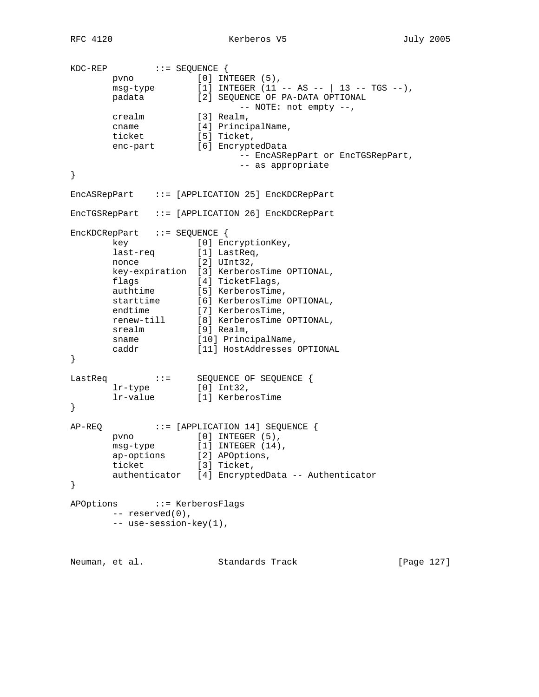```
KDC-REP ::= SEQUENCE {
 pvno [0] INTEGER (5),
 msg-type [1] INTEGER (11 -- AS -- | 13 -- TGS --),
 padata [2] SEQUENCE OF PA-DATA OPTIONAL
-- NOTE: not empty --,
 crealm [3] Realm,
 cname [4] PrincipalName,
ticket [5] Ticket,
 enc-part [6] EncryptedData
                       -- EncASRepPart or EncTGSRepPart,
                        -- as appropriate
}
EncASRepPart ::= [APPLICATION 25] EncKDCRepPart
EncTGSRepPart ::= [APPLICATION 26] EncKDCRepPart
EncKDCRepPart ::= SEQUENCE {
      key [0] EncryptionKey,
 last-req [1] LastReq,
nonce [2] UInt32,
      key-expiration [3] KerberosTime OPTIONAL,
flags [4] TicketFlags,
 authtime [5] KerberosTime,
 starttime [6] KerberosTime OPTIONAL,
endtime [7] KerberosTime,
 renew-till [8] KerberosTime OPTIONAL,
srealm [9] Realm,
sname [10] PrincipalName,
 caddr [11] HostAddresses OPTIONAL
}
LastReq ::= SEQUENCE OF SEQUENCE {
 lr-type [0] Int32,
 lr-value [1] KerberosTime
}
AP-REQ ::= [APPLICATION 14] SEQUENCE {
 pvno [0] INTEGER (5),
 msg-type [1] INTEGER (14),
 ap-options [2] APOptions,
 ticket [3] Ticket,
      authenticator [4] EncryptedData -- Authenticator
}
APOptions ::= KerberosFlags
      -- reserved(0),
     -- use-session-key(1),
Neuman, et al. Standards Track [Page 127]
```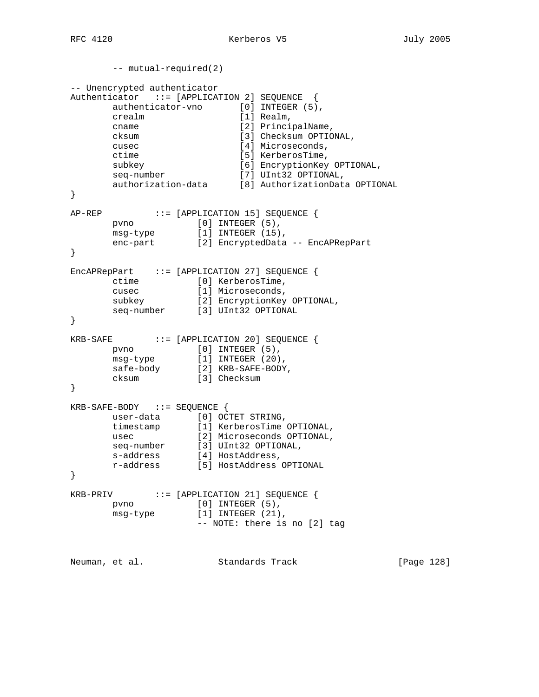```
 -- mutual-required(2)
-- Unencrypted authenticator
Authenticator ::= [APPLICATION 2] SEQUENCE {
     authenticator-vno [0] INTEGER (5),<br>
crealm [1] Realm,<br>
cname [2] PrincipalNam<br>
-bound 131 Checksum OPT
 crealm [1] Realm,
 cname [2] PrincipalName,
 cksum [3] Checksum OPTIONAL,
 cusec [4] Microseconds,
 ctime [5] KerberosTime,
subkey [6] EncryptionKey OPTIONAL,
seq-number [7] UInt32 OPTIONAL,
 authorization-data [8] AuthorizationData OPTIONAL
}
AP-REP ::= [APPLICATION 15] SEQUENCE {
 pvno [0] INTEGER (5),
 msg-type [1] INTEGER (15),
 enc-part [2] EncryptedData -- EncAPRepPart
}
EncAPRepPart ::= [APPLICATION 27] SEQUENCE {
 ctime [0] KerberosTime,
 cusec [1] Microseconds,
 subkey [2] EncryptionKey OPTIONAL,
 seq-number [3] UInt32 OPTIONAL
}
KRB-SAFE ::= [APPLICATION 20] SEQUENCE {
 pvno [0] INTEGER (5),
 msg-type [1] INTEGER (20),
 safe-body [2] KRB-SAFE-BODY,
 cksum [3] Checksum
}
KRB-SAFE-BODY ::= SEQUENCE {
 user-data [0] OCTET STRING,
 timestamp [1] KerberosTime OPTIONAL,
 usec [2] Microseconds OPTIONAL,
 seq-number [3] UInt32 OPTIONAL,
 s-address [4] HostAddress,
 r-address [5] HostAddress OPTIONAL
}
KRB-PRIV ::= [APPLICATION 21] SEQUENCE {
 pvno [0] INTEGER (5),
 msg-type [1] INTEGER (21),
 -- NOTE: there is no [2] tag
Neuman, et al. Standards Track [Page 128]
```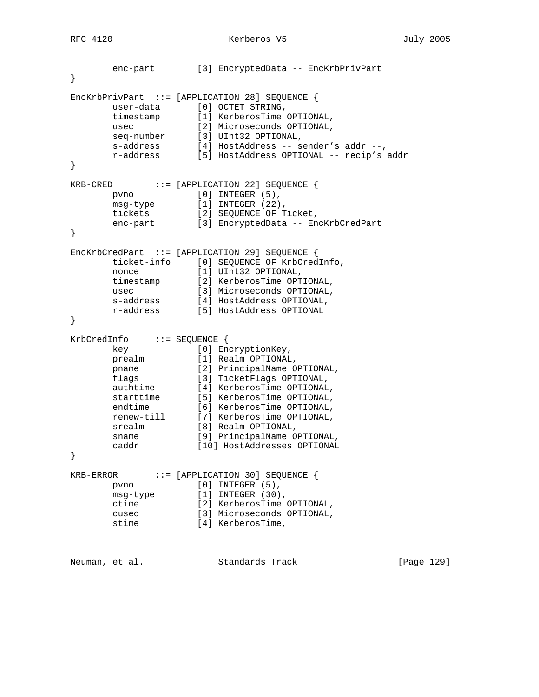RFC 4120 Kerberos V5 July 2005

```
 enc-part [3] EncryptedData -- EncKrbPrivPart
}
EncKrbPrivPart ::= [APPLICATION 28] SEQUENCE {
 user-data [0] OCTET STRING,
 timestamp [1] KerberosTime OPTIONAL,
 usec [2] Microseconds OPTIONAL,
 seq-number [3] UInt32 OPTIONAL,
 s-address [4] HostAddress -- sender's addr --,
 r-address [5] HostAddress OPTIONAL -- recip's addr
}
KRB-CRED ::= [APPLICATION 22] SEQUENCE {
 pvno [0] INTEGER (5),
 msg-type [1] INTEGER (22),
 tickets [2] SEQUENCE OF Ticket,
 enc-part [3] EncryptedData -- EncKrbCredPart
}
EncKrbCredPart ::= [APPLICATION 29] SEQUENCE {
      ticket-info [0] SEQUENCE OF KrbCredInfo,
nonce [1] UInt32 OPTIONAL,
 timestamp [2] KerberosTime OPTIONAL,
 usec [3] Microseconds OPTIONAL,
 s-address [4] HostAddress OPTIONAL,
 r-address [5] HostAddress OPTIONAL
}
KrbCredInfo ::= SEQUENCE {
 key [0] EncryptionKey,
 prealm [1] Realm OPTIONAL,
 pname [2] PrincipalName OPTIONAL,
 flags [3] TicketFlags OPTIONAL,
 authtime [4] KerberosTime OPTIONAL,
 starttime [5] KerberosTime OPTIONAL,
endtime [6] KerberosTime OPTIONAL,
 renew-till [7] KerberosTime OPTIONAL,
srealm [8] Realm OPTIONAL,
 sname [9] PrincipalName OPTIONAL,
 caddr [10] HostAddresses OPTIONAL
}
KRB-ERROR ::= [APPLICATION 30] SEQUENCE {
 pvno [0] INTEGER (5),
 msg-type [1] INTEGER (30),
 ctime [2] KerberosTime OPTIONAL,
 cusec [3] Microseconds OPTIONAL,
stime [4] KerberosTime,
```
Neuman, et al. Standards Track [Page 129]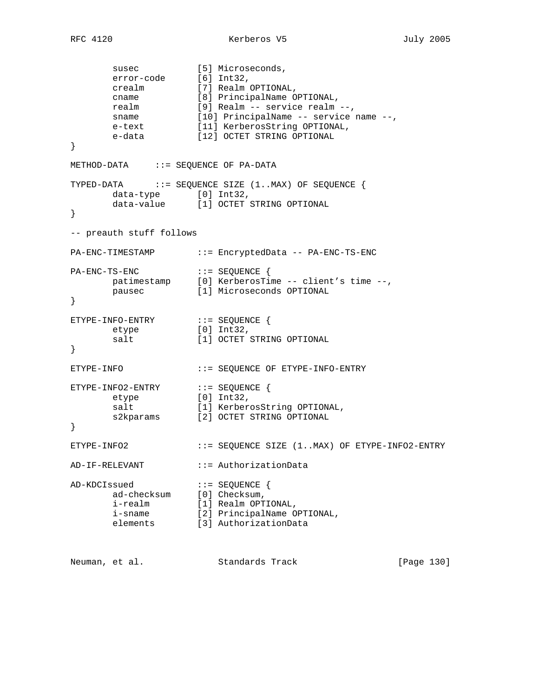```
susec [5] Microseconds,
error-code [6] Int32,
 crealm [7] Realm OPTIONAL,
 cname [8] PrincipalName OPTIONAL,
 realm [9] Realm -- service realm --,
 sname [10] PrincipalName -- service name --,
e-text [11] KerberosString OPTIONAL,
 e-data [12] OCTET STRING OPTIONAL
}
METHOD-DATA ::= SEQUENCE OF PA-DATA
TYPED-DATA ::= SEQUENCE SIZE (1..MAX) OF SEQUENCE {
 data-type [0] Int32,
 data-value [1] OCTET STRING OPTIONAL
}
-- preauth stuff follows
PA-ENC-TIMESTAMP ::= EncryptedData -- PA-ENC-TS-ENC
PA-ENC-TS-ENC ::= SEQUENCE {
 patimestamp [0] KerberosTime -- client's time --,
 pausec [1] Microseconds OPTIONAL
}
ETYPE-INFO-ENTRY ::= SEQUENCE {
etype [0] Int32,
 salt [1] OCTET STRING OPTIONAL
}
ETYPE-INFO ::= SEQUENCE OF ETYPE-INFO-ENTRY
ETYPE-INFO2-ENTRY ::= SEQUENCE {
etype [0] Int32,
salt [1] KerberosString OPTIONAL,
 s2kparams [2] OCTET STRING OPTIONAL
}
ETYPE-INFO2 ::= SEQUENCE SIZE (1..MAX) OF ETYPE-INFO2-ENTRY
AD-IF-RELEVANT ::= AuthorizationData
AD-KDCIssued ::= SEQUENCE {
 ad-checksum [0] Checksum,
 i-realm [1] Realm OPTIONAL,
 i-sname [2] PrincipalName OPTIONAL,
 elements [3] AuthorizationData
```
Neuman, et al. Standards Track [Page 130]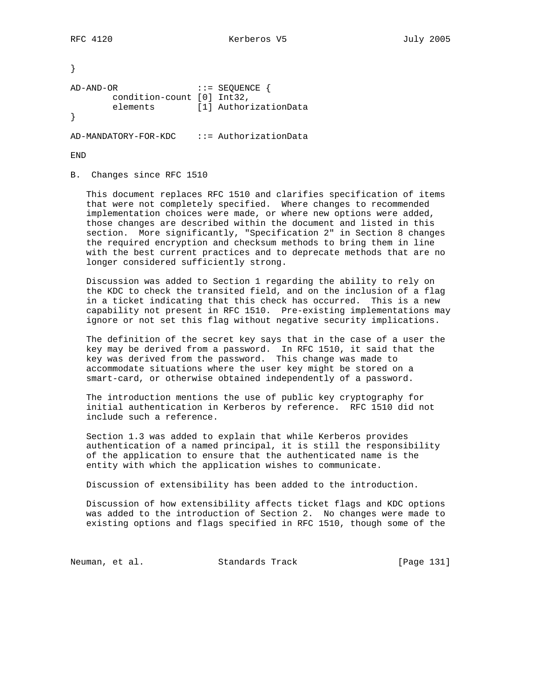} AD-AND-OR ::= SEQUENCE { condition-count [0] Int32, elements [1] AuthorizationData } AD-MANDATORY-FOR-KDC ::= AuthorizationData

END

B. Changes since RFC 1510

 This document replaces RFC 1510 and clarifies specification of items that were not completely specified. Where changes to recommended implementation choices were made, or where new options were added, those changes are described within the document and listed in this section. More significantly, "Specification 2" in Section 8 changes the required encryption and checksum methods to bring them in line with the best current practices and to deprecate methods that are no longer considered sufficiently strong.

 Discussion was added to Section 1 regarding the ability to rely on the KDC to check the transited field, and on the inclusion of a flag in a ticket indicating that this check has occurred. This is a new capability not present in RFC 1510. Pre-existing implementations may ignore or not set this flag without negative security implications.

 The definition of the secret key says that in the case of a user the key may be derived from a password. In RFC 1510, it said that the key was derived from the password. This change was made to accommodate situations where the user key might be stored on a smart-card, or otherwise obtained independently of a password.

 The introduction mentions the use of public key cryptography for initial authentication in Kerberos by reference. RFC 1510 did not include such a reference.

 Section 1.3 was added to explain that while Kerberos provides authentication of a named principal, it is still the responsibility of the application to ensure that the authenticated name is the entity with which the application wishes to communicate.

Discussion of extensibility has been added to the introduction.

 Discussion of how extensibility affects ticket flags and KDC options was added to the introduction of Section 2. No changes were made to existing options and flags specified in RFC 1510, though some of the

Neuman, et al. Standards Track [Page 131]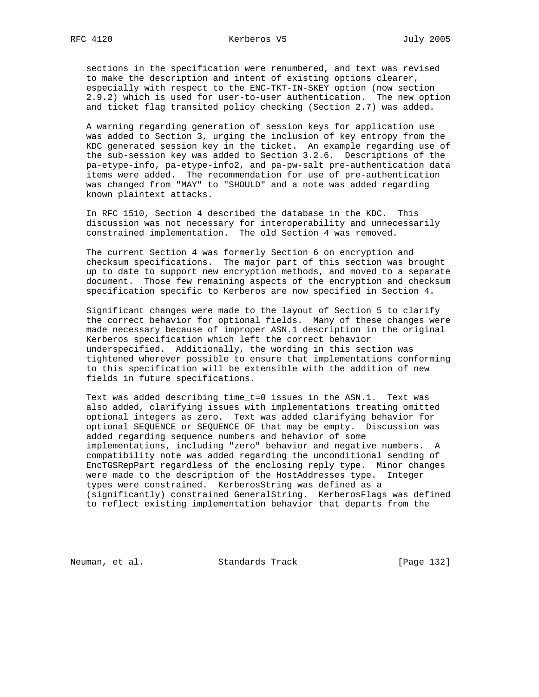sections in the specification were renumbered, and text was revised to make the description and intent of existing options clearer, especially with respect to the ENC-TKT-IN-SKEY option (now section 2.9.2) which is used for user-to-user authentication. The new option and ticket flag transited policy checking (Section 2.7) was added.

 A warning regarding generation of session keys for application use was added to Section 3, urging the inclusion of key entropy from the KDC generated session key in the ticket. An example regarding use of the sub-session key was added to Section 3.2.6. Descriptions of the pa-etype-info, pa-etype-info2, and pa-pw-salt pre-authentication data items were added. The recommendation for use of pre-authentication was changed from "MAY" to "SHOULD" and a note was added regarding known plaintext attacks.

 In RFC 1510, Section 4 described the database in the KDC. This discussion was not necessary for interoperability and unnecessarily constrained implementation. The old Section 4 was removed.

 The current Section 4 was formerly Section 6 on encryption and checksum specifications. The major part of this section was brought up to date to support new encryption methods, and moved to a separate document. Those few remaining aspects of the encryption and checksum specification specific to Kerberos are now specified in Section 4.

 Significant changes were made to the layout of Section 5 to clarify the correct behavior for optional fields. Many of these changes were made necessary because of improper ASN.1 description in the original Kerberos specification which left the correct behavior underspecified. Additionally, the wording in this section was tightened wherever possible to ensure that implementations conforming to this specification will be extensible with the addition of new fields in future specifications.

 Text was added describing time\_t=0 issues in the ASN.1. Text was also added, clarifying issues with implementations treating omitted optional integers as zero. Text was added clarifying behavior for optional SEQUENCE or SEQUENCE OF that may be empty. Discussion was added regarding sequence numbers and behavior of some implementations, including "zero" behavior and negative numbers. A compatibility note was added regarding the unconditional sending of EncTGSRepPart regardless of the enclosing reply type. Minor changes were made to the description of the HostAddresses type. Integer types were constrained. KerberosString was defined as a (significantly) constrained GeneralString. KerberosFlags was defined to reflect existing implementation behavior that departs from the

Neuman, et al. Standards Track [Page 132]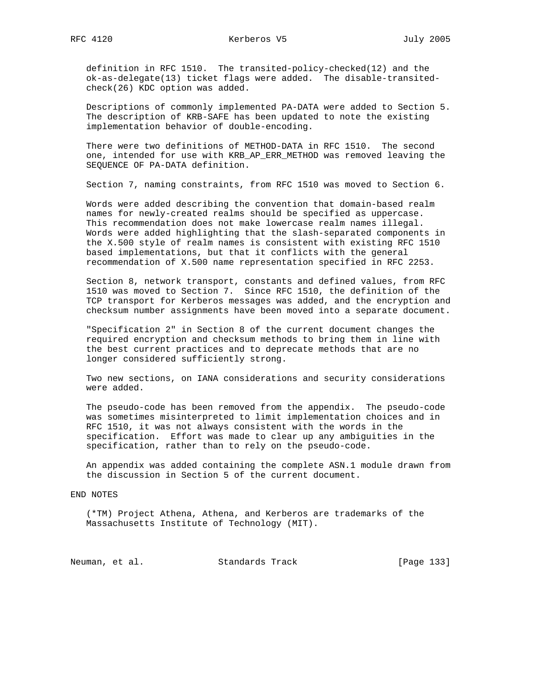RFC 4120 Kerberos V5 July 2005

 definition in RFC 1510. The transited-policy-checked(12) and the ok-as-delegate(13) ticket flags were added. The disable-transited check(26) KDC option was added.

 Descriptions of commonly implemented PA-DATA were added to Section 5. The description of KRB-SAFE has been updated to note the existing implementation behavior of double-encoding.

 There were two definitions of METHOD-DATA in RFC 1510. The second one, intended for use with KRB\_AP\_ERR\_METHOD was removed leaving the SEQUENCE OF PA-DATA definition.

Section 7, naming constraints, from RFC 1510 was moved to Section 6.

 Words were added describing the convention that domain-based realm names for newly-created realms should be specified as uppercase. This recommendation does not make lowercase realm names illegal. Words were added highlighting that the slash-separated components in the X.500 style of realm names is consistent with existing RFC 1510 based implementations, but that it conflicts with the general recommendation of X.500 name representation specified in RFC 2253.

 Section 8, network transport, constants and defined values, from RFC 1510 was moved to Section 7. Since RFC 1510, the definition of the TCP transport for Kerberos messages was added, and the encryption and checksum number assignments have been moved into a separate document.

 "Specification 2" in Section 8 of the current document changes the required encryption and checksum methods to bring them in line with the best current practices and to deprecate methods that are no longer considered sufficiently strong.

 Two new sections, on IANA considerations and security considerations were added.

 The pseudo-code has been removed from the appendix. The pseudo-code was sometimes misinterpreted to limit implementation choices and in RFC 1510, it was not always consistent with the words in the specification. Effort was made to clear up any ambiguities in the specification, rather than to rely on the pseudo-code.

 An appendix was added containing the complete ASN.1 module drawn from the discussion in Section 5 of the current document.

END NOTES

 (\*TM) Project Athena, Athena, and Kerberos are trademarks of the Massachusetts Institute of Technology (MIT).

Neuman, et al. Standards Track [Page 133]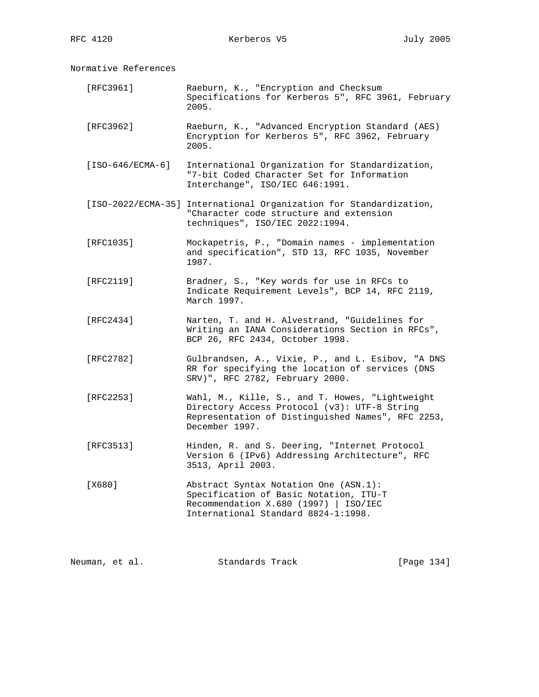Normative References

- [RFC3961] Raeburn, K., "Encryption and Checksum Specifications for Kerberos 5", RFC 3961, February 2005.
- [RFC3962] Raeburn, K., "Advanced Encryption Standard (AES) Encryption for Kerberos 5", RFC 3962, February 2005.
- [ISO-646/ECMA-6] International Organization for Standardization, "7-bit Coded Character Set for Information Interchange", ISO/IEC 646:1991.
- [ISO-2022/ECMA-35] International Organization for Standardization, "Character code structure and extension techniques", ISO/IEC 2022:1994.
- [RFC1035] Mockapetris, P., "Domain names implementation and specification", STD 13, RFC 1035, November 1987.
- [RFC2119] Bradner, S., "Key words for use in RFCs to Indicate Requirement Levels", BCP 14, RFC 2119, March 1997.
- [RFC2434] Narten, T. and H. Alvestrand, "Guidelines for Writing an IANA Considerations Section in RFCs", BCP 26, RFC 2434, October 1998.
- [RFC2782] Gulbrandsen, A., Vixie, P., and L. Esibov, "A DNS RR for specifying the location of services (DNS SRV)", RFC 2782, February 2000.
- [RFC2253] Wahl, M., Kille, S., and T. Howes, "Lightweight Directory Access Protocol (v3): UTF-8 String Representation of Distinguished Names", RFC 2253, December 1997.
- [RFC3513] Hinden, R. and S. Deering, "Internet Protocol Version 6 (IPv6) Addressing Architecture", RFC 3513, April 2003.
- [X680] Abstract Syntax Notation One (ASN.1): Specification of Basic Notation, ITU-T Recommendation X.680 (1997) | ISO/IEC International Standard 8824-1:1998.

| Standards Track<br>Neuman, et al. | [Page 134] |
|-----------------------------------|------------|
|-----------------------------------|------------|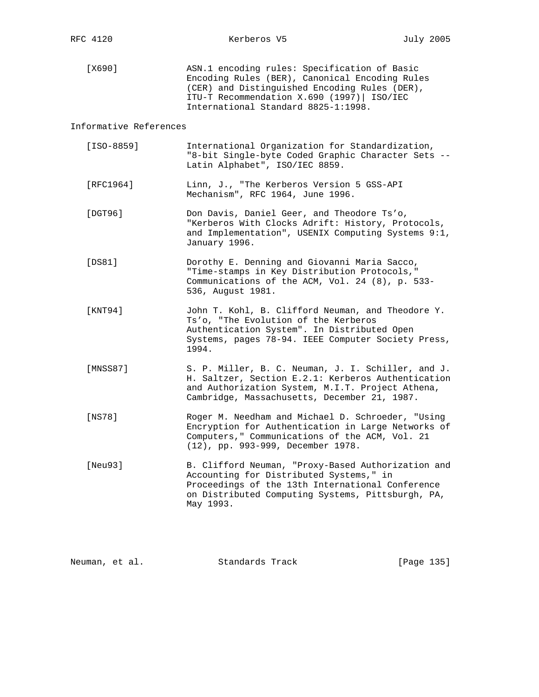[X690] ASN.1 encoding rules: Specification of Basic Encoding Rules (BER), Canonical Encoding Rules (CER) and Distinguished Encoding Rules (DER), ITU-T Recommendation X.690 (1997)| ISO/IEC International Standard 8825-1:1998.

### Informative References

| [ISO-8859] | International Organization for Standardization,    |
|------------|----------------------------------------------------|
|            | "8-bit Single-byte Coded Graphic Character Sets -- |
|            | Latin Alphabet", ISO/IEC 8859.                     |

- [RFC1964] Linn, J., "The Kerberos Version 5 GSS-API Mechanism", RFC 1964, June 1996.
- [DGT96] Don Davis, Daniel Geer, and Theodore Ts'o, "Kerberos With Clocks Adrift: History, Protocols, and Implementation", USENIX Computing Systems 9:1, January 1996.
- [DS81] Dorothy E. Denning and Giovanni Maria Sacco, "Time-stamps in Key Distribution Protocols," Communications of the ACM, Vol. 24 (8), p. 533- 536, August 1981.
- [KNT94] John T. Kohl, B. Clifford Neuman, and Theodore Y. Ts'o, "The Evolution of the Kerberos Authentication System". In Distributed Open Systems, pages 78-94. IEEE Computer Society Press, 1994.
- [MNSS87] S. P. Miller, B. C. Neuman, J. I. Schiller, and J. H. Saltzer, Section E.2.1: Kerberos Authentication and Authorization System, M.I.T. Project Athena, Cambridge, Massachusetts, December 21, 1987.
- [NS78] Roger M. Needham and Michael D. Schroeder, "Using Encryption for Authentication in Large Networks of Computers," Communications of the ACM, Vol. 21 (12), pp. 993-999, December 1978.
- [Neu93] B. Clifford Neuman, "Proxy-Based Authorization and Accounting for Distributed Systems," in Proceedings of the 13th International Conference on Distributed Computing Systems, Pittsburgh, PA, May 1993.

| Neuman, et al. |  | Standards Track | [Page 135] |  |
|----------------|--|-----------------|------------|--|
|----------------|--|-----------------|------------|--|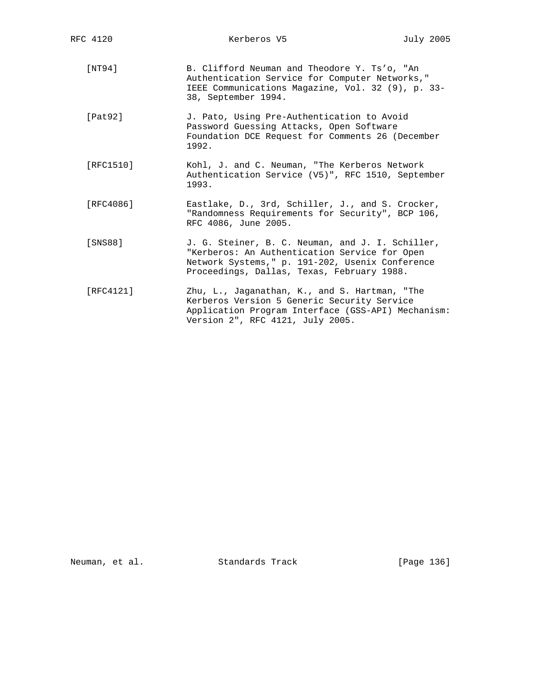| RFC 4120  | Kerberos V5                                                                                                                                                                                        | <b>July 2005</b> |  |
|-----------|----------------------------------------------------------------------------------------------------------------------------------------------------------------------------------------------------|------------------|--|
| NTS4      | B. Clifford Neuman and Theodore Y. Ts'o, "An<br>Authentication Service for Computer Networks, "<br>IEEE Communications Magazine, Vol. 32 (9), p. 33-<br>38, September 1994.                        |                  |  |
| [Pat92]   | J. Pato, Using Pre-Authentication to Avoid<br>Password Guessing Attacks, Open Software<br>Foundation DCE Request for Comments 26 (December<br>1992.                                                |                  |  |
| [RFC1510] | Kohl, J. and C. Neuman, "The Kerberos Network<br>Authentication Service (V5)", RFC 1510, September<br>1993.                                                                                        |                  |  |
| [RFC4086] | Eastlake, D., 3rd, Schiller, J., and S. Crocker,<br>"Randomness Requirements for Security", BCP 106,<br>RFC 4086, June 2005.                                                                       |                  |  |
| [SNS88]   | J. G. Steiner, B. C. Neuman, and J. I. Schiller,<br>"Kerberos: An Authentication Service for Open<br>Network Systems," p. 191-202, Usenix Conference<br>Proceedings, Dallas, Texas, February 1988. |                  |  |
| [RFC4121] | Zhu, L., Jaganathan, K., and S. Hartman, "The<br>Kerberos Version 5 Generic Security Service<br>Application Program Interface (GSS-API) Mechanism:<br>Version 2", RFC 4121, July 2005.             |                  |  |

Neuman, et al. Standards Track [Page 136]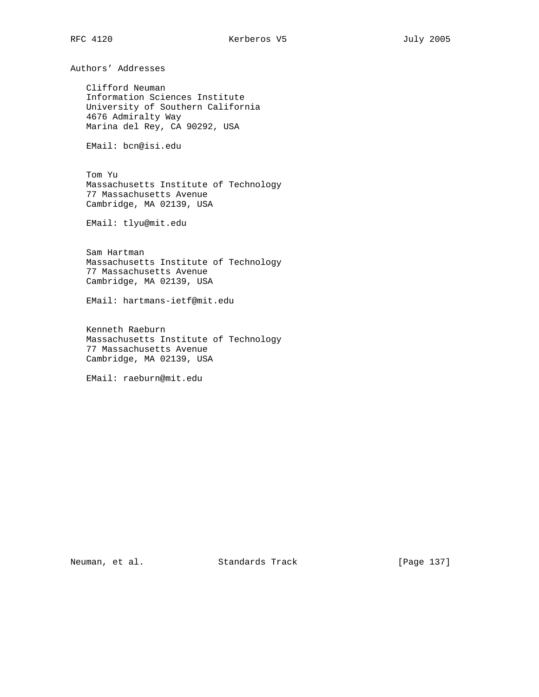Authors' Addresses

 Clifford Neuman Information Sciences Institute University of Southern California 4676 Admiralty Way Marina del Rey, CA 90292, USA

EMail: bcn@isi.edu

 Tom Yu Massachusetts Institute of Technology 77 Massachusetts Avenue Cambridge, MA 02139, USA

EMail: tlyu@mit.edu

 Sam Hartman Massachusetts Institute of Technology 77 Massachusetts Avenue Cambridge, MA 02139, USA

EMail: hartmans-ietf@mit.edu

 Kenneth Raeburn Massachusetts Institute of Technology 77 Massachusetts Avenue Cambridge, MA 02139, USA

EMail: raeburn@mit.edu

Neuman, et al. Standards Track [Page 137]